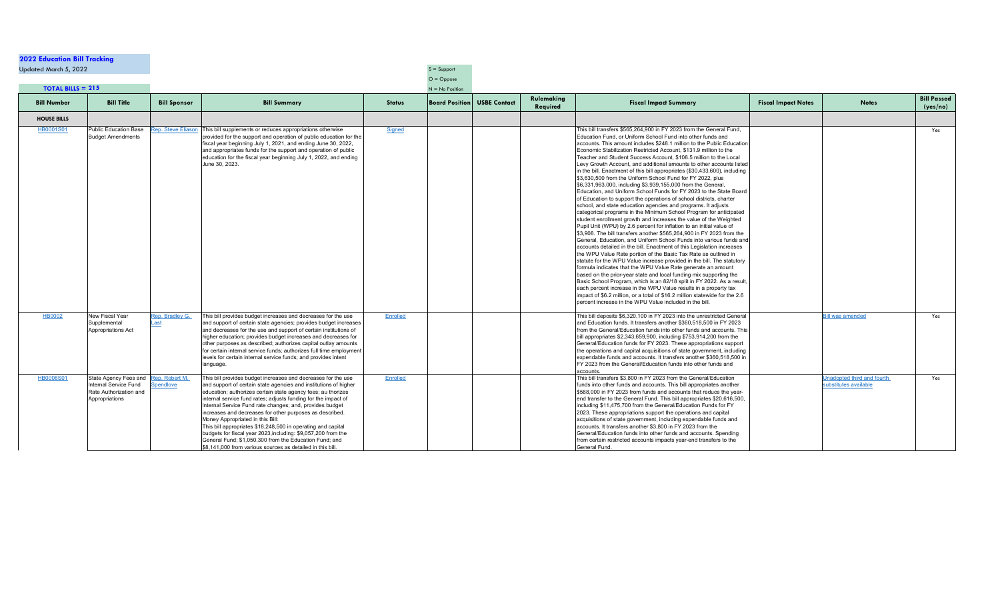## **2022 Education Bill Tracking**

Updated March  $5, 2022$  Support

|                                   |                                                                                          |                                          |                                                                                                                                                                                                                                                                                                                                                                                                                                                                                                                                                                                                                         |                             | $O = Oppose$      |                                    |                        |                                                                                                                                                                                                                                                                                                                                                                                                                                                                                                                                                                                                                                                                                                                                                                                                                                                                                                                                                                                                                                                                                                                                                                                                                                                                                                                                                                                                                                                                                                                                                                                                                                                                                                                                                                                                                                                                                   |                            |                                                              |                                |
|-----------------------------------|------------------------------------------------------------------------------------------|------------------------------------------|-------------------------------------------------------------------------------------------------------------------------------------------------------------------------------------------------------------------------------------------------------------------------------------------------------------------------------------------------------------------------------------------------------------------------------------------------------------------------------------------------------------------------------------------------------------------------------------------------------------------------|-----------------------------|-------------------|------------------------------------|------------------------|-----------------------------------------------------------------------------------------------------------------------------------------------------------------------------------------------------------------------------------------------------------------------------------------------------------------------------------------------------------------------------------------------------------------------------------------------------------------------------------------------------------------------------------------------------------------------------------------------------------------------------------------------------------------------------------------------------------------------------------------------------------------------------------------------------------------------------------------------------------------------------------------------------------------------------------------------------------------------------------------------------------------------------------------------------------------------------------------------------------------------------------------------------------------------------------------------------------------------------------------------------------------------------------------------------------------------------------------------------------------------------------------------------------------------------------------------------------------------------------------------------------------------------------------------------------------------------------------------------------------------------------------------------------------------------------------------------------------------------------------------------------------------------------------------------------------------------------------------------------------------------------|----------------------------|--------------------------------------------------------------|--------------------------------|
| <b>TOTAL BILLS = 215</b>          |                                                                                          |                                          |                                                                                                                                                                                                                                                                                                                                                                                                                                                                                                                                                                                                                         |                             | $N = No$ Position |                                    |                        |                                                                                                                                                                                                                                                                                                                                                                                                                                                                                                                                                                                                                                                                                                                                                                                                                                                                                                                                                                                                                                                                                                                                                                                                                                                                                                                                                                                                                                                                                                                                                                                                                                                                                                                                                                                                                                                                                   |                            |                                                              |                                |
| <b>Bill Number</b>                | <b>Bill Title</b>                                                                        | <b>Bill Sponsor</b>                      | <b>Bill Summary</b>                                                                                                                                                                                                                                                                                                                                                                                                                                                                                                                                                                                                     | <b>Status</b>               |                   | <b>Board Position USBE Contact</b> | Rulemaking<br>Required | <b>Fiscal Impact Summary</b>                                                                                                                                                                                                                                                                                                                                                                                                                                                                                                                                                                                                                                                                                                                                                                                                                                                                                                                                                                                                                                                                                                                                                                                                                                                                                                                                                                                                                                                                                                                                                                                                                                                                                                                                                                                                                                                      | <b>Fiscal Impact Notes</b> | <b>Notes</b>                                                 | <b>Bill Passed</b><br>(yes/no) |
| <b>HOUSE BILLS</b>                |                                                                                          |                                          |                                                                                                                                                                                                                                                                                                                                                                                                                                                                                                                                                                                                                         |                             |                   |                                    |                        |                                                                                                                                                                                                                                                                                                                                                                                                                                                                                                                                                                                                                                                                                                                                                                                                                                                                                                                                                                                                                                                                                                                                                                                                                                                                                                                                                                                                                                                                                                                                                                                                                                                                                                                                                                                                                                                                                   |                            |                                                              |                                |
| HB0001S01                         | <b>Public Education Base</b><br><b>Budget Amendments</b>                                 |                                          | ep. Steve Eliason   This bill supplements or reduces appropriations otherwise<br>provided for the support and operation of public education for the<br>fiscal year beginning July 1, 2021, and ending June 30, 2022,<br>and appropriates funds for the support and operation of public<br>education for the fiscal year beginning July 1, 2022, and ending<br>June 30, 2023.                                                                                                                                                                                                                                            | Signed                      |                   |                                    |                        | This bill transfers \$565,264,900 in FY 2023 from the General Fund,<br>Education Fund, or Uniform School Fund into other funds and<br>Iaccounts. This amount includes \$248.1 million to the Public Education<br>Economic Stabilization Restricted Account, \$131.9 million to the<br>Teacher and Student Success Account, \$108.5 million to the Local<br>Levy Growth Account, and additional amounts to other accounts listed<br>in the bill. Enactment of this bill appropriates (\$30,433,600), including<br>\$3,630,500 from the Uniform School Fund for FY 2022, plus<br>\$6,331,963,000, including \$3,939,155,000 from the General,<br>Education, and Uniform School Funds for FY 2023 to the State Board<br>of Education to support the operations of school districts, charter<br>school, and state education agencies and programs. It adjusts<br>categorical programs in the Minimum School Program for anticipated<br>student enrollment growth and increases the value of the Weighted<br>Pupil Unit (WPU) by 2.6 percent for inflation to an initial value of<br>\$3,908. The bill transfers another \$565,264,900 in FY 2023 from the<br>General, Education, and Uniform School Funds into various funds and<br>accounts detailed in the bill. Enactment of this Legislation increases<br>the WPU Value Rate portion of the Basic Tax Rate as outlined in<br>statute for the WPU Value increase provided in the bill. The statutory<br>formula indicates that the WPU Value Rate generate an amount<br>based on the prior-year state and local funding mix supporting the<br>Basic School Program, which is an 82/18 split in FY 2022. As a result,<br>each percent increase in the WPU Value results in a property tax<br>limpact of \$6.2 million, or a total of \$16.2 million statewide for the 2.6<br>percent increase in the WPU Value included in the bill |                            |                                                              | Yes                            |
| <b>HB0002</b><br><b>HB0008S01</b> | <b>New Fiscal Year</b><br>Supplemental<br>Appropriations Act<br>State Agency Fees and  R | Rep. Bradley G.<br>.ast<br>ep. Robert M. | This bill provides budget increases and decreases for the use<br>and support of certain state agencies; provides budget increases<br>and decreases for the use and support of certain institutions of<br>higher education; provides budget increases and decreases for<br>other purposes as described; authorizes capital outlay amounts<br>for certain internal service funds; authorizes full time employment<br>levels for certain internal service funds; and provides intent<br>language.<br>This bill provides budget increases and decreases for the use                                                         | <b>Enrolled</b><br>Enrolled |                   |                                    |                        | This bill deposits \$6,320,100 in FY 2023 into the unrestricted General<br>and Education funds. It transfers another \$360,518,500 in FY 2023<br>from the General/Education funds into other funds and accounts. This<br>bill appropriates $$2,343,659,900$ , including $$753,914,200$ from the<br>General/Education funds for FY 2023. These appropriations support<br>the operations and capital acquisitions of state government, including<br>expendable funds and accounts. It transfers another \$360,518,500 in<br>IFY 2023 from the General/Education funds into other funds and<br>accounts<br>This bill transfers \$3,800 in FY 2023 from the General/Education                                                                                                                                                                                                                                                                                                                                                                                                                                                                                                                                                                                                                                                                                                                                                                                                                                                                                                                                                                                                                                                                                                                                                                                                         |                            | <b>Bill was amended</b><br><b>Jnadopted third and fourth</b> | Yes<br>Yes                     |
|                                   | Internal Service Fund<br>Rate Authorization and<br>Appropriations                        | <b>Spendlove</b>                         | and support of certain state agencies and institutions of higher<br>education; authorizes certain state agency fees; au thorizes<br>internal service fund rates; adjusts funding for the impact of<br>Internal Service Fund rate changes; and, provides budget<br>increases and decreases for other purposes as described.<br>Money Appropriated in this Bill:<br>This bill appropriates \$18,248,500 in operating and capital<br>budgets for fiscal year 2023, including: \$9,057,200 from the<br>General Fund; \$1,050,300 from the Education Fund; and<br>\$8,141,000 from various sources as detailed in this bill. |                             |                   |                                    |                        | funds into other funds and accounts. This bill appropriates another<br>\$588,000 in FY 2023 from funds and accounts that reduce the year-<br>end transfer to the General Fund. This bill appropriates \$20,616,500,<br>Including \$11,475,700 from the General/Education Funds for FY<br>2023. These appropriations support the operations and capital<br>acquisitions of state government, including expendable funds and<br>accounts. It transfers another \$3,800 in FY 2023 from the<br>General/Education funds into other funds and accounts. Spending<br>from certain restricted accounts impacts year-end transfers to the<br><b>General Fund.</b>                                                                                                                                                                                                                                                                                                                                                                                                                                                                                                                                                                                                                                                                                                                                                                                                                                                                                                                                                                                                                                                                                                                                                                                                                         |                            | substitutes available                                        |                                |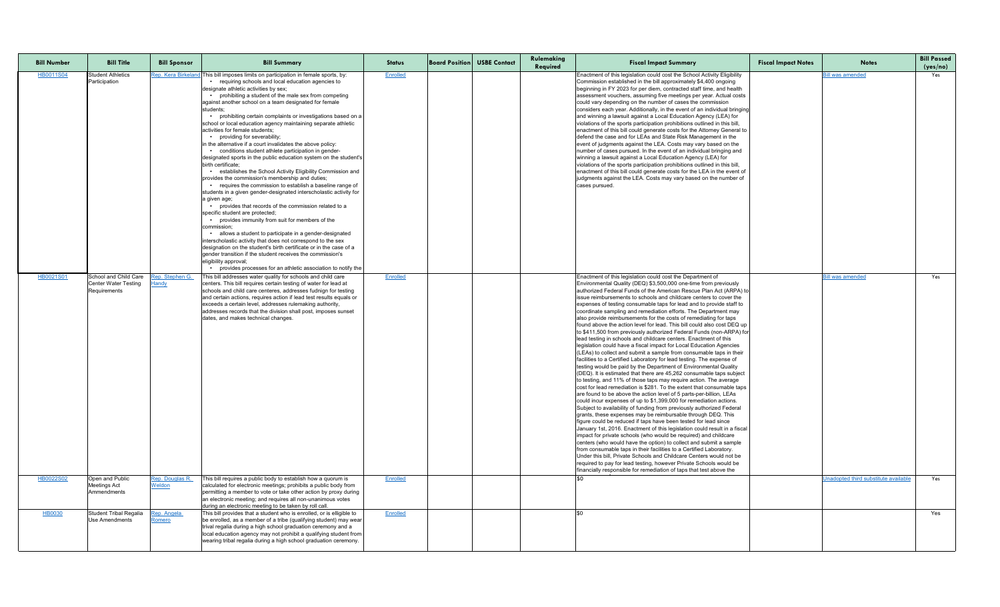| <b>Bill Number</b> | <b>Bill Title</b>                                                    | <b>Bill Sponsor</b>             | <b>Bill Summary</b>                                                                                                                                                                                                                                                                                                                                                                                                                                                                                                                                                                                                                                                                                                                                                                                                                                                                                                                                                                                                                                                                                                                                                                                                                                                                                                                                                                                                                                                                                                                     | <b>Status</b>   | <b>Board Position USBE Contact</b> | Rulemaking<br>Required | <b>Fiscal Impact Summary</b>                                                                                                                                                                                                                                                                                                                                                                                                                                                                                                                                                                                                                                                                                                                                                                                                                                                                                                                                                                                                                                                                                                                                                                                                                                                                                                                                                                                                                                                                                                                                                                                                                                                                                                                                                                                                                                                                                                                                                                                                                                                                                        | <b>Fiscal Impact Notes</b> | <b>Notes</b>                         | <b>Bill Passed</b><br>(yes/no) |
|--------------------|----------------------------------------------------------------------|---------------------------------|-----------------------------------------------------------------------------------------------------------------------------------------------------------------------------------------------------------------------------------------------------------------------------------------------------------------------------------------------------------------------------------------------------------------------------------------------------------------------------------------------------------------------------------------------------------------------------------------------------------------------------------------------------------------------------------------------------------------------------------------------------------------------------------------------------------------------------------------------------------------------------------------------------------------------------------------------------------------------------------------------------------------------------------------------------------------------------------------------------------------------------------------------------------------------------------------------------------------------------------------------------------------------------------------------------------------------------------------------------------------------------------------------------------------------------------------------------------------------------------------------------------------------------------------|-----------------|------------------------------------|------------------------|---------------------------------------------------------------------------------------------------------------------------------------------------------------------------------------------------------------------------------------------------------------------------------------------------------------------------------------------------------------------------------------------------------------------------------------------------------------------------------------------------------------------------------------------------------------------------------------------------------------------------------------------------------------------------------------------------------------------------------------------------------------------------------------------------------------------------------------------------------------------------------------------------------------------------------------------------------------------------------------------------------------------------------------------------------------------------------------------------------------------------------------------------------------------------------------------------------------------------------------------------------------------------------------------------------------------------------------------------------------------------------------------------------------------------------------------------------------------------------------------------------------------------------------------------------------------------------------------------------------------------------------------------------------------------------------------------------------------------------------------------------------------------------------------------------------------------------------------------------------------------------------------------------------------------------------------------------------------------------------------------------------------------------------------------------------------------------------------------------------------|----------------------------|--------------------------------------|--------------------------------|
| HB0011S04          | <b>Student Athletics</b><br>Participation                            |                                 | Rep. Kera Birkeland This bill imposes limits on participation in female sports, by:<br>• requiring schools and local education agencies to<br>designate athletic activities by sex;<br>prohibiting a student of the male sex from competing<br>against another school on a team designated for female<br>students;<br>prohibiting certain complaints or investigations based on a<br>school or local education agency maintaining separate athletic<br>activities for female students;<br>• providing for severability;<br>in the alternative if a court invalidates the above policy:<br>• conditions student athlete participation in gender-<br>designated sports in the public education system on the student's<br>birth certificate:<br>establishes the School Activity Eligibility Commission and<br>provides the commission's membership and duties;<br>• requires the commission to establish a baseline range of<br>students in a given gender-designated interscholastic activity for<br>a given age;<br>provides that records of the commission related to a<br>specific student are protected;<br>• provides immunity from suit for members of the<br>commission:<br>allows a student to participate in a gender-designated<br>interscholastic activity that does not correspond to the sex<br>designation on the student's birth certificate or in the case of a<br>gender transition if the student receives the commission's<br>eligibility approval;<br>• provides processes for an athletic association to notify the | Enrolled        |                                    |                        | Enactment of this legislation could cost the School Activity Eligibility<br>Commission established in the bill approximately \$4,400 ongoing<br>beginning in FY 2023 for per diem, contracted staff time, and health<br>assessment vouchers, assuming five meetings per year. Actual costs<br>could vary depending on the number of cases the commission<br>considers each year. Additionally, in the event of an individual bringing<br>and winning a lawsuit against a Local Education Agency (LEA) for<br>violations of the sports participation prohibitions outlined in this bill,<br>enactment of this bill could generate costs for the Attorney General to<br>defend the case and for LEAs and State Risk Management in the<br>event of judgments against the LEA. Costs may vary based on the<br>number of cases pursued. In the event of an individual bringing and<br>winning a lawsuit against a Local Education Agency (LEA) for<br>violations of the sports participation prohibitions outlined in this bill,<br>enactment of this bill could generate costs for the LEA in the event of<br>judgments against the LEA. Costs may vary based on the number of<br>cases pursued.                                                                                                                                                                                                                                                                                                                                                                                                                                                                                                                                                                                                                                                                                                                                                                                                                                                                                                                        |                            | <b>Bill was amended</b>              | Yes                            |
| HB0021S01          | School and Child Care<br><b>Center Water Testing</b><br>Requirements | Rep. Stephen G.<br><b>Handy</b> | This bill addresses water quality for schools and child care<br>centers. This bill requires certain testing of water for lead at<br>schools and child care centeres, addresses fudnign for testing<br>and certain actions, requires action if lead test results equals or<br>exceeds a certain level, addresses rulemaking authority,<br>addresses records that the division shall post, imposes sunset<br>dates, and makes technical changes.                                                                                                                                                                                                                                                                                                                                                                                                                                                                                                                                                                                                                                                                                                                                                                                                                                                                                                                                                                                                                                                                                          | Enrolled        |                                    |                        | Enactment of this legislation could cost the Department of<br>Environmental Quality (DEQ) \$3,500,000 one-time from previously<br>authorized Federal Funds of the American Rescue Plan Act (ARPA) to<br>lissue reimbursements to schools and childcare centers to cover the<br>expenses of testing consumable taps for lead and to provide staff to<br>coordinate sampling and remediation efforts. The Department may<br>also provide reimbursements for the costs of remediating for taps<br>found above the action level for lead. This bill could also cost DEQ up<br>to \$411,500 from previously authorized Federal Funds (non-ARPA) for<br>lead testing in schools and childcare centers. Enactment of this<br>legislation could have a fiscal impact for Local Education Agencies<br>(LEAs) to collect and submit a sample from consumable taps in their<br>facilities to a Certified Laboratory for lead testing. The expense of<br>testing would be paid by the Department of Environmental Quality<br>$ (DEQ)$ . It is estimated that there are 45,262 consumable taps subject<br>to testing, and 11% of those taps may require action. The average<br>cost for lead remediation is \$281. To the extent that consumable taps<br>are found to be above the action level of 5 parts-per-billion, LEAs<br>could incur expenses of up to \$1,399,000 for remediation actions.<br>Subject to availability of funding from previously authorized Federal<br>grants, these expenses may be reimbursable through DEQ. This<br>figure could be reduced if taps have been tested for lead since<br>January 1st, 2016. Enactment of this legislation could result in a fiscal<br>impact for private schools (who would be required) and childcare<br>centers (who would have the option) to collect and submit a sample<br>from consumable taps in their facilities to a Certified Laboratory.<br>Under this bill, Private Schools and Childcare Centers would not be<br>required to pay for lead testing, however Private Schools would be<br>financially responsible for remediation of taps that test above the |                            | <b>Bill was amended</b>              | Yes                            |
| HB0022S02          | Open and Public<br>Meetings Act<br>Ammendments                       | Rep. Douglas R.<br>Weldon       | This bill requires a public body to establish how a quorum is<br>calculated for electronic meetings; prohibits a public body from<br>permitting a member to vote or take other action by proxy during<br>an electronic meeting; and requires all non-unanimous votes<br>during an electronic meeting to be taken by roll call.                                                                                                                                                                                                                                                                                                                                                                                                                                                                                                                                                                                                                                                                                                                                                                                                                                                                                                                                                                                                                                                                                                                                                                                                          | Enrolled        |                                    |                        |                                                                                                                                                                                                                                                                                                                                                                                                                                                                                                                                                                                                                                                                                                                                                                                                                                                                                                                                                                                                                                                                                                                                                                                                                                                                                                                                                                                                                                                                                                                                                                                                                                                                                                                                                                                                                                                                                                                                                                                                                                                                                                                     |                            | Unadopted third substitute available | Yes                            |
| HB0030             | Student Tribal Regalia<br><b>Use Amendments</b>                      | Rep. Angela<br>Romero           | This bill provides that a student who is enrolled, or is elligible to<br>be enrolled, as a member of a tribe (qualifying student) may wear<br>trival regalia during a high school graduation ceremony and a<br>local education agency may not prohibit a qualifying student from<br>wearing tribal regalia during a high school graduation ceremony.                                                                                                                                                                                                                                                                                                                                                                                                                                                                                                                                                                                                                                                                                                                                                                                                                                                                                                                                                                                                                                                                                                                                                                                    | <b>Enrolled</b> |                                    |                        |                                                                                                                                                                                                                                                                                                                                                                                                                                                                                                                                                                                                                                                                                                                                                                                                                                                                                                                                                                                                                                                                                                                                                                                                                                                                                                                                                                                                                                                                                                                                                                                                                                                                                                                                                                                                                                                                                                                                                                                                                                                                                                                     |                            |                                      | Yes                            |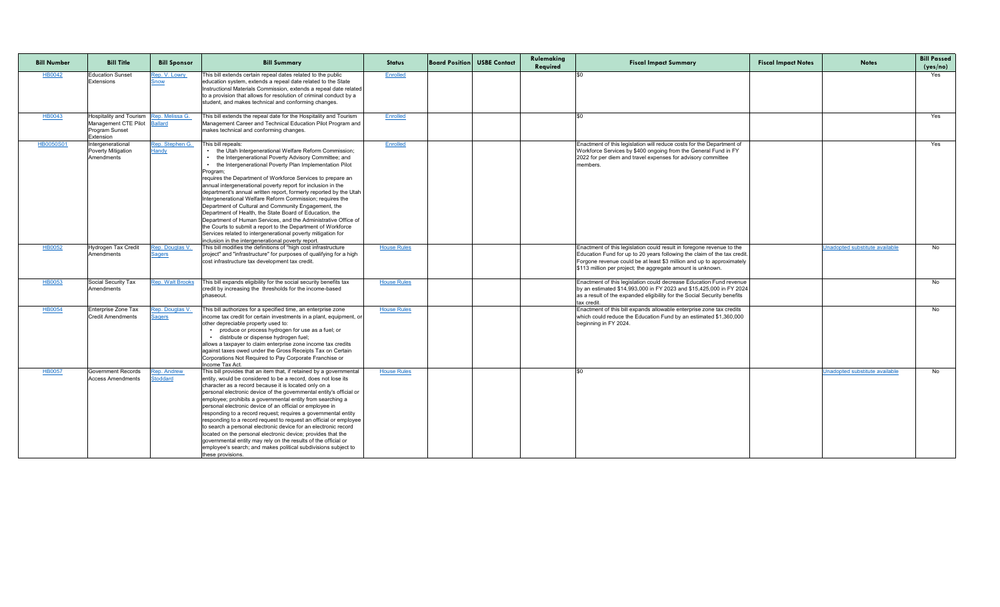| <b>Bill Number</b> | <b>Bill Title</b>                                                                                               | <b>Bill Sponsor</b>                     | <b>Bill Summary</b>                                                                                                                                                                                                                                                                                                                                                                                                                                                                                                                                                                                                                                                                                                                                                                                                                                        | <b>Status</b>      | <b>Board Position USBE Contact</b> | Rulemaking<br>Required | <b>Fiscal Impact Summary</b>                                                                                                                                                                                                                                                              | <b>Fiscal Impact Notes</b> | <b>Notes</b>                   | <b>Bill Passed</b><br>(yes/no) |
|--------------------|-----------------------------------------------------------------------------------------------------------------|-----------------------------------------|------------------------------------------------------------------------------------------------------------------------------------------------------------------------------------------------------------------------------------------------------------------------------------------------------------------------------------------------------------------------------------------------------------------------------------------------------------------------------------------------------------------------------------------------------------------------------------------------------------------------------------------------------------------------------------------------------------------------------------------------------------------------------------------------------------------------------------------------------------|--------------------|------------------------------------|------------------------|-------------------------------------------------------------------------------------------------------------------------------------------------------------------------------------------------------------------------------------------------------------------------------------------|----------------------------|--------------------------------|--------------------------------|
| <b>HB0042</b>      | <b>Education Sunset</b><br>Extensions                                                                           | Rep. V. Lowry<br>snow                   | This bill extends certain repeal dates related to the public<br>education system, extends a repeal date related to the State<br>Instructionsl Materials Commission, extends a repeal date related<br>to a provision that allows for resolution of criminal conduct by a<br>student, and makes technical and conforming changes.                                                                                                                                                                                                                                                                                                                                                                                                                                                                                                                            | Enrolled           |                                    |                        |                                                                                                                                                                                                                                                                                           |                            |                                | Yes                            |
| HB0043             | Hospitality and Tourism   Rep. Melissa G.<br>Management CTE Pilot Ballard<br><b>Program Sunset</b><br>Extension |                                         | This bill extends the repeal date for the Hospitality and Tourism<br>Management Career and Technical Education Pilot Program and<br>makes technical and conforming changes.                                                                                                                                                                                                                                                                                                                                                                                                                                                                                                                                                                                                                                                                                | Enrolled           |                                    |                        |                                                                                                                                                                                                                                                                                           |                            |                                | Yes                            |
| <b>HB0050S01</b>   | Intergenerational<br>Poverty Mitigation<br>Amendments                                                           | Rep. Stephen G.<br>Handy                | This bill repeals:<br>• the Utah Intergenerational Welfare Reform Commission;<br>the Intergenerational Poverty Advisory Committee; and<br>the Intergenerational Poverty Plan Implementation Pilot<br>Program<br>requires the Department of Workforce Services to prepare an<br>annual intergenerational poverty report for inclusion in the<br>department's annual written report, formerly reported by the Utah  <br>Intergenerational Welfare Reform Commission; requires the<br>Department of Cultural and Community Engagement, the<br>Department of Health, the State Board of Education, the<br>Department of Human Services, and the Administrative Office of<br>the Courts to submit a report to the Department of Workforce<br>Services related to intergenerational poverty mitigation for<br>inclusion in the intergenerational poverty report. | Enrolled           |                                    |                        | Enactment of this legislation will reduce costs for the Department of<br>Workforce Services by \$400 ongoing from the General Fund in FY<br>2022 for per diem and travel expenses for advisory committee<br>Imembers.                                                                     |                            |                                | Yes                            |
| <b>HB0052</b>      | Hydrogen Tax Credit<br>Amendments                                                                               | <u>Rep. Douglas V.</u><br><u>Sagers</u> | This bill modifies the definitions of "high cost infrastructure<br>project" and "infrastructure" for purposes of qualifying for a high<br>cost infrastructure tax development tax credit.                                                                                                                                                                                                                                                                                                                                                                                                                                                                                                                                                                                                                                                                  | <b>House Rules</b> |                                    |                        | Enactment of this legislation could result in foregone revenue to the<br>Education Fund for up to 20 years following the claim of the tax credit.<br>Forgone revenue could be at least \$3 million and up to approximately<br>\$113 million per project; the aggregate amount is unknown. |                            | Unadopted substitute available | No                             |
| <b>HB0053</b>      | Social Security Tax<br>Amendments                                                                               | <b>Rep. Walt Brooks</b>                 | This bill expands eligibility for the social security benefits tax<br>credit by increasing the thresholds for the income-based<br>phaseout.                                                                                                                                                                                                                                                                                                                                                                                                                                                                                                                                                                                                                                                                                                                | <b>House Rules</b> |                                    |                        | Enactment of this legislation could decrease Education Fund revenue<br>by an estimated \$14,993,000 in FY 2023 and \$15,425,000 in FY 2024<br>as a result of the expanded eligibility for the Social Security benefits<br>Itax credit.                                                    |                            |                                | No l                           |
| <b>HB0054</b>      | Enterprise Zone Tax<br><b>Credit Amendments</b>                                                                 | <u>Rep. Douglas V.</u><br><b>Sagers</b> | This bill authorizes for a specified time, an enterprise zone<br>lincome tax credit for certain investments in a plant, equipment, or<br>other depreciable property used to:<br>produce or process hydrogen for use as a fuel; or<br>· distribute or dispense hydrogen fuel;<br>allows a taxpayer to claim enterprise zone income tax credits<br>against taxes owed under the Gross Receipts Tax on Certain<br>Corporations Not Required to Pay Corporate Franchise or<br>Income Tax Act.                                                                                                                                                                                                                                                                                                                                                                  | <b>House Rules</b> |                                    |                        | Enactment of this bill expands allowable enterprise zone tax credits<br>which could reduce the Education Fund by an estimated \$1,360,000<br>beginning in FY 2024.                                                                                                                        |                            |                                | No                             |
| <b>HB0057</b>      | <b>Government Records</b><br><b>Access Amendments</b>                                                           | Rep. Andrew<br><b>Stoddard</b>          | This bill provides that an item that, if retained by a governmental<br>entity, would be considered to be a record, does not lose its<br>character as a record because it is located only on a<br>personal electronic device of the governmental entity's official or<br>employee; prohibits a governmental entity from searching a<br>personal electronic device of an official or employee in<br>responding to a record request; requires a governmental entity<br>responding to a record request to request an official or employee  <br>to search a personal electronic device for an electronic record<br>located on the personal electronic device; provides that the<br>governmental entity may rely on the results of the official or<br>employee's search; and makes political subdivisions subject to<br>these provisions.                        | <b>House Rules</b> |                                    |                        |                                                                                                                                                                                                                                                                                           |                            | Unadopted substitute available | No                             |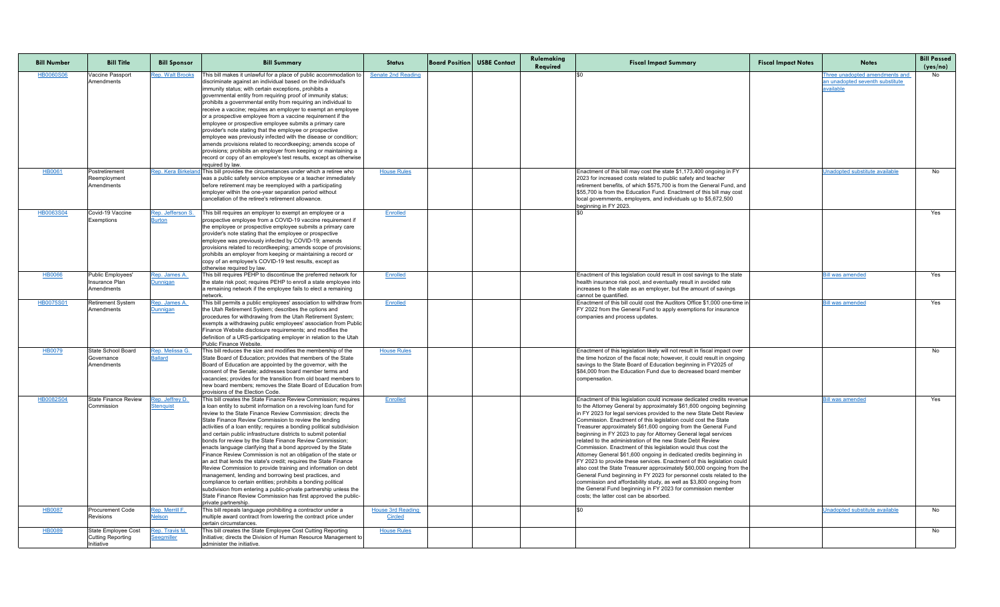| <b>Bill Number</b> | <b>Bill Title</b>                                             | <b>Bill Sponsor</b>                 | <b>Bill Summary</b>                                                                                                                                                                                                                                                                                                                                                                                                                                                                                                                                                                                                                                                                                                                                                                                                                                                                                                                                                                                                                | <b>Status</b>                              | <b>Board Position USBE Contact</b> | Rulemaking<br>Required | <b>Fiscal Impact Summary</b>                                                                                                                                                                                                                                                                                                                                                                                                                                                                                                                                                                                                                                                                                                                                                                                                                                                                                                                                                                                                                   | <b>Fiscal Impact Notes</b> | <b>Notes</b>                                                                   | <b>Bill Passed</b><br>(yes/no) |
|--------------------|---------------------------------------------------------------|-------------------------------------|------------------------------------------------------------------------------------------------------------------------------------------------------------------------------------------------------------------------------------------------------------------------------------------------------------------------------------------------------------------------------------------------------------------------------------------------------------------------------------------------------------------------------------------------------------------------------------------------------------------------------------------------------------------------------------------------------------------------------------------------------------------------------------------------------------------------------------------------------------------------------------------------------------------------------------------------------------------------------------------------------------------------------------|--------------------------------------------|------------------------------------|------------------------|------------------------------------------------------------------------------------------------------------------------------------------------------------------------------------------------------------------------------------------------------------------------------------------------------------------------------------------------------------------------------------------------------------------------------------------------------------------------------------------------------------------------------------------------------------------------------------------------------------------------------------------------------------------------------------------------------------------------------------------------------------------------------------------------------------------------------------------------------------------------------------------------------------------------------------------------------------------------------------------------------------------------------------------------|----------------------------|--------------------------------------------------------------------------------|--------------------------------|
| <b>HB0060S06</b>   | Vaccine Passport<br>Amendments                                | <b>Rep. Walt Brooks</b>             | This bill makes it unlawful for a place of public accommodation to<br>discriminate against an individual based on the individual's<br>immunity status; with certain exceptions, prohibits a<br>governmental entity from requiring proof of immunity status;<br>prohibits a governmental entity from requiring an individual to<br>receive a vaccine; requires an employer to exempt an employee<br>or a prospective employee from a vaccine requirement if the<br>employee or prospective employee submits a primary care<br>provider's note stating that the employee or prospective<br>employee was previously infected with the disease or condition;<br>amends provisions related to recordkeeping; amends scope of<br>provisions; prohibits an employer from keeping or maintaining a<br>record or copy of an employee's test results, except as otherwise<br>required by law.                                                                                                                                                | <b>Senate 2nd Reading</b>                  |                                    |                        |                                                                                                                                                                                                                                                                                                                                                                                                                                                                                                                                                                                                                                                                                                                                                                                                                                                                                                                                                                                                                                                |                            | Three unadopted amendments and<br>an unadopted seventh substitute<br>available | No                             |
| <b>HB0061</b>      | Postretirement<br>Reemployment<br>Amendments                  | Rep. Kera Birkela                   | This bill provides the circumstances under which a retiree who<br>was a public safety service employee or a teacher immediately<br>before retirement may be reemployed with a participating<br>employer within the one-year separation period without<br>cancellation of the retiree's retirement allowance.                                                                                                                                                                                                                                                                                                                                                                                                                                                                                                                                                                                                                                                                                                                       | <b>House Rules</b>                         |                                    |                        | Enactment of this bill may cost the state \$1,173,400 ongoing in FY<br>2023 for increased costs related to public safety and teacher<br>retirement benefits, of which \$575,700 is from the General Fund, and<br>\$55,700 is from the Education Fund. Enactment of this bill may cost<br>local governments, employers, and individuals up to \$5,672,500<br>beginning in FY 2023.                                                                                                                                                                                                                                                                                                                                                                                                                                                                                                                                                                                                                                                              |                            | Jnadopted substitute available                                                 | No                             |
| HB0063S04          | Covid-19 Vaccine<br>Exemptions                                | Rep. Jefferson S.<br><b>Burton</b>  | This bill requires an employer to exempt an employee or a<br>prospective employee from a COVID-19 vaccine requirement if<br>the employee or prospective employee submits a primary care<br>provider's note stating that the employee or prospective<br>employee was previously infected by COVID-19; amends<br>provisions related to recordkeeping; amends scope of provisions;<br>prohibits an employer from keeping or maintaining a record or<br>copy of an employee's COVID-19 test results, except as<br>otherwise required by law.                                                                                                                                                                                                                                                                                                                                                                                                                                                                                           | Enrolled                                   |                                    |                        |                                                                                                                                                                                                                                                                                                                                                                                                                                                                                                                                                                                                                                                                                                                                                                                                                                                                                                                                                                                                                                                |                            |                                                                                | Yes                            |
| <b>HB0066</b>      | Public Employees'<br>Insurance Plan<br>Amendments             | Rep. James A.<br><b>Dunnigan</b>    | This bill requires PEHP to discontinue the preferred network for<br>the state risk pool; requires PEHP to enroll a state employee into<br>a remaining network if the employee fails to elect a remaining<br>network.                                                                                                                                                                                                                                                                                                                                                                                                                                                                                                                                                                                                                                                                                                                                                                                                               | <b>Enrolled</b>                            |                                    |                        | Enactment of this legislation could result in cost savings to the state<br>health insurance risk pool, and eventually result in avoided rate<br>increases to the state as an employer, but the amount of savings<br>Icannot be quantified.                                                                                                                                                                                                                                                                                                                                                                                                                                                                                                                                                                                                                                                                                                                                                                                                     |                            | <b>Bill was amended</b>                                                        | Yes                            |
| <b>HB0075S01</b>   | <b>Retirement System</b><br>Amendments                        | Rep. James A.<br><b>Dunnigan</b>    | This bill permits a public employees' association to withdraw from<br>the Utah Retirement System; describes the options and<br>procedures for withdrawing from the Utah Retirement System;<br>exempts a withdrawing public employees' association from Public<br>Finance Website disclosure requirements; and modifies the<br>definition of a URS-participating employer in relation to the Utah<br><b>Public Finance Website.</b>                                                                                                                                                                                                                                                                                                                                                                                                                                                                                                                                                                                                 | <b>Enrolled</b>                            |                                    |                        | Enactment of this bill could cost the Auditors Office \$1,000 one-time in<br>FY 2022 from the General Fund to apply exemptions for insurance<br>companies and process updates.                                                                                                                                                                                                                                                                                                                                                                                                                                                                                                                                                                                                                                                                                                                                                                                                                                                                 |                            | <b>Bill was amended</b>                                                        | Yes                            |
| HB0079             | State School Board<br>Governance<br>Amendments                | Rep. Melissa G.<br><b>Ballard</b>   | This bill reduces the size and modifies the membership of the<br>State Board of Education; provides that members of the State<br>Board of Education are appointed by the governor, with the<br>consent of the Senate; addresses board member terms and<br>vacancies; provides for the transition from old board members to<br>new board members; removes the State Board of Education from<br>provisions of the Election Code.                                                                                                                                                                                                                                                                                                                                                                                                                                                                                                                                                                                                     | <b>House Rules</b>                         |                                    |                        | Enactment of this legislation likely will not result in fiscal impact over<br>the time horizon of the fiscal note; however, it could result in ongoing<br>savings to the State Board of Education beginning in FY2025 of<br>\$84,000 from the Education Fund due to decreased board member<br>compensation                                                                                                                                                                                                                                                                                                                                                                                                                                                                                                                                                                                                                                                                                                                                     |                            |                                                                                | No                             |
| HB0082S04          | <b>State Finance Review</b><br>Commission                     | Rep. Jeffrey D.<br><b>Stenquist</b> | This bill creates the State Finance Review Commission; requires<br>a loan entity to submit information on a revolving loan fund for<br>review to the State Finance Review Commission; directs the<br>State Finance Review Commission to review the lending<br>activities of a loan entity; requires a bonding political subdivision<br>and certain public infrastructure districts to submit potential<br>bonds for review by the State Finance Review Commission;<br>enacts language clarifying that a bond approved by the State<br>Finance Review Commission is not an obligation of the state or<br>an act that lends the state's credit; requires the State Finance<br>Review Commission to provide training and information on debt<br>management, lending and borrowing best practices, and<br>compliance to certain entities; prohibits a bonding political<br>subdivision from entering a public-private partnership unless the<br>State Finance Review Commission has first approved the public-<br>private partnership. | Enrolled                                   |                                    |                        | Enactment of this legislation could increase dedicated credits revenue<br>to the Attorney General by approximately \$61,600 ongoing beginning<br>In FY 2023 for legal services provided to the new State Debt Review<br>Commission. Enactment of this legislation could cost the State<br>Treasurer approximately \$61,600 ongoing from the General Fund<br>beginning in FY 2023 to pay for Attorney General legal services<br>Irelated to the administration of the new State Debt Review<br>Commission. Enactment of this legislation would thus cost the<br>Attorney General \$61,600 ongoing in dedicated credits beginning in<br>FY 2023 to provide these services. Enactment of this legislation could<br>also cost the State Treasurer approximately \$60,000 ongoing from the<br>General Fund beginning in FY 2023 for personnel costs related to the<br>commission and affordability study, as well as \$3,800 ongoing from<br>the General Fund beginning in FY 2023 for commission member<br>costs; the latter cost can be absorbed. |                            | <b>Bill was amended</b>                                                        | Yes                            |
| <b>HB0087</b>      | <b>Procurement Code</b><br>Revisions                          | Rep. Merrill F.<br><b>Nelson</b>    | This bill repeals language prohibiting a contractor under a<br>multiple award contract from lowering the contract price under<br>certain circumstances.                                                                                                                                                                                                                                                                                                                                                                                                                                                                                                                                                                                                                                                                                                                                                                                                                                                                            | <b>House 3rd Reading</b><br><b>Circled</b> |                                    |                        |                                                                                                                                                                                                                                                                                                                                                                                                                                                                                                                                                                                                                                                                                                                                                                                                                                                                                                                                                                                                                                                |                            | Unadopted substitute available                                                 | No                             |
| HB0089             | State Employee Cost<br><b>Cutting Reporting</b><br>Initiative | Rep. Travis M.<br>Seegmiller        | This bill creates the State Employee Cost Cutting Reporting<br>Initiative; directs the Division of Human Resource Management to<br>administer the initiative.                                                                                                                                                                                                                                                                                                                                                                                                                                                                                                                                                                                                                                                                                                                                                                                                                                                                      | <b>House Rules</b>                         |                                    |                        |                                                                                                                                                                                                                                                                                                                                                                                                                                                                                                                                                                                                                                                                                                                                                                                                                                                                                                                                                                                                                                                |                            |                                                                                | No                             |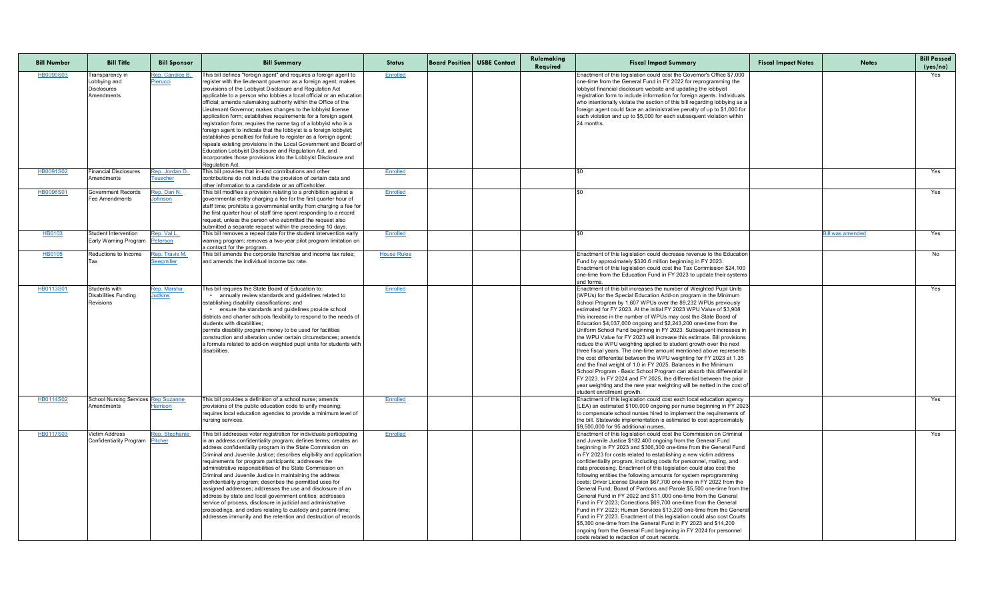| <b>Bill Number</b> | <b>Bill Title</b>                                                   | <b>Bill Sponsor</b>                       | <b>Bill Summary</b>                                                                                                                                                                                                                                                                                                                                                                                                                                                                                                                                                                                                                                                                                                                                                                                                                                                                                       | <b>Status</b>      | <b>Board Position USBE Contact</b> | Rulemaking<br>Required | <b>Fiscal Impact Summary</b>                                                                                                                                                                                                                                                                                                                                                                                                                                                                                                                                                                                                                                                                                                                                                                                                                                                                                                                                                                                                                                                                                              | <b>Fiscal Impact Notes</b> | <b>Notes</b>           | <b>Bill Passed</b><br>(yes/no) |
|--------------------|---------------------------------------------------------------------|-------------------------------------------|-----------------------------------------------------------------------------------------------------------------------------------------------------------------------------------------------------------------------------------------------------------------------------------------------------------------------------------------------------------------------------------------------------------------------------------------------------------------------------------------------------------------------------------------------------------------------------------------------------------------------------------------------------------------------------------------------------------------------------------------------------------------------------------------------------------------------------------------------------------------------------------------------------------|--------------------|------------------------------------|------------------------|---------------------------------------------------------------------------------------------------------------------------------------------------------------------------------------------------------------------------------------------------------------------------------------------------------------------------------------------------------------------------------------------------------------------------------------------------------------------------------------------------------------------------------------------------------------------------------------------------------------------------------------------------------------------------------------------------------------------------------------------------------------------------------------------------------------------------------------------------------------------------------------------------------------------------------------------------------------------------------------------------------------------------------------------------------------------------------------------------------------------------|----------------------------|------------------------|--------------------------------|
| <b>HB0090S03</b>   | Transparency in<br>Lobbying and<br><b>Disclosures</b><br>Amendments | Rep. Candice B.<br>Pierucci               | This bill defines "foreign agent" and requires a foreign agent to<br>register with the lieutenant governor as a foreign agent; makes<br>provisions of the Lobbyist Disclosure and Regulation Act<br>applicable to a person who lobbies a local official or an education<br>official; amends rulemaking authority within the Office of the<br>Lieutenant Governor; makes changes to the lobbyist license<br>application form; establishes requirements for a foreign agent<br>registration form; requires the name tag of a lobbyist who is a<br>foreign agent to indicate that the lobbyist is a foreign lobbyist;<br>establishes penalties for failure to register as a foreign agent;<br>repeals existing provisions in the Local Government and Board of<br>Education Lobbyist Disclosure and Regulation Act, and<br>incorporates those provisions into the Lobbyist Disclosure and<br>Regulation Act. | Enrolled           |                                    |                        | Enactment of this legislation could cost the Governor's Office \$7,000<br>one-time from the General Fund in FY 2022 for reprogramming the<br>lobbyist financial disclosure website and updating the lobbyist<br>registration form to include information for foreign agents. Individuals<br>who intentionally violate the section of this bill regarding lobbying as a<br>foreign agent could face an administrative penalty of up to \$1,000 for<br>each violation and up to \$5,000 for each subsequent violation within<br>24 months.                                                                                                                                                                                                                                                                                                                                                                                                                                                                                                                                                                                  |                            |                        | Yes                            |
| HB0091S02          | <b>Financial Disclosures</b><br>Amendments                          | <u>Rep. Jordan D. </u><br><b>Teuscher</b> | This bill provides that in-kind contributions and other<br>contributions do not include the provision of certain data and<br>other information to a candidate or an officeholder.                                                                                                                                                                                                                                                                                                                                                                                                                                                                                                                                                                                                                                                                                                                         | <b>Enrolled</b>    |                                    |                        |                                                                                                                                                                                                                                                                                                                                                                                                                                                                                                                                                                                                                                                                                                                                                                                                                                                                                                                                                                                                                                                                                                                           |                            |                        | Yes                            |
| <b>HB0096S01</b>   | <b>Government Records</b><br><b>Fee Amendments</b>                  | Rep. Dan N.<br>Johnson                    | This bill modifies a provision relating to a prohibition against a<br>governmental entity charging a fee for the first quarter hour of<br>staff time; prohibits a governmental entity from charging a fee for<br>the first quarter hour of staff time spent responding to a record<br>request, unless the person who submitted the request also<br>submitted a separate request within the preceding 10 days.                                                                                                                                                                                                                                                                                                                                                                                                                                                                                             | Enrolled           |                                    |                        |                                                                                                                                                                                                                                                                                                                                                                                                                                                                                                                                                                                                                                                                                                                                                                                                                                                                                                                                                                                                                                                                                                                           |                            |                        | Yes                            |
| <b>HB0103</b>      | <b>Student Intervention</b><br><b>Early Warning Program</b>         | Rep. Val L.<br><b>Peterson</b>            | This bill removes a repeal date for the student intervention early<br>warning program; removes a two-year pilot program limitation on<br>a contract for the program.                                                                                                                                                                                                                                                                                                                                                                                                                                                                                                                                                                                                                                                                                                                                      | Enrolled           |                                    |                        |                                                                                                                                                                                                                                                                                                                                                                                                                                                                                                                                                                                                                                                                                                                                                                                                                                                                                                                                                                                                                                                                                                                           |                            | <b>ill was amended</b> | Yes                            |
| HB0105             | Reductions to Income                                                | Rep. Travis M.<br><b>Seegmiller</b>       | This bill amends the corporate franchise and income tax rates;<br>and amends the individual income tax rate.                                                                                                                                                                                                                                                                                                                                                                                                                                                                                                                                                                                                                                                                                                                                                                                              | <b>House Rules</b> |                                    |                        | Enactment of this legislation could decrease revenue to the Education<br>Fund by approximately \$320.6 million beginning in FY 2023.<br>Enactment of this legislation could cost the Tax Commission \$24,100<br>one-time from the Education Fund in FY 2023 to update their systems<br>and forms                                                                                                                                                                                                                                                                                                                                                                                                                                                                                                                                                                                                                                                                                                                                                                                                                          |                            |                        | No                             |
| HB0113S01          | Students with<br><b>Disabilities Funding</b><br><b>Revisions</b>    | Rep. Marsha<br><b>Judkins</b>             | This bill requires the State Board of Education to:<br>• annually review standards and guidelines related to<br>establishing disability classifications; and<br>. ensure the standards and guidelines provide school<br>districts and charter schools flexibility to respond to the needs of<br>students with disabilities:<br>permits disability program money to be used for facilities<br>construction and alteration under certain circumstances; amends<br>a formula related to add-on weighted pupil units for students with<br>disabilities.                                                                                                                                                                                                                                                                                                                                                       | Enrolled           |                                    |                        | Enactment of this bill increases the number of Weighted Pupil Units<br>(WPUs) for the Special Education Add-on program in the Minimum<br>School Program by 1,607 WPUs over the 89,232 WPUs previously<br>lestimated for FY 2023. At the initial FY 2023 WPU Value of \$3,908<br>this increase in the number of WPUs may cost the State Board of<br>Education \$4,037,000 ongoing and \$2,243,200 one-time from the<br>Uniform School Fund beginning in FY 2023. Subsequent increases in<br>the WPU Value for FY 2023 will increase this estimate. Bill provisions<br>reduce the WPU weighting applied to student growth over the next<br>three fiscal years. The one-time amount mentioned above represents<br>the cost differential between the WPU weighting for FY 2023 at 1.35<br>and the final weight of 1.0 in FY 2025. Balances in the Minimum<br>School Program - Basic School Program can absorb this differential in<br>FY 2023. In FY 2024 and FY 2025, the differential between the prior<br>year weighting and the new year weighting will be netted in the cost of<br>student enrollment growth.            |                            |                        | Yes                            |
| HB0114S02          | School Nursing Services   Rep Suzanne<br>Amendments                 | Harrison                                  | This bill provides a definition of a school nurse; amends<br>provisions of the public education code to unify meaning;<br>requires local education agencies to provide a minimum level of<br>nursing services.                                                                                                                                                                                                                                                                                                                                                                                                                                                                                                                                                                                                                                                                                            | Enrolled           |                                    |                        | Enactment of this legislation could cost each local education agency<br>(LEA) an estimated \$100,000 ongoing per nurse beginning in FY 2023<br>to compensate school nurses hired to implement the requirements of<br>the bill. Statewide implementation is estimated to cost approximately<br>I\$9.500.000 for 95 additional nurses.                                                                                                                                                                                                                                                                                                                                                                                                                                                                                                                                                                                                                                                                                                                                                                                      |                            |                        | Yes                            |
| HB0117S03          | <b>Victim Address</b><br>Confidentiality Program Pitcher            | Rep. Stephanie                            | This bill addresses voter registration for individuals participating<br>in an address confidentiality program; defines terms; creates an<br>address confidentiality program in the State Commission on<br>Criminal and Juvenile Justice; describes eligibility and application<br>requirements for program participants; addresses the<br>administrative responsibilities of the State Commission on<br>Criminal and Juvenile Justice in maintaining the address<br>confidentiality program; describes the permitted uses for<br>assigned addresses; addresses the use and disclosure of an<br>address by state and local government entities; addresses<br>service of process, disclosure in judicial and administrative<br>proceedings, and orders relating to custody and parent-time;<br>addresses immunity and the retention and destruction of records.                                             | <b>Enrolled</b>    |                                    |                        | Enactment of this legislation could cost the Commission on Criminal<br>and Juvenile Justice \$182,400 ongoing from the General Fund<br>beginning in FY 2023 and \$306,300 one-time from the General Fund<br>in FY 2023 for costs related to establishing a new victim address<br>confidentiality program, including costs for personnel, mailing, and<br>data processing. Enactment of this legislation could also cost the<br>following entities the following amounts for system reprogramming<br>costs: Driver License Division \$67,700 one-time in FY 2022 from the<br>General Fund; Board of Pardons and Parole \$5,500 one-time from the<br>General Fund in FY 2022 and \$11,000 one-time from the General<br>Fund in FY 2023; Corrections \$69,700 one-time from the General<br>Fund in FY 2023; Human Services \$13,200 one-time from the General<br>Fund in FY 2023. Enactment of this legislation could also cost Courts<br>\$5,300 one-time from the General Fund in FY 2023 and \$14,200<br>ongoing from the General Fund beginning in FY 2024 for personnel<br>costs related to redaction of court records. |                            |                        | Yes                            |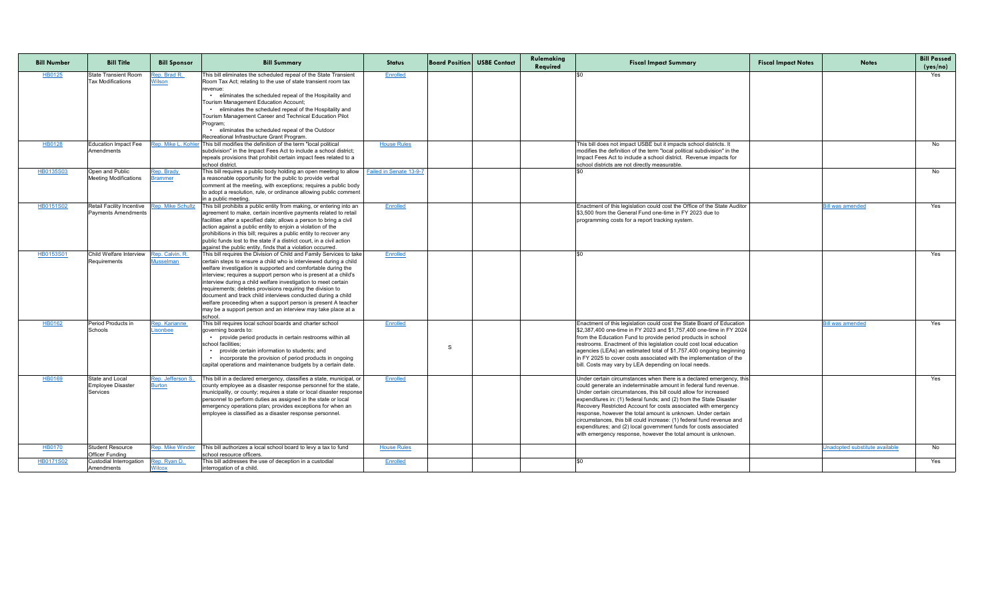| <b>Bill Number</b> | <b>Bill Title</b>                                                         | <b>Bill Sponsor</b>                 | <b>Bill Summary</b>                                                                                                                                                                                                                                                                                                                                                                                                                                                                                                                                                                                                        | <b>Status</b>      |   | <b>Board Position USBE Contact</b> | Rulemaking<br>Required | <b>Fiscal Impact Summary</b>                                                                                                                                                                                                                                                                                                                                                                                                                                                                                                                                                                                                          | <b>Fiscal Impact Notes</b> | <b>Notes</b>                   | <b>Bill Passed</b><br>(yes/no) |
|--------------------|---------------------------------------------------------------------------|-------------------------------------|----------------------------------------------------------------------------------------------------------------------------------------------------------------------------------------------------------------------------------------------------------------------------------------------------------------------------------------------------------------------------------------------------------------------------------------------------------------------------------------------------------------------------------------------------------------------------------------------------------------------------|--------------------|---|------------------------------------|------------------------|---------------------------------------------------------------------------------------------------------------------------------------------------------------------------------------------------------------------------------------------------------------------------------------------------------------------------------------------------------------------------------------------------------------------------------------------------------------------------------------------------------------------------------------------------------------------------------------------------------------------------------------|----------------------------|--------------------------------|--------------------------------|
| HB0125             | <b>State Transient Room</b><br><b>Tax Modifications</b>                   | Rep. Brad R.<br>Wilson              | This bill eliminates the scheduled repeal of the State Transient<br>Room Tax Act; relating to the use of state transient room tax<br>revenue<br>eliminates the scheduled repeal of the Hospitality and<br>Tourism Management Education Account;<br>• eliminates the scheduled repeal of the Hospitality and<br>Tourism Management Career and Technical Education Pilot<br>Program<br>eliminates the scheduled repeal of the Outdoor<br>Recreational Infrastructure Grant Program.                                                                                                                                          | <b>Enrolled</b>    |   |                                    |                        |                                                                                                                                                                                                                                                                                                                                                                                                                                                                                                                                                                                                                                       |                            |                                | Yes                            |
| HB0128             | Education Impact Fee<br>Amendments                                        | ep. Mike L. Kohler                  | This bill modifies the definition of the term "local political<br>subdivision" in the Impact Fees Act to include a school district;<br>repeals provisions that prohibit certain impact fees related to a<br>school district.                                                                                                                                                                                                                                                                                                                                                                                               | <b>House Rules</b> |   |                                    |                        | This bill does not impact USBE but it impacts school districts. It<br>modifies the definition of the term "local political subdivision" in the<br>Impact Fees Act to include a school district. Revenue impacts for<br>school districts are not directly measurable.                                                                                                                                                                                                                                                                                                                                                                  |                            |                                | No .                           |
| HB0135S03          | <b>Open and Public</b><br><b>Meeting Modifications</b>                    | Rep. Brady<br><b>Brammer</b>        | This bill requires a public body holding an open meeting to allow $\int$ Failed in Senate 13-9-7<br>a reasonable opportunity for the public to provide verbal<br>comment at the meeting, with exceptions; requires a public body<br>to adopt a resolution, rule, or ordinance allowing public comment<br>in a public meeting.                                                                                                                                                                                                                                                                                              |                    |   |                                    |                        |                                                                                                                                                                                                                                                                                                                                                                                                                                                                                                                                                                                                                                       |                            |                                | No.                            |
| HB0151S02          | Retail Facility Incentive Rep. Mike Schultz<br><b>Payments Amendments</b> |                                     | This bill prohibits a public entity from making, or entering into an<br>agreement to make, certain incentive payments related to retail<br>facilities after a specified date; allows a person to bring a civil<br>action against a public entity to enjoin a violation of the<br>prohibitions in this bill; requires a public entity to recover any<br>public funds lost to the state if a district court, in a civil action<br>against the public entity, finds that a violation occurred                                                                                                                                 | <b>Enrolled</b>    |   |                                    |                        | Enactment of this legislation could cost the Office of the State Auditor<br>\$3,500 from the General Fund one-time in FY 2023 due to<br>programming costs for a report tracking system.                                                                                                                                                                                                                                                                                                                                                                                                                                               |                            | <b>Bill was amended</b>        | Yes                            |
| HB0153S01          | Child Welfare Interview<br>Requirements                                   | Rep. Calvin. R.<br><b>Musselman</b> | This bill requires the Division of Child and Family Services to take<br>certain steps to ensure a child who is interviewed during a child<br>welfare investigation is supported and comfortable during the<br>interview; requires a support person who is present at a child's<br>interview during a child welfare investigation to meet certain<br>requirements; deletes provisions requiring the division to<br>document and track child interviews conducted during a child<br>welfare proceeding when a support person is present A teacher<br>may be a support person and an interview may take place at a<br>school. | Enrolled           |   |                                    |                        |                                                                                                                                                                                                                                                                                                                                                                                                                                                                                                                                                                                                                                       |                            |                                | Yes                            |
| <b>HB0162</b>      | Period Products in<br>Schools                                             | Rep. Karianne<br>Lisonbee           | This bill requires local school boards and charter school<br>governing boards to:<br>• provide period products in certain restrooms within all<br>school facilities;<br>provide certain information to students; and<br>• incorporate the provision of period products in ongoing<br>capital operations and maintenance budgets by a certain date.                                                                                                                                                                                                                                                                         | <b>Enrolled</b>    | S |                                    |                        | Enactment of this legislation could cost the State Board of Education<br>\$2,387,400 one-time in FY 2023 and \$1,757,400 one-time in FY 2024<br>from the Education Fund to provide period products in school<br>restrooms. Enactment of this legislation could cost local education<br>agencies (LEAs) an estimated total of \$1,757,400 ongoing beginning<br>in FY 2025 to cover costs associated with the implementation of the<br>bill. Costs may vary by LEA depending on local needs.                                                                                                                                            |                            | <b>ill was amended</b>         | Yes                            |
| <b>HB0169</b>      | State and Local<br>Employee Disaster<br>Services                          | Rep. Jefferson S.<br><b>Burton</b>  | This bill in a declared emergency, classifies a state, municipal, or $\vert$<br>county employee as a disaster response personnel for the state,<br>municipality, or county; requires a state or local disaster response<br>personnel to perform duties as assigned in the state or local<br>emergency operations plan; provides exceptions for when an<br>employee is classified as a disaster response personnel.                                                                                                                                                                                                         | <b>Enrolled</b>    |   |                                    |                        | Under certain circumstances when there is a declared emergency, this<br>could generate an indeterminable amount in federal fund revenue.<br>Under certain circumstances, this bill could allow for increased<br>expenditures in: (1) federal funds; and (2) from the State Disaster<br>Recovery Restricted Account for costs associated with emergency<br>response, however the total amount is unknown. Under certain<br>circumstances, this bill could increase: (1) federal fund revenue and<br>expenditures; and (2) local government funds for costs associated<br>with emergency response, however the total amount is unknown. |                            |                                | Yes                            |
| HB0170             | <b>Student Resource</b><br><b>Officer Funding</b>                         | <b>Rep. Mike Winder</b>             | This bill authorizes a local school board to levy a tax to fund<br>school resource officers.                                                                                                                                                                                                                                                                                                                                                                                                                                                                                                                               | <b>House Rules</b> |   |                                    |                        |                                                                                                                                                                                                                                                                                                                                                                                                                                                                                                                                                                                                                                       |                            | Unadopted substitute available | No                             |
| HB0171S02          | Custodial Interrogation<br>Amendments                                     | Rep. Ryan D.<br><b>Wilcox</b>       | This bill addresses the use of deception in a custodial<br>interrogation of a child.                                                                                                                                                                                                                                                                                                                                                                                                                                                                                                                                       | <b>Enrolled</b>    |   |                                    |                        |                                                                                                                                                                                                                                                                                                                                                                                                                                                                                                                                                                                                                                       |                            |                                | Yes                            |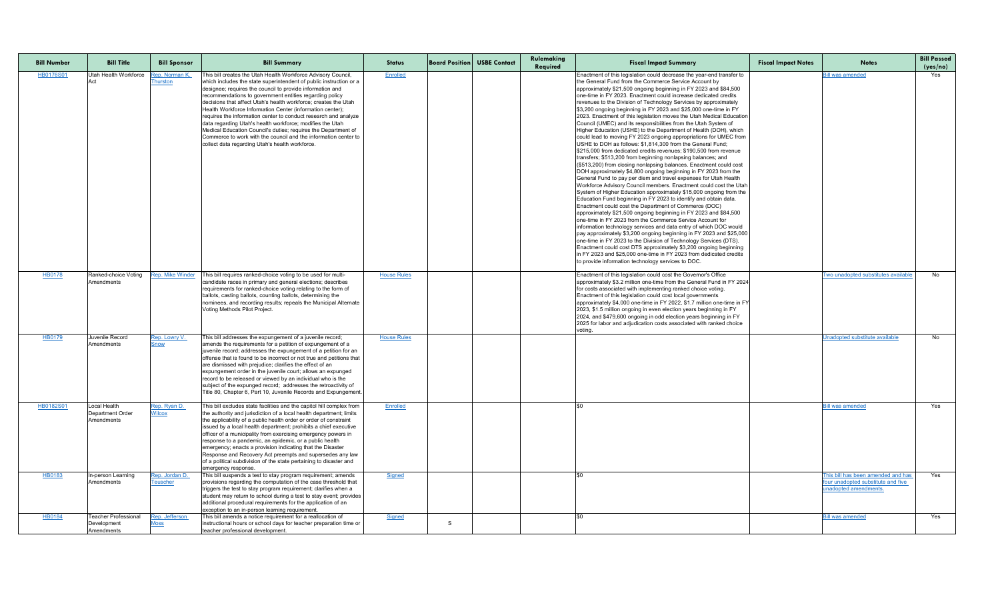| <b>Bill Number</b> | <b>Bill Title</b>                                        | <b>Bill Sponsor</b>                      | <b>Bill Summary</b>                                                                                                                                                                                                                                                                                                                                                                                                                                                                                                                                                                                                                                                                                                 | <b>Status</b>      | <b>Board Position</b> USBE Contact | Rulemaking<br>Required | <b>Fiscal Impact Summary</b>                                                                                                                                                                                                                                                                                                                                                                                                                                                                                                                                                                                                                                                                                                                                                                                                                                                                                                                                                                                                                                                                                                                                                                                                                                                                                                                                                                                                                                                                                                                                                                                                                                                                                                                                                                                                                                                                                                                | <b>Fiscal Impact Notes</b> | <b>Notes</b>                                                                                     | <b>Bill Passed</b><br>(yes/no) |
|--------------------|----------------------------------------------------------|------------------------------------------|---------------------------------------------------------------------------------------------------------------------------------------------------------------------------------------------------------------------------------------------------------------------------------------------------------------------------------------------------------------------------------------------------------------------------------------------------------------------------------------------------------------------------------------------------------------------------------------------------------------------------------------------------------------------------------------------------------------------|--------------------|------------------------------------|------------------------|---------------------------------------------------------------------------------------------------------------------------------------------------------------------------------------------------------------------------------------------------------------------------------------------------------------------------------------------------------------------------------------------------------------------------------------------------------------------------------------------------------------------------------------------------------------------------------------------------------------------------------------------------------------------------------------------------------------------------------------------------------------------------------------------------------------------------------------------------------------------------------------------------------------------------------------------------------------------------------------------------------------------------------------------------------------------------------------------------------------------------------------------------------------------------------------------------------------------------------------------------------------------------------------------------------------------------------------------------------------------------------------------------------------------------------------------------------------------------------------------------------------------------------------------------------------------------------------------------------------------------------------------------------------------------------------------------------------------------------------------------------------------------------------------------------------------------------------------------------------------------------------------------------------------------------------------|----------------------------|--------------------------------------------------------------------------------------------------|--------------------------------|
| <b>HB0176S01</b>   | Utah Health Workforce                                    | Rep. Norman K.<br><u><b>Thurston</b></u> | This bill creates the Utah Health Workforce Advisory Council,<br>which includes the state superintendent of public instruction or a<br>designee; requires the council to provide information and<br>recommendations to government entities regarding policy<br>decisions that affect Utah's health workforce; creates the Utah<br>Health Workforce Information Center (information center);<br>requires the information center to conduct research and analyze<br>data regarding Utah's health workforce; modifies the Utah<br>Medical Education Council's duties; requires the Department of<br>Commerce to work with the council and the information center to<br>collect data regarding Utah's health workforce. | Enrolled           |                                    |                        | Enactment of this legislation could decrease the year-end transfer to<br>the General Fund from the Commerce Service Account by<br>approximately \$21,500 ongoing beginning in FY 2023 and \$84,500<br>one-time in FY 2023. Enactment could increase dedicated credits<br>revenues to the Division of Technology Services by approximately<br>\$3,200 ongoing beginning in FY 2023 and \$25,000 one-time in FY<br>2023. Enactment of this legislation moves the Utah Medical Education<br>Council (UMEC) and its responsibilities from the Utah System of<br>Higher Education (USHE) to the Department of Health (DOH), which<br>could lead to moving FY 2023 ongoing appropriations for UMEC from<br>USHE to DOH as follows: \$1,814,300 from the General Fund;<br>\$215,000 from dedicated credits revenues; \$190,500 from revenue<br>transfers; \$513,200 from beginning nonlapsing balances; and<br>(\$513,200) from closing nonlapsing balances. Enactment could cost<br>DOH approximately \$4,800 ongoing beginning in FY 2023 from the<br>General Fund to pay per diem and travel expenses for Utah Health<br>Workforce Advisory Council members. Enactment could cost the Utah<br>System of Higher Education approximately \$15,000 ongoing from the<br>Education Fund beginning in FY 2023 to identify and obtain data.<br>Enactment could cost the Department of Commerce (DOC)<br>approximately \$21,500 ongoing beginning in FY 2023 and \$84,500<br>one-time in FY 2023 from the Commerce Service Account for<br>information technology services and data entry of which DOC would<br>pay approximately \$3,200 ongoing beginning in FY 2023 and \$25,000<br>one-time in FY 2023 to the Division of Technology Services (DTS).<br>Enactment could cost DTS approximately \$3,200 ongoing beginning<br>in FY 2023 and \$25,000 one-time in FY 2023 from dedicated credits<br>to provide information technology services to DOC. |                            | <u>Bill was amended</u>                                                                          | Yes                            |
| <u>HB0178</u>      | Amendments                                               |                                          | Ranked-choice Voting Rep. Mike Winder This bill requires ranked-choice voting to be used for multi-<br>candidate races in primary and general elections; describes<br>requirements for ranked-choice voting relating to the form of<br>ballots, casting ballots, counting ballots, determining the<br>nominees, and recording results; repeals the Municipal Alternate<br>Voting Methods Pilot Project.                                                                                                                                                                                                                                                                                                             | <b>House Rules</b> |                                    |                        | Enactment of this legislation could cost the Governor's Office<br>approximately \$3.2 million one-time from the General Fund in FY 2024<br>for costs associated with implementing ranked choice voting.<br>Enactment of this legislation could cost local governments<br>approximately \$4,000 one-time in FY 2022, \$1.7 million one-time in FY<br>2023, \$1.5 million ongoing in even election years beginning in FY<br>2024, and \$479,600 ongoing in odd election years beginning in FY<br>2025 for labor and adjudication costs associated with ranked choice<br>voting.                                                                                                                                                                                                                                                                                                                                                                                                                                                                                                                                                                                                                                                                                                                                                                                                                                                                                                                                                                                                                                                                                                                                                                                                                                                                                                                                                               |                            | <u>Iwo unadopted substitutes available</u>                                                       | No                             |
| HB0179             | Juvenile Record<br>Amendments                            | Rep. Lowry V.<br>Snow                    | This bill addresses the expungement of a juvenile record;<br>amends the requirements for a petition of expungement of a<br>juvenile record; addresses the expungement of a petition for an<br>offense that is found to be incorrect or not true and petitions that<br>are dismissed with prejudice; clarifies the effect of an<br>expungement order in the juvenile court; allows an expunged<br>record to be released or viewed by an individual who is the<br>subject of the expunged record; addresses the retroactivity of<br>Title 80, Chapter 6, Part 10, Juvenile Records and Expungement.                                                                                                                   | <b>House Rules</b> |                                    |                        |                                                                                                                                                                                                                                                                                                                                                                                                                                                                                                                                                                                                                                                                                                                                                                                                                                                                                                                                                                                                                                                                                                                                                                                                                                                                                                                                                                                                                                                                                                                                                                                                                                                                                                                                                                                                                                                                                                                                             |                            | Unadopted substitute available                                                                   | No                             |
| <b>HB0182S01</b>   | ocal Health<br><b>Department Order</b><br>Amendments     | Rep. Ryan D.<br><b>Wilcox</b>            | This bill excludes state facilities and the capitol hill complex from<br>the authority and jurisdiction of a local health department; limits<br>the applicability of a public health order or order of constraint<br>issued by a local health department; prohibits a chief executive<br>officer of a municipality from exercising emergency powers in<br>response to a pandemic, an epidemic, or a public health<br>emergency; enacts a provision indicating that the Disaster<br>Response and Recovery Act preempts and supersedes any law<br>of a political subdivision of the state pertaining to disaster and<br>emergency response.                                                                           | Enrolled           |                                    |                        |                                                                                                                                                                                                                                                                                                                                                                                                                                                                                                                                                                                                                                                                                                                                                                                                                                                                                                                                                                                                                                                                                                                                                                                                                                                                                                                                                                                                                                                                                                                                                                                                                                                                                                                                                                                                                                                                                                                                             |                            | <b>Bill was amended</b>                                                                          | Yes                            |
| HB0183             | In-person Learning<br>Amendments                         | Rep. Jordan D.<br><b>Teuscher</b>        | This bill suspends a test to stay program requirement; amends<br>provisions regarding the computation of the case threshold that<br>triggers the test to stay program requirement; clarifies when a<br>student may return to school during a test to stay event; provides<br>additional procedural requirements for the application of an<br>exception to an in-person learning requirement.                                                                                                                                                                                                                                                                                                                        | <b>Signed</b>      |                                    |                        |                                                                                                                                                                                                                                                                                                                                                                                                                                                                                                                                                                                                                                                                                                                                                                                                                                                                                                                                                                                                                                                                                                                                                                                                                                                                                                                                                                                                                                                                                                                                                                                                                                                                                                                                                                                                                                                                                                                                             |                            | This bill has been amended and has<br>four unadopted substitute and five<br>unadopted amendments | Yes                            |
| HB0184             | <b>Teacher Professional</b><br>Development<br>Amendments | Rep. Jefferson<br><u>Moss</u>            | This bill amends a notice requirement for a reallocation of<br>instructional hours or school days for teacher preparation time or<br>teacher professional development.                                                                                                                                                                                                                                                                                                                                                                                                                                                                                                                                              | Signed             |                                    |                        |                                                                                                                                                                                                                                                                                                                                                                                                                                                                                                                                                                                                                                                                                                                                                                                                                                                                                                                                                                                                                                                                                                                                                                                                                                                                                                                                                                                                                                                                                                                                                                                                                                                                                                                                                                                                                                                                                                                                             |                            | <u>Bill was amended</u>                                                                          | Yes                            |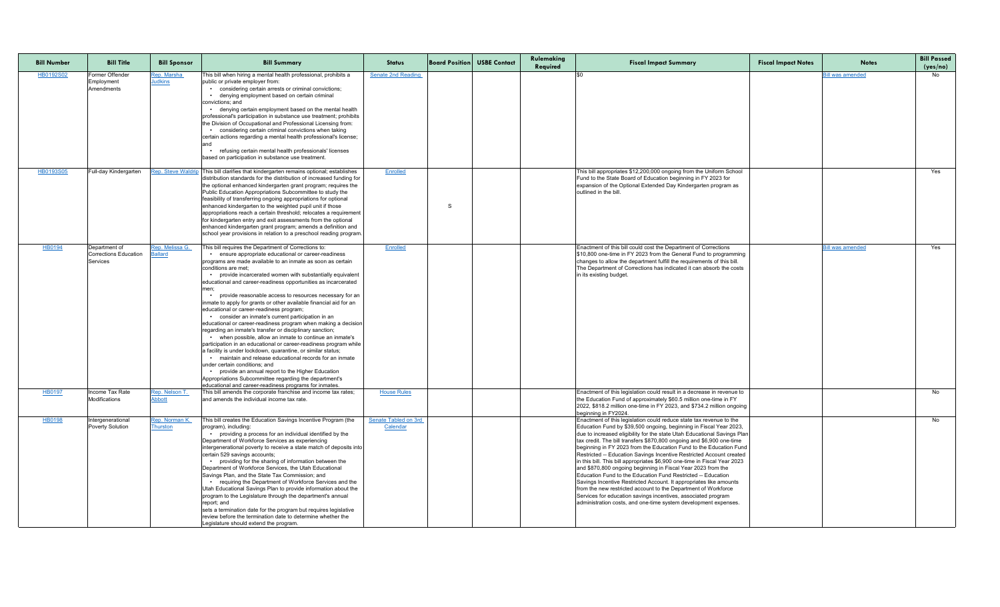| <b>Bill Number</b> | <b>Bill Title</b>                                  | <b>Bill Sponsor</b>               | <b>Bill Summary</b>                                                                                                                                                                                                                                                                                                                                                                                                                                                                                                                                                                                                                                                                                                                                                                                                                                                                                                                                                                                                                                                                                                                                                     | <b>Status</b>                           | <b>Board Position</b> USBE Contact | Rulemaking<br>Required | <b>Fiscal Impact Summary</b>                                                                                                                                                                                                                                                                                                                                                                                                                                                                                                                                                                                                                                                                                                                                                                                                                                                                                                          | <b>Fiscal Impact Notes</b> | <b>Notes</b>            | <b>Bill Passed</b><br>(yes/no) |
|--------------------|----------------------------------------------------|-----------------------------------|-------------------------------------------------------------------------------------------------------------------------------------------------------------------------------------------------------------------------------------------------------------------------------------------------------------------------------------------------------------------------------------------------------------------------------------------------------------------------------------------------------------------------------------------------------------------------------------------------------------------------------------------------------------------------------------------------------------------------------------------------------------------------------------------------------------------------------------------------------------------------------------------------------------------------------------------------------------------------------------------------------------------------------------------------------------------------------------------------------------------------------------------------------------------------|-----------------------------------------|------------------------------------|------------------------|---------------------------------------------------------------------------------------------------------------------------------------------------------------------------------------------------------------------------------------------------------------------------------------------------------------------------------------------------------------------------------------------------------------------------------------------------------------------------------------------------------------------------------------------------------------------------------------------------------------------------------------------------------------------------------------------------------------------------------------------------------------------------------------------------------------------------------------------------------------------------------------------------------------------------------------|----------------------------|-------------------------|--------------------------------|
| HB0192S02          | Former Offender<br>Employment<br>Amendments        | Rep. Marsha<br><b>Judkins</b>     | This bill when hiring a mental health professional, prohibits a<br>public or private employer from:<br>• considering certain arrests or criminal convictions;<br>• denying employment based on certain criminal<br>convictions: and<br>• denying certain employment based on the mental health<br>professional's participation in substance use treatment; prohibits<br>the Division of Occupational and Professional Licensing from:<br>• considering certain criminal convictions when taking<br>certain actions regarding a mental health professional's license;<br>• refusing certain mental health professionals' licenses<br>based on participation in substance use treatment.                                                                                                                                                                                                                                                                                                                                                                                                                                                                                  | <b>Senate 2nd Reading</b>               |                                    |                        |                                                                                                                                                                                                                                                                                                                                                                                                                                                                                                                                                                                                                                                                                                                                                                                                                                                                                                                                       |                            | <u>Bill was amended</u> | No                             |
| HB0193S05          | Full-day Kindergarten                              |                                   | Rep. Steve Waldrip This bill clarifies that kindergarten remains optional; establishes<br>distribution standards for the distribution of increased funding for<br>the optional enhanced kindergarten grant program; requires the<br>Public Education Appropriations Subcommittee to study the<br>feasibility of transferring ongoing appropriations for optional<br>enhanced kindergarten to the weighted pupil unit if those<br>appropriations reach a certain threshold; relocates a requirement<br>for kindergarten entry and exit assessments from the optional<br>enhanced kindergarten grant program; amends a definition and<br>school year provisions in relation to a preschool reading program.                                                                                                                                                                                                                                                                                                                                                                                                                                                               | Enrolled                                |                                    |                        | This bill appropriates \$12,200,000 ongoing from the Uniform School<br>Fund to the State Board of Education beginning in FY 2023 for<br>expansion of the Optional Extended Day Kindergarten program as<br>outlined in the bill.                                                                                                                                                                                                                                                                                                                                                                                                                                                                                                                                                                                                                                                                                                       |                            |                         | Yes                            |
| HB0194             | Department of<br>Corrections Education<br>Services | Rep. Melissa G.<br><b>Ballard</b> | This bill requires the Department of Corrections to:<br>• ensure appropriate educational or career-readiness<br>programs are made available to an inmate as soon as certain<br>conditions are met;<br>provide incarcerated women with substantially equivalent<br>educational and career-readiness opportunities as incarcerated<br>provide reasonable access to resources necessary for an<br>inmate to apply for grants or other available financial aid for an<br>educational or career-readiness program;<br>• consider an inmate's current participation in an<br>educational or career-readiness program when making a decision<br>regarding an inmate's transfer or disciplinary sanction;<br>• when possible, allow an inmate to continue an inmate's<br>participation in an educational or career-readiness program while<br>a facility is under lockdown, quarantine, or similar status;<br>• maintain and release educational records for an inmate<br>under certain conditions; and<br>provide an annual report to the Higher Education<br>Appropriations Subcommittee regarding the department's<br>educational and career-readiness programs for inmates. | Enrolled                                |                                    |                        | Enactment of this bill could cost the Department of Corrections<br>\$10,800 one-time in FY 2023 from the General Fund to programming<br>changes to allow the department fulfill the requirements of this bill.<br>The Department of Corrections has indicated it can absorb the costs<br>in its existing budget.                                                                                                                                                                                                                                                                                                                                                                                                                                                                                                                                                                                                                      |                            | <u>Bill was amended</u> | Yes                            |
| <b>HB0197</b>      | Income Tax Rate<br>Modifications                   | Rep. Nelson T<br><b>Abbott</b>    | This bill amends the corporate franchise and income tax rates;<br>and amends the individual income tax rate.                                                                                                                                                                                                                                                                                                                                                                                                                                                                                                                                                                                                                                                                                                                                                                                                                                                                                                                                                                                                                                                            | <b>House Rules</b>                      |                                    |                        | Enactment of this legislation could result in a decrease in revenue to<br>the Education Fund of approximately \$60.5 million one-time in FY<br>2022, \$818.2 million one-time in FY 2023, and \$734.2 million ongoing<br>beginning in FY2024.                                                                                                                                                                                                                                                                                                                                                                                                                                                                                                                                                                                                                                                                                         |                            |                         | No                             |
| HB0198             | Intergenerational<br><b>Poverty Solution</b>       | Rep. Norman K<br><b>Thurston</b>  | This bill creates the Education Savings Incentive Program (the<br>program), including:<br>• providing a process for an individual identified by the<br>Department of Workforce Services as experiencing<br>intergenerational poverty to receive a state match of deposits into<br>certain 529 savings accounts;<br>• providing for the sharing of information between the<br>Department of Workforce Services, the Utah Educational<br>Savings Plan, and the State Tax Commission; and<br>• requiring the Department of Workforce Services and the<br>Utah Educational Savings Plan to provide information about the<br>program to the Legislature through the department's annual<br>report; and<br>sets a termination date for the program but requires legislative<br>review before the termination date to determine whether the<br>Legislature should extend the program.                                                                                                                                                                                                                                                                                          | <b>Senate Tabled on 3rd</b><br>Calendar |                                    |                        | Enactment of this legislation could reduce state tax revenue to the<br>Education Fund by \$39,500 ongoing, beginning in Fiscal Year 2023,<br>due to increased eligibility for the state Utah Educational Savings Plan<br>tax credit. The bill transfers \$870,800 ongoing and \$6,900 one-time<br>beginning in FY 2023 from the Education Fund to the Education Fund<br>Restricted -- Education Savings Incentive Restricted Account created<br>in this bill. This bill appropriates \$6,900 one-time in Fiscal Year 2023<br>and \$870,800 ongoing beginning in Fiscal Year 2023 from the<br>Education Fund to the Education Fund Restricted -- Education<br>Savings Incentive Restricted Account. It appropriates like amounts<br>from the new restricted account to the Department of Workforce<br>Services for education savings incentives, associated program<br>administration costs, and one-time system development expenses. |                            |                         | No                             |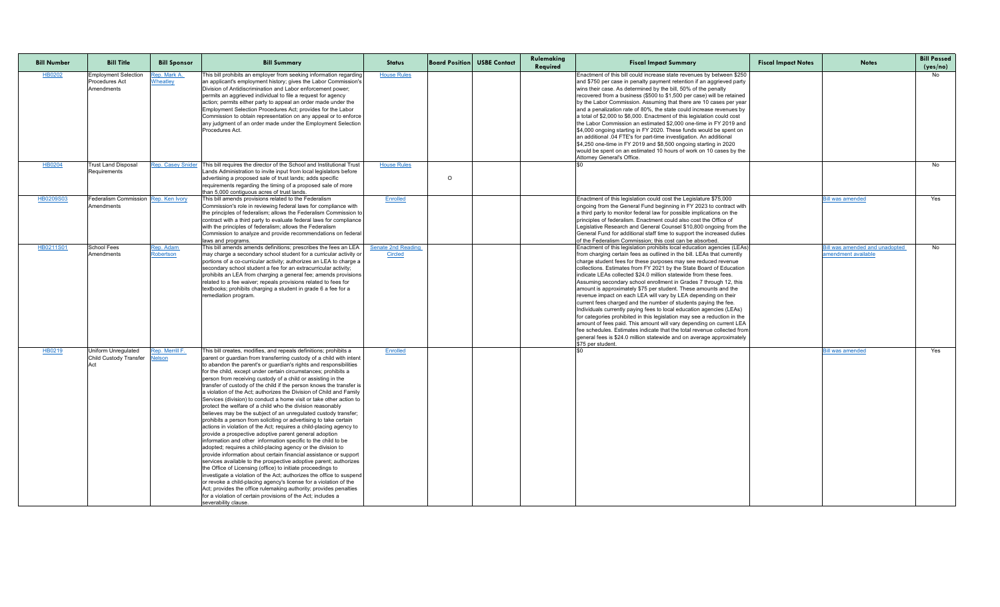| <b>Bill Number</b> | <b>Bill Title</b>                                                  | <b>Bill Sponsor</b>                           | <b>Bill Summary</b>                                                                                                                                                                                                                                                                                                                                                                                                                                                                                                                                                                                                                                                                                                                                                                                                                                                                                                                                                                                                                                                                                                                                                                                                                                                                                                                                                                                                                                                                                                                                             | <b>Status</b>                               |         | <b>Board Position USBE Contact</b> | Rulemaking<br>Required | <b>Fiscal Impact Summary</b>                                                                                                                                                                                                                                                                                                                                                                                                                                                                                                                                                                                                                                                                                                                                                                                                                                                                                                                                                                                                                       | <b>Fiscal Impact Notes</b> | <b>Notes</b>                                                | <b>Bill Passed</b><br>(yes/no) |
|--------------------|--------------------------------------------------------------------|-----------------------------------------------|-----------------------------------------------------------------------------------------------------------------------------------------------------------------------------------------------------------------------------------------------------------------------------------------------------------------------------------------------------------------------------------------------------------------------------------------------------------------------------------------------------------------------------------------------------------------------------------------------------------------------------------------------------------------------------------------------------------------------------------------------------------------------------------------------------------------------------------------------------------------------------------------------------------------------------------------------------------------------------------------------------------------------------------------------------------------------------------------------------------------------------------------------------------------------------------------------------------------------------------------------------------------------------------------------------------------------------------------------------------------------------------------------------------------------------------------------------------------------------------------------------------------------------------------------------------------|---------------------------------------------|---------|------------------------------------|------------------------|----------------------------------------------------------------------------------------------------------------------------------------------------------------------------------------------------------------------------------------------------------------------------------------------------------------------------------------------------------------------------------------------------------------------------------------------------------------------------------------------------------------------------------------------------------------------------------------------------------------------------------------------------------------------------------------------------------------------------------------------------------------------------------------------------------------------------------------------------------------------------------------------------------------------------------------------------------------------------------------------------------------------------------------------------|----------------------------|-------------------------------------------------------------|--------------------------------|
| <b>HB0202</b>      | <b>Employment Selection</b><br><b>Procedures Act</b><br>Amendments | <mark>Rep. Mark A</mark> .<br><b>Wheatley</b> | This bill prohibits an employer from seeking information regarding<br>an applicant's employment history; gives the Labor Commission's<br>Division of Antidiscrimination and Labor enforcement power;<br>permits an aggrieved individual to file a request for agency<br>action; permits either party to appeal an order made under the<br>Employment Selection Procedures Act; provides for the Labor<br>Commission to obtain representation on any appeal or to enforce<br>any judgment of an order made under the Employment Selection<br>Procedures Act.                                                                                                                                                                                                                                                                                                                                                                                                                                                                                                                                                                                                                                                                                                                                                                                                                                                                                                                                                                                                     | <b>House Rules</b>                          |         |                                    |                        | Enactment of this bill could increase state revenues by between \$250<br>and \$750 per case in penalty payment retention if an aggrieved party<br>wins their case. As determined by the bill, 50% of the penalty<br>recovered from a business (\$500 to \$1,500 per case) will be retained<br>by the Labor Commission. Assuming that there are 10 cases per year<br>and a penalization rate of 80%, the state could increase revenues by<br>a total of \$2,000 to \$6,000. Enactment of this legislation could cost<br>Ithe Labor Commission an estimated \$2,000 one-time in FY 2019 and<br>\$4,000 ongoing starting in FY 2020. These funds would be spent on<br>an additional .04 FTE's for part-time investigation. An additional<br>\$4,250 one-time in FY 2019 and \$8,500 ongoing starting in 2020<br>would be spent on an estimated 10 hours of work on 10 cases by the<br>Attorney General's Office.                                                                                                                                      |                            |                                                             | No                             |
| HB0204             | <b>Trust Land Disposal</b><br>Requirements                         | <b>Rep. Casey Snide</b>                       | This bill requires the director of the School and Institutional Trust<br>Lands Administration to invite input from local legislators before<br>advertising a proposed sale of trust lands; adds specific<br>requirements regarding the timing of a proposed sale of more<br>than 5,000 contiguous acres of trust lands.                                                                                                                                                                                                                                                                                                                                                                                                                                                                                                                                                                                                                                                                                                                                                                                                                                                                                                                                                                                                                                                                                                                                                                                                                                         | <b>House Rules</b>                          | $\circ$ |                                    |                        |                                                                                                                                                                                                                                                                                                                                                                                                                                                                                                                                                                                                                                                                                                                                                                                                                                                                                                                                                                                                                                                    |                            |                                                             | No                             |
| HB0209S03          | Federalism Commission Rep. Ken Ivory<br>Amendments                 |                                               | This bill amends provisions related to the Federalism<br>Commission's role in reviewing federal laws for compliance with<br>the principles of federalism; allows the Federalism Commission to<br>contract with a third party to evaluate federal laws for compliance<br>with the principles of federalism; allows the Federalism<br>Commission to analyze and provide recommendations on federal<br>laws and programs.                                                                                                                                                                                                                                                                                                                                                                                                                                                                                                                                                                                                                                                                                                                                                                                                                                                                                                                                                                                                                                                                                                                                          | Enrolled                                    |         |                                    |                        | Enactment of this legislation could cost the Legislature \$75,000<br>ongoing from the General Fund beginning in FY 2023 to contract with<br>a third party to monitor federal law for possible implications on the<br>principles of federalism. Enactment could also cost the Office of<br>Legislative Research and General Counsel \$10,800 ongoing from the<br>General Fund for additional staff time to support the increased duties<br>of the Federalism Commission: this cost can be absorbed.                                                                                                                                                                                                                                                                                                                                                                                                                                                                                                                                                 |                            | Bill was amended                                            | Yes                            |
| HB0211S01          | <b>School Fees</b><br>Amendments                                   | Rep. Adam<br><b>Robertson</b>                 | This bill amends amends definitions; prescribes the fees an LEA<br>may charge a secondary school student for a curricular activity or<br>portions of a co-curricular activity; authorizes an LEA to charge a<br>secondary school student a fee for an extracurricular activity;<br>prohibits an LEA from charging a general fee; amends provisions<br>related to a fee waiver; repeals provisions related to fees for<br>textbooks; prohibits charging a student in grade 6 a fee for a<br>remediation program.                                                                                                                                                                                                                                                                                                                                                                                                                                                                                                                                                                                                                                                                                                                                                                                                                                                                                                                                                                                                                                                 | <b>Senate 2nd Reading</b><br><b>Circled</b> |         |                                    |                        | Enactment of this legislation prohibits local education agencies (LEAs)<br>from charging certain fees as outlined in the bill. LEAs that currently<br>charge student fees for these purposes may see reduced revenue<br>collections. Estimates from FY 2021 by the State Board of Education<br>lindicate LEAs collected \$24.0 million statewide from these fees.<br>Assuming secondary school enrollment in Grades 7 through 12, this<br>amount is approximately \$75 per student. These amounts and the<br>revenue impact on each LEA will vary by LEA depending on their<br>current fees charged and the number of students paying the fee.<br>Individuals currently paying fees to local education agencies (LEAs)<br>for categories prohibited in this legislation may see a reduction in the<br>amount of fees paid. This amount will vary depending on current LEA<br>fee schedules. Estimates indicate that the total revenue collected from<br>general fees is \$24.0 million statewide and on average approximately<br>\$75 per student. |                            | <b>ill was amended and unadopted</b><br>amendment available | No                             |
| HB0219             | Uniform Unregulated<br>Child Custody Transfer                      | Rep. Merrill F.<br><b>Nelson</b>              | This bill creates, modifies, and repeals definitions; prohibits a<br>parent or guardian from transferring custody of a child with intent<br>to abandon the parent's or guardian's rights and responsibilities<br>for the child, except under certain circumstances; prohibits a<br>person from receiving custody of a child or assisting in the<br>transfer of custody of the child if the person knows the transfer is<br>a violation of the Act; authorizes the Division of Child and Family<br>Services (division) to conduct a home visit or take other action to<br>protect the welfare of a child who the division reasonably<br>believes may be the subject of an unregulated custody transfer;<br>prohibits a person from soliciting or advertising to take certain<br>actions in violation of the Act; requires a child-placing agency to<br>provide a prospective adoptive parent general adoption<br>information and other information specific to the child to be<br>adopted; requires a child-placing agency or the division to<br>provide information about certain financial assistance or support<br>services available to the prospective adoptive parent; authorizes<br>the Office of Licensing (office) to initiate proceedings to<br>investigate a violation of the Act; authorizes the office to suspend<br>or revoke a child-placing agency's license for a violation of the<br>Act; provides the office rulemaking authority; provides penalties<br>for a violation of certain provisions of the Act; includes a<br>severability clause. | Enrolled                                    |         |                                    |                        |                                                                                                                                                                                                                                                                                                                                                                                                                                                                                                                                                                                                                                                                                                                                                                                                                                                                                                                                                                                                                                                    |                            | <u>Bill was amended</u>                                     | Yes                            |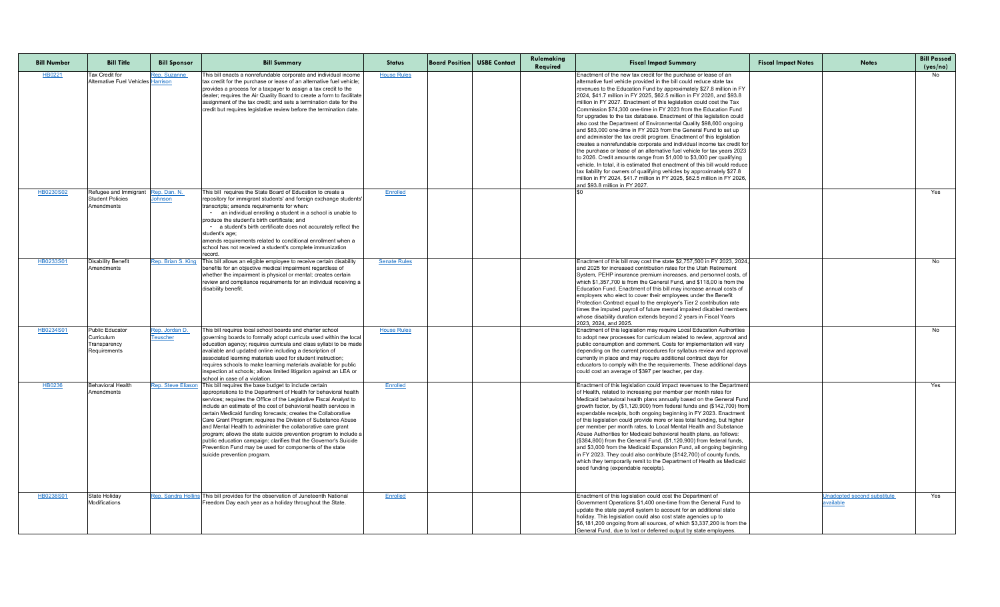| <b>Bill Number</b> | <b>Bill Title</b>                                                           | <b>Bill Sponsor</b>        | <b>Bill Summary</b>                                                                                                                                                                                                                                                                                                                                                                                                                                                                                                                                                                                                                                                                                      | <b>Status</b>       | <b>Board Position USBE Contact</b> | Rulemaking<br>Required | <b>Fiscal Impact Summary</b>                                                                                                                                                                                                                                                                                                                                                                                                                                                                                                                                                                                                                                                                                                                                                                                                                                                                                                                                                                                                                                                                                                                                                                                                           | <b>Fiscal Impact Notes</b> | <b>Notes</b>                                    | <b>Bill Passed</b><br>(yes/no) |
|--------------------|-----------------------------------------------------------------------------|----------------------------|----------------------------------------------------------------------------------------------------------------------------------------------------------------------------------------------------------------------------------------------------------------------------------------------------------------------------------------------------------------------------------------------------------------------------------------------------------------------------------------------------------------------------------------------------------------------------------------------------------------------------------------------------------------------------------------------------------|---------------------|------------------------------------|------------------------|----------------------------------------------------------------------------------------------------------------------------------------------------------------------------------------------------------------------------------------------------------------------------------------------------------------------------------------------------------------------------------------------------------------------------------------------------------------------------------------------------------------------------------------------------------------------------------------------------------------------------------------------------------------------------------------------------------------------------------------------------------------------------------------------------------------------------------------------------------------------------------------------------------------------------------------------------------------------------------------------------------------------------------------------------------------------------------------------------------------------------------------------------------------------------------------------------------------------------------------|----------------------------|-------------------------------------------------|--------------------------------|
| HB0221             | <b>Tax Credit for</b><br>Alternative Fuel Vehicles Harrison                 | Rep. Suzanne               | This bill enacts a nonrefundable corporate and individual income<br>tax credit for the purchase or lease of an alternative fuel vehicle;<br>provides a process for a taxpayer to assign a tax credit to the<br>dealer; requires the Air Quality Board to create a form to facilitate<br>assignment of the tax credit; and sets a termination date for the<br>credit but requires legislative review before the termination date.                                                                                                                                                                                                                                                                         | <b>House Rules</b>  |                                    |                        | Enactment of the new tax credit for the purchase or lease of an<br>alternative fuel vehicle provided in the bill could reduce state tax<br>revenues to the Education Fund by approximately \$27.8 million in FY<br>2024, \$41.7 million in FY 2025, \$62.5 million in FY 2026, and \$93.8<br>million in FY 2027. Enactment of this legislation could cost the Tax<br>Commission \$74,300 one-time in FY 2023 from the Education Fund<br>for upgrades to the tax database. Enactment of this legislation could<br>also cost the Department of Environmental Quality \$98,600 ongoing<br>and \$83,000 one-time in FY 2023 from the General Fund to set up<br>and administer the tax credit program. Enactment of this legislation<br>creates a nonrefundable corporate and individual income tax credit for<br>the purchase or lease of an alternative fuel vehicle for tax years 2023<br>to 2026. Credit amounts range from \$1,000 to \$3,000 per qualifying<br>vehicle. In total, it is estimated that enactment of this bill would reduce<br>tax liability for owners of qualifying vehicles by approximately \$27.8<br>million in FY 2024, \$41.7 million in FY 2025, \$62.5 million in FY 2026,<br>land \$93.8 million in FY 2027. |                            |                                                 |                                |
| HB0230S02          | Refugee and Immigrant<br><b>Student Policies</b><br>Amendments              | Rep. Dan. N.<br>Johnson    | This bill requires the State Board of Education to create a<br>repository for immigrant students' and foreign exchange students'<br>transcripts; amends requirements for when:<br>an individual enrolling a student in a school is unable to<br>produce the student's birth certificate; and<br>• a student's birth certificate does not accurately reflect the<br>student's age:<br>amends requirements related to conditional enrollment when a<br>school has not received a student's complete immunization<br>record                                                                                                                                                                                 | Enrolled            |                                    |                        |                                                                                                                                                                                                                                                                                                                                                                                                                                                                                                                                                                                                                                                                                                                                                                                                                                                                                                                                                                                                                                                                                                                                                                                                                                        |                            |                                                 | Yes                            |
| HB0233S01          | <b>Disability Benefit</b><br>Amendments                                     | Rep. Brian S. King         | This bill allows an eligible employee to receive certain disability<br>benefits for an objective medical impairment regardless of<br>whether the impairment is physical or mental; creates certain<br>review and compliance requirements for an individual receiving a<br>disability benefit.                                                                                                                                                                                                                                                                                                                                                                                                            | <b>Senate Rules</b> |                                    |                        | Enactment of this bill may cost the state \$2,757,500 in FY 2023, 2024,<br>and 2025 for increased contribution rates for the Utah Retirement<br>System, PEHP insurance premium increases, and personnel costs, of<br>which \$1,357,700 is from the General Fund, and \$118,00 is from the<br>Education Fund. Enactment of this bill may increase annual costs of<br>employers who elect to cover their employees under the Benefit<br>Protection Contract equal to the employer's Tier 2 contribution rate<br>times the imputed payroll of future mental impaired disabled members<br>whose disability duration extends beyond 2 years in Fiscal Years<br>2023, 2024, and 2025.                                                                                                                                                                                                                                                                                                                                                                                                                                                                                                                                                        |                            |                                                 | No                             |
| HB0234S01          | <b>Public Educator</b><br><b>Curriculum</b><br>Transparency<br>Requirements | Rep. Jordan D.<br>Teuscher | This bill requires local school boards and charter school<br>governing boards to formally adopt curricula used within the local<br>education agency; requires curricula and class syllabi to be made<br>available and updated online including a description of<br>associated learning materials used for student instruction;<br>requires schools to make learning materials available for public<br>inspection at schools; allows limited litigation against an LEA or<br>school in case of a violation.                                                                                                                                                                                               | <b>House Rules</b>  |                                    |                        | Enactment of this legislation may require Local Education Authorities<br>to adopt new processes for curriculum related to review, approval and<br>public consumption and comment. Costs for implementation will vary<br>depending on the current procedures for syllabus review and approval<br>currently in place and may require additional contract days for<br>educators to comply with the the requirements. These additional days<br>could cost an average of \$397 per teacher, per day.                                                                                                                                                                                                                                                                                                                                                                                                                                                                                                                                                                                                                                                                                                                                        |                            |                                                 | No                             |
| HB0236             | <b>Behavioral Health</b><br>Amendments                                      | <b>Rep. Steve Eliason</b>  | This bill requires the base budget to include certain<br>appropriations to the Department of Health for behavioral health<br>services; requires the Office of the Legislative Fiscal Analyst to<br>linclude an estimate of the cost of behavioral health services in<br>certain Medicaid funding forecasts; creates the Collaborative<br>Care Grant Program; requires the Division of Substance Abuse<br>and Mental Health to administer the collaborative care grant<br>program; allows the state suicide prevention program to include a<br>public education campaign; clarifies that the Governor's Suicide<br>Prevention Fund may be used for components of the state<br>suicide prevention program. | <b>Enrolled</b>     |                                    |                        | Enactment of this legislation could impact revenues to the Department<br>of Health, related to increasing per member per month rates for<br>Medicaid behavioral health plans annually based on the General Fund<br>growth factor, by (\$1,120,900) from federal funds and (\$142,700) from<br>expendable receipts, both ongoing beginning in FY 2023. Enactment<br>of this legislation could provide more or less total funding, but higher<br>per member per month rates, to Local Mental Health and Substance<br>Abuse Authorities for Medicaid behavioral health plans, as follows:<br>(\$384,800) from the General Fund, (\$1,120,900) from federal funds,<br>and \$3,000 from the Medicaid Expansion Fund, all ongoing beginning<br>in FY 2023. They could also contribute (\$142,700) of county funds,<br>which they temporarily remit to the Department of Health as Medicaid<br>seed funding (expendable receipts).                                                                                                                                                                                                                                                                                                            |                            |                                                 | Yes                            |
| HB0238S01          | <b>State Holiday</b><br>Modifications                                       |                            | Rep. Sandra Hollins This bill provides for the observation of Juneteenth National<br>Freedom Day each year as a holiday throughout the State.                                                                                                                                                                                                                                                                                                                                                                                                                                                                                                                                                            | <b>Enrolled</b>     |                                    |                        | Enactment of this legislation could cost the Department of<br>Government Operations \$1,400 one-time from the General Fund to<br>update the state payroll system to account for an additional state<br>holiday. This legislation could also cost state agencies up to<br>$\frac{166}{181}$ , 200 ongoing from all sources, of which \$3,337, 200 is from the<br>General Fund, due to lost or deferred output by state employees.                                                                                                                                                                                                                                                                                                                                                                                                                                                                                                                                                                                                                                                                                                                                                                                                       |                            | <u>Jnadopted second substitute</u><br>available | Yes                            |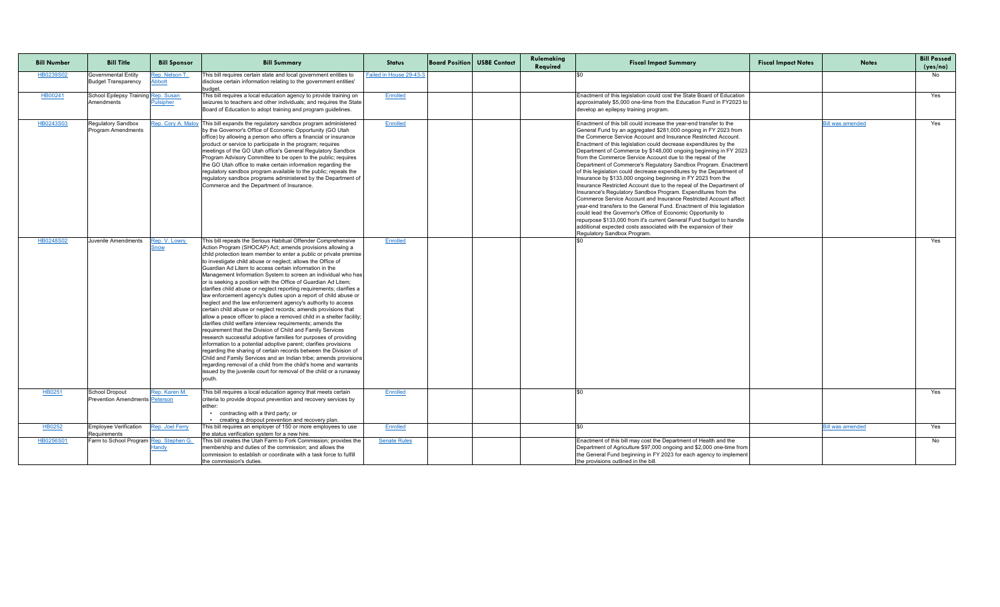| <b>Bill Number</b> | <b>Bill Title</b>                                        | <b>Bill Sponsor</b>            | <b>Bill Summary</b>                                                                                                                                                                                                                                                                                                                                                                                                                                                                                                                                                                                                                                                                                                                                                                                                                                                                                                                                                                                                                                                                                                                                                                                                                                                                                                                                                            | <b>Status</b>           | <b>Board Position USBE Contact</b> | Rulemaking<br>Required | <b>Fiscal Impact Summary</b>                                                                                                                                                                                                                                                                                                                                                                                                                                                                                                                                                                                                                                                                                                                                                                                                                                                                                                                                                                                                                                                                                                                          | <b>Fiscal Impact Notes</b> | <b>Notes</b>            | <b>Bill Passed</b><br>(yes/no) |
|--------------------|----------------------------------------------------------|--------------------------------|--------------------------------------------------------------------------------------------------------------------------------------------------------------------------------------------------------------------------------------------------------------------------------------------------------------------------------------------------------------------------------------------------------------------------------------------------------------------------------------------------------------------------------------------------------------------------------------------------------------------------------------------------------------------------------------------------------------------------------------------------------------------------------------------------------------------------------------------------------------------------------------------------------------------------------------------------------------------------------------------------------------------------------------------------------------------------------------------------------------------------------------------------------------------------------------------------------------------------------------------------------------------------------------------------------------------------------------------------------------------------------|-------------------------|------------------------------------|------------------------|-------------------------------------------------------------------------------------------------------------------------------------------------------------------------------------------------------------------------------------------------------------------------------------------------------------------------------------------------------------------------------------------------------------------------------------------------------------------------------------------------------------------------------------------------------------------------------------------------------------------------------------------------------------------------------------------------------------------------------------------------------------------------------------------------------------------------------------------------------------------------------------------------------------------------------------------------------------------------------------------------------------------------------------------------------------------------------------------------------------------------------------------------------|----------------------------|-------------------------|--------------------------------|
| HB0239S02          | <b>Governmental Entity</b><br><b>Budget Transparency</b> | ep. Nelson T.<br><b>Abbott</b> | This bill requires certain state and local government entities to<br>disclose certain information relating to the government entities'<br>budget.                                                                                                                                                                                                                                                                                                                                                                                                                                                                                                                                                                                                                                                                                                                                                                                                                                                                                                                                                                                                                                                                                                                                                                                                                              | Failed in House 29-43-3 |                                    |                        |                                                                                                                                                                                                                                                                                                                                                                                                                                                                                                                                                                                                                                                                                                                                                                                                                                                                                                                                                                                                                                                                                                                                                       |                            |                         | No.                            |
| HB00241            | School Epilepsy Training Rep. Susan<br>Amendments        | <b>Pulsipher</b>               | This bill requires a local education agency to provide training on<br>seizures to teachers and other individuals; and requires the State<br>Board of Education to adopt training and program guidelines.                                                                                                                                                                                                                                                                                                                                                                                                                                                                                                                                                                                                                                                                                                                                                                                                                                                                                                                                                                                                                                                                                                                                                                       | Enrolled                |                                    |                        | Enactment of this legislation could cost the State Board of Education<br>approximately \$5,000 one-time from the Education Fund in FY2023 to<br>develop an epilepsy training program.                                                                                                                                                                                                                                                                                                                                                                                                                                                                                                                                                                                                                                                                                                                                                                                                                                                                                                                                                                 |                            |                         | Yes                            |
| HB0243S03          | <b>Regulatory Sandbox</b><br><b>Program Amendments</b>   | Rep. Cory A. Maloy             | $\frac{1}{2}$ This bill expands the regulatory sandbox program administered<br>by the Governor's Office of Economic Opportunity (GO Utah<br>office) by allowing a person who offers a financial or insurance<br>product or service to participate in the program; requires<br>meetings of the GO Utah office's General Regulatory Sandbox<br>Program Advisory Committee to be open to the public; requires<br>the GO Utah office to make certain information regarding the<br>regulatory sandbox program available to the public; repeals the<br>regulatory sandbox programs administered by the Department of<br>Commerce and the Department of Insurance.                                                                                                                                                                                                                                                                                                                                                                                                                                                                                                                                                                                                                                                                                                                    | Enrolled                |                                    |                        | Enactment of this bill could increase the year-end transfer to the<br>General Fund by an aggregated \$281,000 ongoing in FY 2023 from<br>the Commerce Service Account and Insurance Restricted Account.<br>Enactment of this legislation could decrease expenditures by the<br>Department of Commerce by \$148,000 ongoing beginning in FY 2023<br>from the Commerce Service Account due to the repeal of the<br>Department of Commerce's Regulatory Sandbox Program. Enactment<br>of this legislation could decrease expenditures by the Department of<br>Insurance by \$133,000 ongoing beginning in FY 2023 from the<br>Insurance Restricted Account due to the repeal of the Department of<br>Insurance's Regulatory Sandbox Program. Expenditures from the<br>Commerce Service Account and Insurance Restricted Account affect<br>year-end transfers to the General Fund. Enactment of this legislation<br>could lead the Governor's Office of Economic Opportunity to<br>repurpose \$133,000 from it's current General Fund budget to handle<br>additional expected costs associated with the expansion of their<br>Regulatory Sandbox Program. |                            | Bill was amendec        | Yes                            |
| HB0248S02          | Juvenile Amendments                                      | ep. V. Lowry                   | This bill repeals the Serious Habitual Offender Comprehensive<br>Action Program (SHOCAP) Act; amends provisions allowing a<br>child protection team member to enter a public or private premise<br>to investigate child abuse or neglect; allows the Office of<br>Guardian Ad Litem to access certain information in the<br>Management Information System to screen an individual who has<br>or is seeking a position with the Office of Guardian Ad Litem;<br>clarifies child abuse or neglect reporting requirements; clarifies a<br>law enforcement agency's duties upon a report of child abuse or<br>neglect and the law enforcement agency's authority to access<br>certain child abuse or neglect records; amends provisions that<br>allow a peace officer to place a removed child in a shelter facility;<br>clarifies child welfare interview requirements; amends the<br>requirement that the Division of Child and Family Services<br>research successful adoptive families for purposes of providing<br>information to a potential adoptive parent; clarifies provisions<br>regarding the sharing of certain records between the Division of<br>Child and Family Services and an Indian tribe; amends provisions<br>regarding removal of a child from the child's home and warrants<br>issued by the juvenile court for removal of the child or a runaway<br>vouth | Enrolled                |                                    |                        |                                                                                                                                                                                                                                                                                                                                                                                                                                                                                                                                                                                                                                                                                                                                                                                                                                                                                                                                                                                                                                                                                                                                                       |                            |                         | Yes                            |
| HB0251             | School Dropout<br><b>Prevention Amendments Peterson</b>  | Rep. Karen M.                  | This bill requires a local education agency that meets certain<br>criteria to provide dropout prevention and recovery services by<br>either<br>contracting with a third party; or<br>• creating a dropout prevention and recovery plan.                                                                                                                                                                                                                                                                                                                                                                                                                                                                                                                                                                                                                                                                                                                                                                                                                                                                                                                                                                                                                                                                                                                                        | <b>Enrolled</b>         |                                    |                        |                                                                                                                                                                                                                                                                                                                                                                                                                                                                                                                                                                                                                                                                                                                                                                                                                                                                                                                                                                                                                                                                                                                                                       |                            |                         | Yes                            |
| HB0252             | Employee Verification<br>Requirements                    | Rep. Joel Ferry                | This bill requires an employer of 150 or more employees to use<br>the status verification system for a new hire.                                                                                                                                                                                                                                                                                                                                                                                                                                                                                                                                                                                                                                                                                                                                                                                                                                                                                                                                                                                                                                                                                                                                                                                                                                                               | Enrolled                |                                    |                        |                                                                                                                                                                                                                                                                                                                                                                                                                                                                                                                                                                                                                                                                                                                                                                                                                                                                                                                                                                                                                                                                                                                                                       |                            | <u>Bill was amended</u> | Yes                            |
| HB0256S01          | Farm to School Program Rep. Stephen G.                   |                                | This bill creates the Utah Farm to Fork Commission; provides the  <br>membership and duties of the commission; and allows the<br>commission to establish or coordinate with a task force to fulfill<br>the commission's duties.                                                                                                                                                                                                                                                                                                                                                                                                                                                                                                                                                                                                                                                                                                                                                                                                                                                                                                                                                                                                                                                                                                                                                | <b>Senate Rules</b>     |                                    |                        | Enactment of this bill may cost the Department of Health and the<br>Department of Agriculture \$97,000 ongoing and \$2,000 one-time from<br>the General Fund beginning in FY 2023 for each agency to implement<br>the provisions outlined in the bill                                                                                                                                                                                                                                                                                                                                                                                                                                                                                                                                                                                                                                                                                                                                                                                                                                                                                                 |                            |                         | No                             |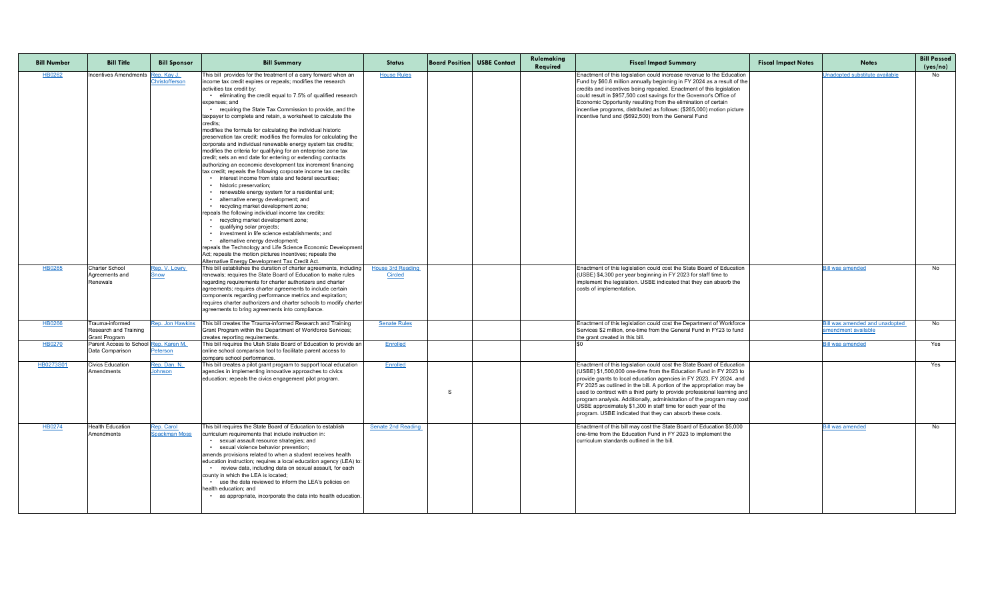| <b>Bill Number</b> | <b>Bill Title</b>                                                       | <b>Bill Sponsor</b>                | <b>Bill Summary</b>                                                                                                                                                                                                                                                                                                                                                                                                                                                                                                                                                                                                                                                                                                                                                                                                                                                                                                                                                                                                                                                                                                                                                                                                                                                                                                                                                                                                                                                                   | <b>Status</b>                              | <b>Board Position USBE Contact</b> | Rulemaking<br>Required | <b>Fiscal Impact Summary</b>                                                                                                                                                                                                                                                                                                                                                                                                                                                                                                                                                    | <b>Fiscal Impact Notes</b> | <b>Notes</b>                                                 | <b>Bill Passed</b><br>(yes/no) |
|--------------------|-------------------------------------------------------------------------|------------------------------------|---------------------------------------------------------------------------------------------------------------------------------------------------------------------------------------------------------------------------------------------------------------------------------------------------------------------------------------------------------------------------------------------------------------------------------------------------------------------------------------------------------------------------------------------------------------------------------------------------------------------------------------------------------------------------------------------------------------------------------------------------------------------------------------------------------------------------------------------------------------------------------------------------------------------------------------------------------------------------------------------------------------------------------------------------------------------------------------------------------------------------------------------------------------------------------------------------------------------------------------------------------------------------------------------------------------------------------------------------------------------------------------------------------------------------------------------------------------------------------------|--------------------------------------------|------------------------------------|------------------------|---------------------------------------------------------------------------------------------------------------------------------------------------------------------------------------------------------------------------------------------------------------------------------------------------------------------------------------------------------------------------------------------------------------------------------------------------------------------------------------------------------------------------------------------------------------------------------|----------------------------|--------------------------------------------------------------|--------------------------------|
| HB0262             | Incentives Amendments Rep. Kay J.                                       | Christofferson                     | This bill provides for the treatment of a carry forward when an<br>income tax credit expires or repeals; modifies the research<br>activities tax credit by:<br>• eliminating the credit equal to 7.5% of qualified research<br>expenses; and<br>• requiring the State Tax Commission to provide, and the<br>taxpayer to complete and retain, a worksheet to calculate the<br>credits<br>modifies the formula for calculating the individual historic<br>preservation tax credit; modifies the formulas for calculating the<br>corporate and individual renewable energy system tax credits;<br>modifies the criteria for qualifying for an enterprise zone tax<br>credit; sets an end date for entering or extending contracts<br>authorizing an economic development tax increment financing<br>tax credit; repeals the following corporate income tax credits:<br>interest income from state and federal securities;<br>historic preservation;<br>• renewable energy system for a residential unit;<br>alternative energy development; and<br>• recycling market development zone;<br>repeals the following individual income tax credits:<br>recycling market development zone;<br>qualifying solar projects;<br>. investment in life science establishments; and<br>alternative energy development;<br>repeals the Technology and Life Science Economic Development<br>Act; repeals the motion pictures incentives; repeals the<br>Alternative Energy Development Tax Credit Act. | <b>House Rules</b>                         |                                    |                        | Enactment of this legislation could increase revenue to the Education<br>Fund by \$60.8 million annually beginning in FY 2024 as a result of the<br>credits and incentives being repealed. Enactment of this legislation<br>could result in \$957,500 cost savings for the Governor's Office of<br>Economic Opportunity resulting from the elimination of certain<br>incentive programs, distributed as follows: (\$265,000) motion picture<br>incentive fund and (\$692,500) from the General Fund                                                                             |                            | Unadopted substitute available                               | No l                           |
| HB0265             | <b>Charter School</b><br>Agreements and<br>Renewals                     | Rep. V. Lowry<br><u>Snow</u>       | This bill establishes the duration of charter agreements, including<br>renewals; requires the State Board of Education to make rules<br>regarding requirements for charter authorizers and charter<br>agreements; requires charter agreements to include certain<br>components regarding performance metrics and expiration;<br>requires charter authorizers and charter schools to modify charter<br>agreements to bring agreements into compliance.                                                                                                                                                                                                                                                                                                                                                                                                                                                                                                                                                                                                                                                                                                                                                                                                                                                                                                                                                                                                                                 | <b>House 3rd Reading</b><br><b>Circled</b> |                                    |                        | Enactment of this legislation could cost the State Board of Education<br>(USBE) \$4,300 per year beginning in FY 2023 for staff time to<br>implement the legislation. USBE indicated that they can absorb the<br>costs of implementation.                                                                                                                                                                                                                                                                                                                                       |                            | <b>Bill was amended</b>                                      | No                             |
| HB0266             | Trauma-informed<br><b>Research and Training</b><br><b>Grant Program</b> | <b>Rep. Jon Hawkins</b>            | This bill creates the Trauma-informed Research and Training<br>Grant Program within the Department of Workforce Services;<br>creates reporting requirements.                                                                                                                                                                                                                                                                                                                                                                                                                                                                                                                                                                                                                                                                                                                                                                                                                                                                                                                                                                                                                                                                                                                                                                                                                                                                                                                          | <b>Senate Rules</b>                        |                                    |                        | Enactment of this legislation could cost the Department of Workforce<br>Services \$2 million, one-time from the General Fund in FY23 to fund<br>the grant created in this bill                                                                                                                                                                                                                                                                                                                                                                                                  |                            | Bill was amended and unadopted<br><b>Imendment available</b> | No                             |
| HB0270             | Parent Access to School Rep. Karen M.<br>Data Comparison                | Peterson                           | This bill requires the Utah State Board of Education to provide an<br>online school comparison tool to facilitate parent access to<br>compare school performance.                                                                                                                                                                                                                                                                                                                                                                                                                                                                                                                                                                                                                                                                                                                                                                                                                                                                                                                                                                                                                                                                                                                                                                                                                                                                                                                     | Enrolled                                   |                                    |                        |                                                                                                                                                                                                                                                                                                                                                                                                                                                                                                                                                                                 |                            | <b>Bill was amended</b>                                      | Yes                            |
| HB0273S01          | <b>Civics Education</b><br>Amendments                                   | Rep. Dan. N.<br>Johnson            | This bill creates a pilot grant program to support local education<br>agencies in implementing innovative approaches to civics<br>education; repeals the civics engagement pilot program.                                                                                                                                                                                                                                                                                                                                                                                                                                                                                                                                                                                                                                                                                                                                                                                                                                                                                                                                                                                                                                                                                                                                                                                                                                                                                             | Enrolled                                   |                                    |                        | Enactment of this legislation could cost the State Board of Education<br>(USBE) \$1,500,000 one-time from the Education Fund in FY 2023 to<br>provide grants to local education agencies in FY 2023, FY 2024, and<br>FY 2025 as outlined in the bill. A portion of the appropriation may be<br>used to contract with a third party to provide professional learning and<br>program analysis. Additionally, administration of the program may cost<br>USBE approximately \$1,300 in staff time for each year of the<br>program. USBE indicated that they can absorb these costs. |                            |                                                              | Yes                            |
| HB0274             | <b>Health Education</b><br>Amendments                                   | Rep. Carol<br><b>Spackman Moss</b> | This bill requires the State Board of Education to establish<br>curriculum requirements that include instruction in:<br>• sexual assault resource strategies; and<br>• sexual violence behavior prevention;<br>amends provisions related to when a student receives health<br>education instruction; requires a local education agency (LEA) to:<br>• review data, including data on sexual assault, for each<br>county in which the LEA is located;<br>use the data reviewed to inform the LEA's policies on<br>health education; and<br>• as appropriate, incorporate the data into health education.                                                                                                                                                                                                                                                                                                                                                                                                                                                                                                                                                                                                                                                                                                                                                                                                                                                                               | <b>Senate 2nd Reading</b>                  |                                    |                        | Enactment of this bill may cost the State Board of Education \$5,000<br>one-time from the Education Fund in FY 2023 to implement the<br>curriculum standards outlined in the bill.                                                                                                                                                                                                                                                                                                                                                                                              |                            | <b>Bill was amended</b>                                      | No                             |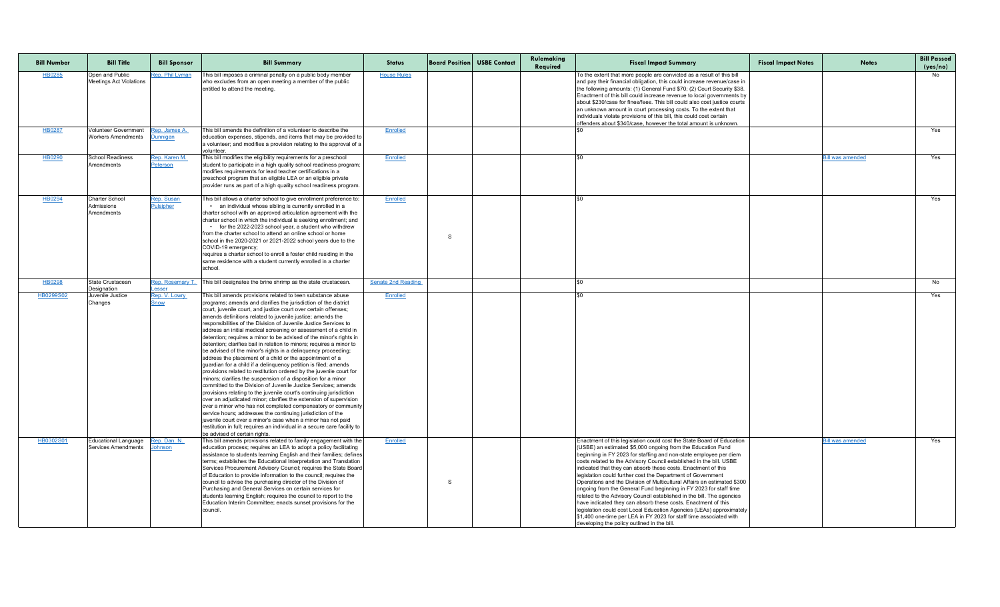| <b>Bill Number</b> | <b>Bill Title</b>                                        | <b>Bill Sponsor</b>              | <b>Bill Summary</b>                                                                                                                                                                                                                                                                                                                                                                                                                                                                                                                                                                                                                                                                                                                                                                                                                                                                                                                                                                                                                                                                                                                                                                                                                                                                                                                                                                                                     | <b>Status</b>             |   | <b>Board Position</b> USBE Contact | Rulemaking<br>Required | <b>Fiscal Impact Summary</b>                                                                                                                                                                                                                                                                                                                                                                                                                                                                                                                                                                                                                                                                                                                                                                                                                                                                            | <b>Fiscal Impact Notes</b> | <b>Notes</b>            | <b>Bill Passed</b><br>(yes/no) |
|--------------------|----------------------------------------------------------|----------------------------------|-------------------------------------------------------------------------------------------------------------------------------------------------------------------------------------------------------------------------------------------------------------------------------------------------------------------------------------------------------------------------------------------------------------------------------------------------------------------------------------------------------------------------------------------------------------------------------------------------------------------------------------------------------------------------------------------------------------------------------------------------------------------------------------------------------------------------------------------------------------------------------------------------------------------------------------------------------------------------------------------------------------------------------------------------------------------------------------------------------------------------------------------------------------------------------------------------------------------------------------------------------------------------------------------------------------------------------------------------------------------------------------------------------------------------|---------------------------|---|------------------------------------|------------------------|---------------------------------------------------------------------------------------------------------------------------------------------------------------------------------------------------------------------------------------------------------------------------------------------------------------------------------------------------------------------------------------------------------------------------------------------------------------------------------------------------------------------------------------------------------------------------------------------------------------------------------------------------------------------------------------------------------------------------------------------------------------------------------------------------------------------------------------------------------------------------------------------------------|----------------------------|-------------------------|--------------------------------|
| HB0285             | Open and Public<br>Meetings Act Violations               | Rep. Phil Lyman                  | This bill imposes a criminal penalty on a public body member<br>who excludes from an open meeting a member of the public<br>entitled to attend the meeting.                                                                                                                                                                                                                                                                                                                                                                                                                                                                                                                                                                                                                                                                                                                                                                                                                                                                                                                                                                                                                                                                                                                                                                                                                                                             | <b>House Rules</b>        |   |                                    |                        | To the extent that more people are convicted as a result of this bill<br>and pay their financial obligation, this could increase revenue/case in<br>the following amounts: (1) General Fund \$70; (2) Court Security \$38<br>Enactment of this bill could increase revenue to local governments by<br>about \$230/case for fines/fees. This bill could also cost justice courts<br>an unknown amount in court processing costs. To the extent that<br>individuals violate provisions of this bill, this could cost certain<br>offenders about \$340/case, however the total amount is unknown.                                                                                                                                                                                                                                                                                                          |                            |                         | No                             |
| HB0287             | <b>Volunteer Government</b><br><b>Workers Amendments</b> | Rep. James A.<br><b>Junnigan</b> | This bill amends the definition of a volunteer to describe the<br>education expenses, stipends, and items that may be provided to<br>a volunteer; and modifies a provision relating to the approval of a<br>volunteer.                                                                                                                                                                                                                                                                                                                                                                                                                                                                                                                                                                                                                                                                                                                                                                                                                                                                                                                                                                                                                                                                                                                                                                                                  | <b>Enrolled</b>           |   |                                    |                        |                                                                                                                                                                                                                                                                                                                                                                                                                                                                                                                                                                                                                                                                                                                                                                                                                                                                                                         |                            |                         | Yes                            |
| HB0290             | School Readiness<br>Amendments                           | Rep. Karen M.<br>Peterson        | This bill modifies the eligibility requirements for a preschool<br>student to participate in a high quality school readiness program;<br>modifies requirements for lead teacher certifications in a<br>preschool program that an eligible LEA or an eligible private<br>provider runs as part of a high quality school readiness program.                                                                                                                                                                                                                                                                                                                                                                                                                                                                                                                                                                                                                                                                                                                                                                                                                                                                                                                                                                                                                                                                               | <b>Enrolled</b>           |   |                                    |                        |                                                                                                                                                                                                                                                                                                                                                                                                                                                                                                                                                                                                                                                                                                                                                                                                                                                                                                         |                            | <b>Bill was amended</b> | Yes                            |
| HB0294             | <b>Charter School</b><br>Admissions<br>Amendments        | Rep. Susan<br><b>Pulsipher</b>   | This bill allows a charter school to give enrollment preference to:<br>• an individual whose sibling is currently enrolled in a<br>charter school with an approved articulation agreement with the<br>charter school in which the individual is seeking enrollment; and<br>• for the 2022-2023 school year, a student who withdrew<br>from the charter school to attend an online school or home<br>school in the 2020-2021 or 2021-2022 school years due to the<br>COVID-19 emergency;<br>requires a charter school to enroll a foster child residing in the<br>same residence with a student currently enrolled in a charter<br>school.                                                                                                                                                                                                                                                                                                                                                                                                                                                                                                                                                                                                                                                                                                                                                                               | <b>Enrolled</b>           | S |                                    |                        | l\$N                                                                                                                                                                                                                                                                                                                                                                                                                                                                                                                                                                                                                                                                                                                                                                                                                                                                                                    |                            |                         | Yes                            |
| HB0298             | State Crustacean<br>Designation                          | Rep. Rosemary T.<br>Lesser       | This bill designates the brine shrimp as the state crustacean.                                                                                                                                                                                                                                                                                                                                                                                                                                                                                                                                                                                                                                                                                                                                                                                                                                                                                                                                                                                                                                                                                                                                                                                                                                                                                                                                                          | <b>Senate 2nd Reading</b> |   |                                    |                        |                                                                                                                                                                                                                                                                                                                                                                                                                                                                                                                                                                                                                                                                                                                                                                                                                                                                                                         |                            |                         | No                             |
| HB0299S02          | Juvenile Justice<br>Changes                              | Rep. V. Lowry<br><u>Snow</u>     | This bill amends provisions related to teen substance abuse<br>programs; amends and clarifies the jurisdiction of the district<br>court, juvenile court, and justice court over certain offenses;<br>amends definitions related to juvenile justice; amends the<br>responsibilities of the Division of Juvenile Justice Services to<br>address an initial medical screening or assessment of a child in<br>detention; requires a minor to be advised of the minor's rights in<br>detention; clarifies bail in relation to minors; requires a minor to<br>be advised of the minor's rights in a delinquency proceeding;<br>address the placement of a child or the appointment of a<br>guardian for a child if a delinquency petition is filed; amends<br>provisions related to restitution ordered by the juvenile court for<br>minors; clarifies the suspension of a disposition for a minor<br>committed to the Division of Juvenile Justice Services; amends<br>provisions relating to the juvenile court's continuing jurisdiction<br>over an adjudicated minor; clarifies the extension of supervision<br>over a minor who has not completed compensatory or community<br>service hours; addresses the continuing jurisdiction of the<br>juvenile court over a minor's case when a minor has not paid<br>restitution in full; requires an individual in a secure care facility to<br>be advised of certain rights. | Enrolled                  |   |                                    |                        |                                                                                                                                                                                                                                                                                                                                                                                                                                                                                                                                                                                                                                                                                                                                                                                                                                                                                                         |                            |                         | Yes                            |
| HB0302S01          | Educational Language<br>Services Amendments              | Rep. Dan. N.<br>lohnson          | This bill amends provisions related to family engagement with the<br>education process; requires an LEA to adopt a policy facilitating<br>assistance to students learning English and their families; defines<br>terms; establishes the Educational Interpretation and Translation<br>Services Procurement Advisory Council; requires the State Board<br>of Education to provide information to the council; requires the<br>council to advise the purchasing director of the Division of<br>Purchasing and General Services on certain services for<br>students learning English; requires the council to report to the<br>Education Interim Committee; enacts sunset provisions for the<br>council.                                                                                                                                                                                                                                                                                                                                                                                                                                                                                                                                                                                                                                                                                                                   | Enrolled                  | S |                                    |                        | Enactment of this legislation could cost the State Board of Education<br>(USBE) an estimated \$5,000 ongoing from the Education Fund<br>beginning in FY 2023 for staffing and non-state employee per diem<br>costs related to the Advisory Council established in the bill. USBE<br>indicated that they can absorb these costs. Enactment of this<br>legislation could further cost the Department of Government<br>Operations and the Division of Multicultural Affairs an estimated \$300<br>ongoing from the General Fund beginning in FY 2023 for staff time<br>related to the Advisory Council established in the bill. The agencies<br>have indicated they can absorb these costs. Enactment of this<br>legislation could cost Local Education Agencies (LEAs) approximately<br>\$1,400 one-time per LEA in FY 2023 for staff time associated with<br>developing the policy outlined in the bill. |                            | <b>Bill was amended</b> | Yes                            |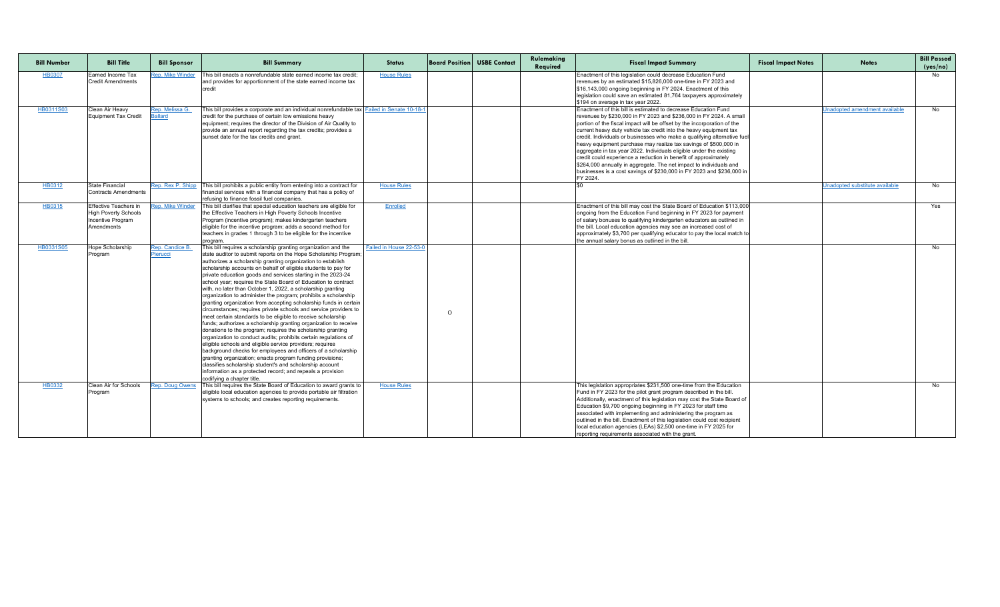| <b>Bill Number</b> | <b>Bill Title</b>                                                                              | <b>Bill Sponsor</b>               | <b>Bill Summary</b>                                                                                                                                                                                                                                                                                                                                                                                                                                                                                                                                                                                                                                                                                                                                                                                                                                                                                                                                                                                                                                                                                                                                                                                                                                                                                        | <b>Status</b>           |         | <b>Board Position USBE Contact</b> | Rulemaking<br>Required | <b>Fiscal Impact Summary</b>                                                                                                                                                                                                                                                                                                                                                                                                                                                                                                                                                                                                                                                                                                              | <b>Fiscal Impact Notes</b> | <b>Notes</b>                         | <b>Bill Passed</b><br>(yes/no) |
|--------------------|------------------------------------------------------------------------------------------------|-----------------------------------|------------------------------------------------------------------------------------------------------------------------------------------------------------------------------------------------------------------------------------------------------------------------------------------------------------------------------------------------------------------------------------------------------------------------------------------------------------------------------------------------------------------------------------------------------------------------------------------------------------------------------------------------------------------------------------------------------------------------------------------------------------------------------------------------------------------------------------------------------------------------------------------------------------------------------------------------------------------------------------------------------------------------------------------------------------------------------------------------------------------------------------------------------------------------------------------------------------------------------------------------------------------------------------------------------------|-------------------------|---------|------------------------------------|------------------------|-------------------------------------------------------------------------------------------------------------------------------------------------------------------------------------------------------------------------------------------------------------------------------------------------------------------------------------------------------------------------------------------------------------------------------------------------------------------------------------------------------------------------------------------------------------------------------------------------------------------------------------------------------------------------------------------------------------------------------------------|----------------------------|--------------------------------------|--------------------------------|
| <b>HB0307</b>      | Earned Income Tax<br><b>Credit Amendments</b>                                                  | <b>Rep. Mike Winder</b>           | This bill enacts a nonrefundable state earned income tax credit;<br>and provides for apportionment of the state earned income tax                                                                                                                                                                                                                                                                                                                                                                                                                                                                                                                                                                                                                                                                                                                                                                                                                                                                                                                                                                                                                                                                                                                                                                          | <b>House Rules</b>      |         |                                    |                        | Enactment of this legislation could decrease Education Fund<br>revenues by an estimated \$15,826,000 one-time in FY 2023 and<br>\$16,143,000 ongoing beginning in FY 2024. Enactment of this<br>legislation could save an estimated 81,764 taxpayers approximately<br>\$194 on average in tax year 2022.                                                                                                                                                                                                                                                                                                                                                                                                                                  |                            |                                      | No                             |
| HB0311S03          | Clean Air Heavy<br>Equipment Tax Credit                                                        | Rep. Melissa G.<br><b>Ballard</b> | This bill provides a corporate and an individual nonrefundable tax Failed in Senate 10-18-1<br>credit for the purchase of certain low emissions heavy<br>equipment; requires the director of the Division of Air Quality to<br>provide an annual report regarding the tax credits; provides a<br>sunset date for the tax credits and grant.                                                                                                                                                                                                                                                                                                                                                                                                                                                                                                                                                                                                                                                                                                                                                                                                                                                                                                                                                                |                         |         |                                    |                        | Enactment of this bill is estimated to decrease Education Fund<br>revenues by \$230,000 in FY 2023 and \$236,000 in FY 2024. A small<br>portion of the fiscal impact will be offset by the incorporation of the<br>current heavy duty vehicle tax credit into the heavy equipment tax<br>credit. Individuals or businesses who make a qualifying alternative fue<br>heavy equipment purchase may realize tax savings of \$500,000 in<br>aggregate in tax year 2022. Individuals eligible under the existing<br>credit could experience a reduction in benefit of approximately<br>\$264,000 annually in aggregate. The net impact to individuals and<br>businesses is a cost savings of \$230,000 in FY 2023 and \$236,000 in<br>FY 2024. |                            | <b>Jnadopted amendment available</b> | No                             |
| HB0312             | State Financial<br><b>Contracts Amendments</b>                                                 | Rep. Rex P. Shipp                 | This bill prohibits a public entity from entering into a contract for<br>financial services with a financial company that has a policy of<br>refusing to finance fossil fuel companies.                                                                                                                                                                                                                                                                                                                                                                                                                                                                                                                                                                                                                                                                                                                                                                                                                                                                                                                                                                                                                                                                                                                    | <b>House Rules</b>      |         |                                    |                        |                                                                                                                                                                                                                                                                                                                                                                                                                                                                                                                                                                                                                                                                                                                                           |                            | Unadopted substitute available       | No                             |
| <b>HB0315</b>      | <b>Effective Teachers in</b><br><b>High Poverty Schools</b><br>Incentive Program<br>Amendments | lep. Mike Winder                  | This bill clarifies that special education teachers are eligible for<br>the Effective Teachers in High Poverty Schools Incentive<br>Program (incentive program); makes kindergarten teachers<br>eligible for the incentive program; adds a second method for<br>teachers in grades 1 through 3 to be eligible for the incentive<br>program                                                                                                                                                                                                                                                                                                                                                                                                                                                                                                                                                                                                                                                                                                                                                                                                                                                                                                                                                                 | <b>Enrolled</b>         |         |                                    |                        | Enactment of this bill may cost the State Board of Education \$113,000<br>ongoing from the Education Fund beginning in FY 2023 for payment<br>of salary bonuses to qualifying kindergarten educators as outlined in<br>the bill. Local education agencies may see an increased cost of<br>approximately \$3,700 per qualifying educator to pay the local match to<br>the annual salary bonus as outlined in the bill.                                                                                                                                                                                                                                                                                                                     |                            |                                      | Yes                            |
| HB0331S05          | Hope Scholarship<br>Program                                                                    | Rep. Candice B.<br>Pierucci       | This bill requires a scholarship granting organization and the<br>state auditor to submit reports on the Hope Scholarship Program;<br>authorizes a scholarship granting organization to establish<br>scholarship accounts on behalf of eligible students to pay for<br>private education goods and services starting in the 2023-24<br>school year; requires the State Board of Education to contract<br>with, no later than October 1, 2022, a scholarship granting<br>organization to administer the program; prohibits a scholarship<br>granting organization from accepting scholarship funds in certain<br>circumstances; requires private schools and service providers to<br>meet certain standards to be eligible to receive scholarship<br>funds; authorizes a scholarship granting organization to receive<br>donations to the program; requires the scholarship granting<br>organization to conduct audits; prohibits certain regulations of<br>eligible schools and eligible service providers; requires<br>background checks for employees and officers of a scholarship<br>granting organization; enacts program funding provisions;<br>classifies scholarship student's and scholarship account<br>information as a protected record; and repeals a provision<br>codifying a chapter title. | Failed in House 22-53-0 | $\circ$ |                                    |                        |                                                                                                                                                                                                                                                                                                                                                                                                                                                                                                                                                                                                                                                                                                                                           |                            |                                      | No                             |
| HB0332             | <b>Clean Air for Schools</b><br>Program                                                        | <b>Rep. Doug Owens</b>            | This bill requires the State Board of Education to award grants to  <br>eligible local education agencies to provide portable air filtration<br>systems to schools; and creates reporting requirements.                                                                                                                                                                                                                                                                                                                                                                                                                                                                                                                                                                                                                                                                                                                                                                                                                                                                                                                                                                                                                                                                                                    | <b>House Rules</b>      |         |                                    |                        | This legislation appropriates \$231,500 one-time from the Education<br>Fund in FY 2023 for the pilot grant program described in the bill.<br>Additionally, enactment of this legislation may cost the State Board of<br>Education \$9,700 ongoing beginning in FY 2023 for staff time<br>associated with implementing and administering the program as<br>outlined in the bill. Enactment of this legislation could cost recipient<br>local education agencies (LEAs) \$2,500 one-time in FY 2025 for<br>reporting requirements associated with the grant.                                                                                                                                                                                |                            |                                      | No                             |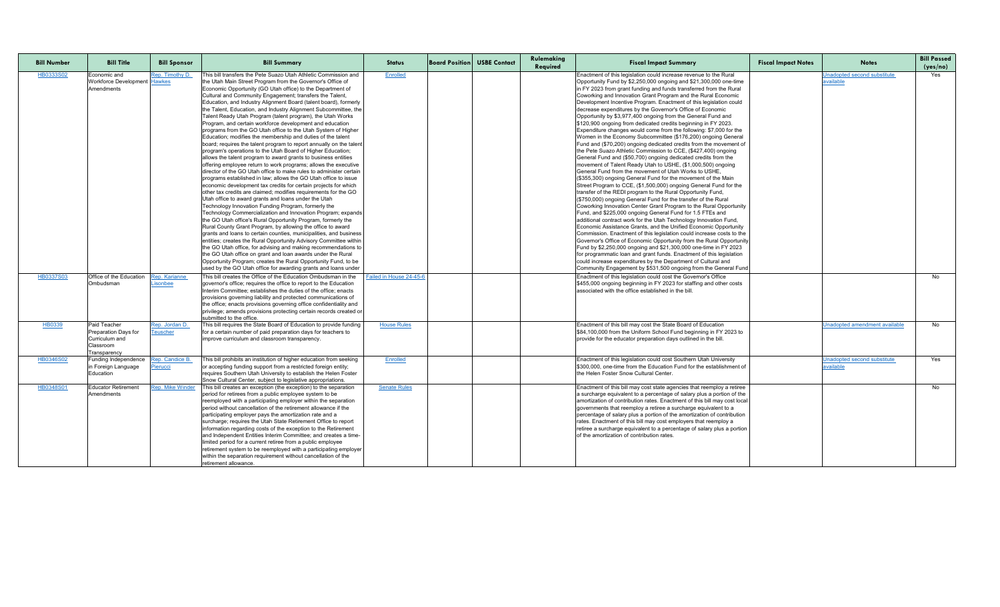| <b>Bill Number</b> | <b>Bill Title</b>                                   | <b>Bill Sponsor</b>     | <b>Bill Summary</b>                                                                                                           | <b>Status</b>           | <b>Board Position USBE Contact</b> | Rulemaking<br>Required | <b>Fiscal Impact Summary</b>                                                                                                           | <b>Fiscal Impact Notes</b> | <b>Notes</b>                                    | <b>Bill Passed</b><br>(yes/no) |
|--------------------|-----------------------------------------------------|-------------------------|-------------------------------------------------------------------------------------------------------------------------------|-------------------------|------------------------------------|------------------------|----------------------------------------------------------------------------------------------------------------------------------------|----------------------------|-------------------------------------------------|--------------------------------|
| HB0333S02          | Economic and<br><b>Workforce Development</b> Hawkes | Rep. Timothy D.         | This bill transfers the Pete Suazo Utah Athletic Commission and<br>the Utah Main Street Program from the Governor's Office of | Enrolled                |                                    |                        | Enactment of this legislation could increase revenue to the Rural<br>Opportunity Fund by \$2,250,000 ongoing and \$21,300,000 one-time |                            | Unadopted second substitute<br><u>available</u> | Yes                            |
|                    | Amendments                                          |                         | Economic Opportunity (GO Utah office) to the Department of                                                                    |                         |                                    |                        | in FY 2023 from grant funding and funds transferred from the Rural                                                                     |                            |                                                 |                                |
|                    |                                                     |                         | Cultural and Community Engagement; transfers the Talent,                                                                      |                         |                                    |                        | Coworking and Innovation Grant Program and the Rural Economic                                                                          |                            |                                                 |                                |
|                    |                                                     |                         | Education, and Industry Alignment Board (talent board), formerly                                                              |                         |                                    |                        | Development Incentive Program. Enactment of this legislation could                                                                     |                            |                                                 |                                |
|                    |                                                     |                         | the Talent, Education, and Industry Alignment Subcommittee, the                                                               |                         |                                    |                        | decrease expenditures by the Governor's Office of Economic                                                                             |                            |                                                 |                                |
|                    |                                                     |                         | Talent Ready Utah Program (talent program), the Utah Works                                                                    |                         |                                    |                        | Opportunity by \$3,977,400 ongoing from the General Fund and                                                                           |                            |                                                 |                                |
|                    |                                                     |                         | Program, and certain workforce development and education                                                                      |                         |                                    |                        | \$120,900 ongoing from dedicated credits beginning in FY 2023.                                                                         |                            |                                                 |                                |
|                    |                                                     |                         | programs from the GO Utah office to the Utah System of Higher                                                                 |                         |                                    |                        | Expenditure changes would come from the following: \$7,000 for the                                                                     |                            |                                                 |                                |
|                    |                                                     |                         | Education; modifies the membership and duties of the talent                                                                   |                         |                                    |                        | Women in the Economy Subcommittee (\$176,200) ongoing General                                                                          |                            |                                                 |                                |
|                    |                                                     |                         | board; requires the talent program to report annually on the talent                                                           |                         |                                    |                        | Fund and (\$70,200) ongoing dedicated credits from the movement of                                                                     |                            |                                                 |                                |
|                    |                                                     |                         | program's operations to the Utah Board of Higher Education;                                                                   |                         |                                    |                        | the Pete Suazo Athletic Commission to CCE, (\$427,400) ongoing                                                                         |                            |                                                 |                                |
|                    |                                                     |                         | allows the talent program to award grants to business entities                                                                |                         |                                    |                        | General Fund and (\$50,700) ongoing dedicated credits from the                                                                         |                            |                                                 |                                |
|                    |                                                     |                         | offering employee return to work programs; allows the executive                                                               |                         |                                    |                        | movement of Talent Ready Utah to USHE, (\$1,000,500) ongoing                                                                           |                            |                                                 |                                |
|                    |                                                     |                         | director of the GO Utah office to make rules to administer certain                                                            |                         |                                    |                        | General Fund from the movement of Utah Works to USHE,                                                                                  |                            |                                                 |                                |
|                    |                                                     |                         | programs established in law; allows the GO Utah office to issue                                                               |                         |                                    |                        | (\$355,300) ongoing General Fund for the movement of the Main                                                                          |                            |                                                 |                                |
|                    |                                                     |                         | economic development tax credits for certain projects for which                                                               |                         |                                    |                        | Street Program to CCE, (\$1,500,000) ongoing General Fund for the                                                                      |                            |                                                 |                                |
|                    |                                                     |                         | other tax credits are claimed; modifies requirements for the GO                                                               |                         |                                    |                        | transfer of the REDI program to the Rural Opportunity Fund,                                                                            |                            |                                                 |                                |
|                    |                                                     |                         | Utah office to award grants and loans under the Utah                                                                          |                         |                                    |                        | (\$750,000) ongoing General Fund for the transfer of the Rural                                                                         |                            |                                                 |                                |
|                    |                                                     |                         | Technology Innovation Funding Program, formerly the                                                                           |                         |                                    |                        | Coworking Innovation Center Grant Program to the Rural Opportunity                                                                     |                            |                                                 |                                |
|                    |                                                     |                         | Technology Commercialization and Innovation Program; expands                                                                  |                         |                                    |                        | Fund, and \$225,000 ongoing General Fund for 1.5 FTEs and                                                                              |                            |                                                 |                                |
|                    |                                                     |                         | the GO Utah office's Rural Opportunity Program, formerly the                                                                  |                         |                                    |                        | additional contract work for the Utah Technology Innovation Fund,                                                                      |                            |                                                 |                                |
|                    |                                                     |                         | Rural County Grant Program, by allowing the office to award                                                                   |                         |                                    |                        | Economic Assistance Grants, and the Unified Economic Opportunity                                                                       |                            |                                                 |                                |
|                    |                                                     |                         | grants and loans to certain counties, municipalities, and business                                                            |                         |                                    |                        | Commission. Enactment of this legislation could increase costs to the                                                                  |                            |                                                 |                                |
|                    |                                                     |                         | entities; creates the Rural Opportunity Advisory Committee within                                                             |                         |                                    |                        | Governor's Office of Economic Opportunity from the Rural Opportunity                                                                   |                            |                                                 |                                |
|                    |                                                     |                         | the GO Utah office, for advising and making recommendations to                                                                |                         |                                    |                        | Fund by \$2,250,000 ongoing and \$21,300,000 one-time in FY 2023                                                                       |                            |                                                 |                                |
|                    |                                                     |                         | the GO Utah office on grant and loan awards under the Rural                                                                   |                         |                                    |                        | for programmatic loan and grant funds. Enactment of this legislation                                                                   |                            |                                                 |                                |
|                    |                                                     |                         | Opportunity Program; creates the Rural Opportunity Fund, to be                                                                |                         |                                    |                        | could increase expenditures by the Department of Cultural and                                                                          |                            |                                                 |                                |
|                    |                                                     |                         | used by the GO Utah office for awarding grants and loans under                                                                |                         |                                    |                        | Community Engagement by \$531,500 ongoing from the General Fund                                                                        |                            |                                                 |                                |
| <u>HB0337S03</u>   | <b>Office of the Education</b> Rep. Karianne        |                         | This bill creates the Office of the Education Ombudsman in the                                                                | Failed in House 24-45-6 |                                    |                        | Enactment of this legislation could cost the Governor's Office                                                                         |                            |                                                 | No.                            |
|                    | Ombudsman                                           | <b>isonbee</b>          | governor's office; requires the office to report to the Education                                                             |                         |                                    |                        | \$455,000 ongoing beginning in FY 2023 for staffing and other costs                                                                    |                            |                                                 |                                |
|                    |                                                     |                         | Interim Committee; establishes the duties of the office; enacts                                                               |                         |                                    |                        | associated with the office established in the bill.                                                                                    |                            |                                                 |                                |
|                    |                                                     |                         | provisions governing liability and protected communications of                                                                |                         |                                    |                        |                                                                                                                                        |                            |                                                 |                                |
|                    |                                                     |                         | the office; enacts provisions governing office confidentiality and                                                            |                         |                                    |                        |                                                                                                                                        |                            |                                                 |                                |
|                    |                                                     |                         | privilege; amends provisions protecting certain records created or                                                            |                         |                                    |                        |                                                                                                                                        |                            |                                                 |                                |
|                    |                                                     |                         | submitted to the office.                                                                                                      |                         |                                    |                        |                                                                                                                                        |                            |                                                 |                                |
| HB0339             | Paid Teacher                                        | Rep. Jordan D.          | This bill requires the State Board of Education to provide funding                                                            | <b>House Rules</b>      |                                    |                        | Enactment of this bill may cost the State Board of Education                                                                           |                            | Unadopted amendment available                   | No                             |
|                    | Preparation Days for                                | <u>Teuscher</u>         | for a certain number of paid preparation days for teachers to                                                                 |                         |                                    |                        | \$84,100,000 from the Uniform School Fund beginning in FY 2023 to                                                                      |                            |                                                 |                                |
|                    | Curriculum and                                      |                         | improve curriculum and classroom transparency.                                                                                |                         |                                    |                        | provide for the educator preparation days outlined in the bill.                                                                        |                            |                                                 |                                |
|                    | Classroom                                           |                         |                                                                                                                               |                         |                                    |                        |                                                                                                                                        |                            |                                                 |                                |
|                    | Transparency                                        |                         |                                                                                                                               |                         |                                    |                        |                                                                                                                                        |                            |                                                 |                                |
| HB0346S02          | Funding Independence                                | Rep. Candice B.         | This bill prohibits an institution of higher education from seeking                                                           | Enrolled                |                                    |                        | Enactment of this legislation could cost Southern Utah University                                                                      |                            | Unadopted second substitute                     | Yes                            |
|                    | in Foreign Language                                 | <u>Pierucci</u>         | or accepting funding support from a restricted foreign entity;                                                                |                         |                                    |                        | S300,000, one-time from the Education Fund for the establishment of                                                                    |                            | available                                       |                                |
|                    | Education                                           |                         | requires Southern Utah University to establish the Helen Foster                                                               |                         |                                    |                        | the Helen Foster Snow Cultural Center.                                                                                                 |                            |                                                 |                                |
|                    |                                                     |                         | Snow Cultural Center, subject to legislative appropriations.                                                                  |                         |                                    |                        |                                                                                                                                        |                            |                                                 |                                |
| HB0348S01          | <b>Educator Retirement</b>                          | <b>Rep. Mike Winder</b> | This bill creates an exception (the exception) to the separation                                                              | <b>Senate Rules</b>     |                                    |                        | Enactment of this bill may cost state agencies that reemploy a retiree                                                                 |                            |                                                 | No                             |
|                    | Amendments                                          |                         | period for retirees from a public employee system to be                                                                       |                         |                                    |                        | a surcharge equivalent to a percentage of salary plus a portion of the                                                                 |                            |                                                 |                                |
|                    |                                                     |                         | reemployed with a participating employer within the separation                                                                |                         |                                    |                        | amortization of contribution rates. Enactment of this bill may cost local                                                              |                            |                                                 |                                |
|                    |                                                     |                         | period without cancellation of the retirement allowance if the                                                                |                         |                                    |                        | governments that reemploy a retiree a surcharge equivalent to a                                                                        |                            |                                                 |                                |
|                    |                                                     |                         | participating employer pays the amortization rate and a                                                                       |                         |                                    |                        | percentage of salary plus a portion of the amortization of contribution                                                                |                            |                                                 |                                |
|                    |                                                     |                         | surcharge; requires the Utah State Retirement Office to report                                                                |                         |                                    |                        | rates. Enactment of this bill may cost employers that reemploy a                                                                       |                            |                                                 |                                |
|                    |                                                     |                         | information regarding costs of the exception to the Retirement                                                                |                         |                                    |                        | retiree a surcharge equivalent to a percentage of salary plus a portion<br>of the amortization of contribution rates.                  |                            |                                                 |                                |
|                    |                                                     |                         | and Independent Entities Interim Committee; and creates a time-                                                               |                         |                                    |                        |                                                                                                                                        |                            |                                                 |                                |
|                    |                                                     |                         | limited period for a current retiree from a public employee                                                                   |                         |                                    |                        |                                                                                                                                        |                            |                                                 |                                |
|                    |                                                     |                         | retirement system to be reemployed with a participating employer                                                              |                         |                                    |                        |                                                                                                                                        |                            |                                                 |                                |
|                    |                                                     |                         | within the separation requirement without cancellation of the                                                                 |                         |                                    |                        |                                                                                                                                        |                            |                                                 |                                |
|                    |                                                     |                         | retirement allowance.                                                                                                         |                         |                                    |                        |                                                                                                                                        |                            |                                                 |                                |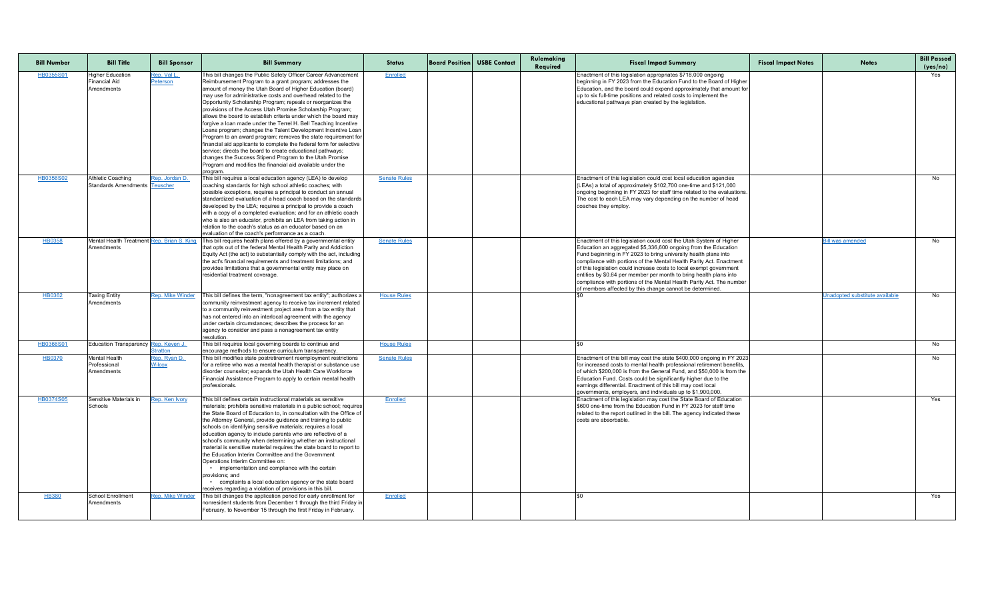| <b>Bill Number</b> | <b>Bill Title</b>                                             | <b>Bill Sponsor</b>                   | <b>Bill Summary</b>                                                                                                                                                                                                                                                                                                                                                                                                                                                                                                                                                                                                                                                                                                                                                                                                                                                                                                                    | <b>Status</b>       | <b>Board Position USBE Contact</b> | Rulemaking<br>Required | <b>Fiscal Impact Summary</b>                                                                                                                                                                                                                                                                                                                                                                                                                                                                                                                                    | <b>Fiscal Impact Notes</b> | <b>Notes</b>                   | <b>Bill Passed</b><br>(yes/no) |
|--------------------|---------------------------------------------------------------|---------------------------------------|----------------------------------------------------------------------------------------------------------------------------------------------------------------------------------------------------------------------------------------------------------------------------------------------------------------------------------------------------------------------------------------------------------------------------------------------------------------------------------------------------------------------------------------------------------------------------------------------------------------------------------------------------------------------------------------------------------------------------------------------------------------------------------------------------------------------------------------------------------------------------------------------------------------------------------------|---------------------|------------------------------------|------------------------|-----------------------------------------------------------------------------------------------------------------------------------------------------------------------------------------------------------------------------------------------------------------------------------------------------------------------------------------------------------------------------------------------------------------------------------------------------------------------------------------------------------------------------------------------------------------|----------------------------|--------------------------------|--------------------------------|
| HB0355S01          | <b>Higher Education</b><br><b>Financial Aid</b><br>Amendments | <u>Rep. Val L.</u><br><b>Peterson</b> | This bill changes the Public Safety Officer Career Advancement<br>Reimbursement Program to a grant program; addresses the<br>amount of money the Utah Board of Higher Education (board)<br>may use for administrative costs and overhead related to the<br>Opportunity Scholarship Program; repeals or reorganizes the<br>provisions of the Access Utah Promise Scholarship Program;<br>allows the board to establish criteria under which the board may<br>forgive a loan made under the Terrel H. Bell Teaching Incentive<br>Loans program; changes the Talent Development Incentive Loan<br>Program to an award program; removes the state requirement for<br>financial aid applicants to complete the federal form for selective<br>service; directs the board to create educational pathways;<br>changes the Success Stipend Program to the Utah Promise<br>Program and modifies the financial aid available under the<br>program | Enrolled            |                                    |                        | Enactment of this legislation appropriates \$718,000 ongoing<br>beginning in FY 2023 from the Education Fund to the Board of Higher<br>Education, and the board could expend approximately that amount for<br>up to six full-time positions and related costs to implement the<br>educational pathways plan created by the legislation.                                                                                                                                                                                                                         |                            |                                | Yes                            |
| HB0356S02          | Athletic Coaching<br>Standards Amendments Teuscher            | Rep. Jordan D.                        | This bill requires a local education agency (LEA) to develop<br>coaching standards for high school athletic coaches; with<br>possible exceptions, requires a principal to conduct an annual<br>Istandardized evaluation of a head coach based on the standards<br>developed by the LEA; requires a principal to provide a coach<br>with a copy of a completed evaluation; and for an athletic coach<br>who is also an educator, prohibits an LEA from taking action in<br>Irelation to the coach's status as an educator based on an<br>evaluation of the coach's performance as a coach.                                                                                                                                                                                                                                                                                                                                              | <b>Senate Rules</b> |                                    |                        | Enactment of this legislation could cost local education agencies<br>(LEAs) a total of approximately \$102,700 one-time and \$121,000<br>ongoing beginning in FY 2023 for staff time related to the evaluations.<br>The cost to each LEA may vary depending on the number of head<br>coaches they employ.                                                                                                                                                                                                                                                       |                            |                                | No                             |
| <b>HB0358</b>      | Mental Health Treatment Rep. Brian S. King<br>Amendments      |                                       | This bill requires health plans offered by a governmental entity<br>that opts out of the federal Mental Health Parity and Addiction<br>Equity Act (the act) to substantially comply with the act, including<br>the act's financial requirements and treatment limitations; and<br>provides limitations that a governmental entity may place on<br>residential treatment coverage.                                                                                                                                                                                                                                                                                                                                                                                                                                                                                                                                                      | <b>Senate Rules</b> |                                    |                        | Enactment of this legislation could cost the Utah System of Higher<br>Education an aggregated \$5,336,600 ongoing from the Education<br>Fund beginning in FY 2023 to bring university health plans into<br>compliance with portions of the Mental Health Parity Act. Enactment<br>of this legislation could increase costs to local exempt government<br>entities by \$0.64 per member per month to bring health plans into<br>compliance with portions of the Mental Health Parity Act. The number<br>of members affected by this change cannot be determined. |                            | <b>Bill was amended</b>        | No                             |
| HB0362             | <b>Taxing Entity</b><br>Amendments                            | <b>Rep. Mike Winder</b>               | This bill defines the term, "nonagreement tax entity"; authorizes a<br>community reinvestment agency to receive tax increment related<br>to a community reinvestment project area from a tax entity that<br>has not entered into an interlocal agreement with the agency<br>under certain circumstances; describes the process for an<br>agency to consider and pass a nonagreement tax entity<br>resolution.                                                                                                                                                                                                                                                                                                                                                                                                                                                                                                                          | <b>House Rules</b>  |                                    |                        |                                                                                                                                                                                                                                                                                                                                                                                                                                                                                                                                                                 |                            | Unadopted substitute available | No                             |
| HB0366S01          | Education Transparency Rep. Keven J                           | Stratton                              | This bill requires local governing boards to continue and<br>encourage methods to ensure curriculum transparency.                                                                                                                                                                                                                                                                                                                                                                                                                                                                                                                                                                                                                                                                                                                                                                                                                      | <b>House Rules</b>  |                                    |                        |                                                                                                                                                                                                                                                                                                                                                                                                                                                                                                                                                                 |                            |                                | No                             |
| <b>HB0370</b>      | <b>Mental Health</b><br>Professional<br>Amendments            | Rep. Ryan D.<br><b>Wilcox</b>         | This bill modifies state postretirement reemployment restrictions<br>for a retiree who was a mental health therapist or substance use<br>disorder counselor; expands the Utah Health Care Workforce<br>Financial Assistance Program to apply to certain mental health<br>Iprofessionals.                                                                                                                                                                                                                                                                                                                                                                                                                                                                                                                                                                                                                                               | <b>Senate Rules</b> |                                    |                        | Enactment of this bill may cost the state \$400,000 ongoing in FY 2023<br>for increased costs to mental health professional retirement benefits.<br>of which \$200,000 is from the General Fund, and \$50,000 is from the<br>Education Fund. Costs could be significantly higher due to the<br>earnings differential. Enactment of this bill may cost local<br>governments, employers, and individuals up to \$1,900,000.                                                                                                                                       |                            |                                | No                             |
| HB0374S05          | Sensitive Materials in<br><b>Schools</b>                      | Rep. Ken Ivory                        | This bill defines certain instructional materials as sensitive<br>materials; prohibits sensitive materials in a public school; requires<br>the State Board of Education to, in consultation with the Office of<br>the Attorney General, provide guidance and training to public<br>schools on identifying sensitive materials; requires a local<br>education agency to include parents who are reflective of a<br>school's community when determining whether an instructional<br>material is sensitive material requires the state board to report to<br>the Education Interim Committee and the Government<br>Operations Interim Committee on:<br>• implementation and compliance with the certain<br>provisions; and<br>complaints a local education agency or the state board<br>receives regarding a violation of provisions in this bill.                                                                                        | Enrolled            |                                    |                        | Enactment of this legislation may cost the State Board of Education<br>\$600 one-time from the Education Fund in FY 2023 for staff time<br>related to the report outlined in the bill. The agency indicated these<br>costs are absorbable.                                                                                                                                                                                                                                                                                                                      |                            |                                | Yes                            |
| <b>HB380</b>       | <b>School Enrollment</b><br>Amendments                        |                                       | Rep. Mike Winder This bill changes the application period for early enrollment for<br>nonresident students from December 1 through the third Friday in<br>February, to November 15 through the first Friday in February.                                                                                                                                                                                                                                                                                                                                                                                                                                                                                                                                                                                                                                                                                                               | <b>Enrolled</b>     |                                    |                        | LSO.                                                                                                                                                                                                                                                                                                                                                                                                                                                                                                                                                            |                            |                                | Yes                            |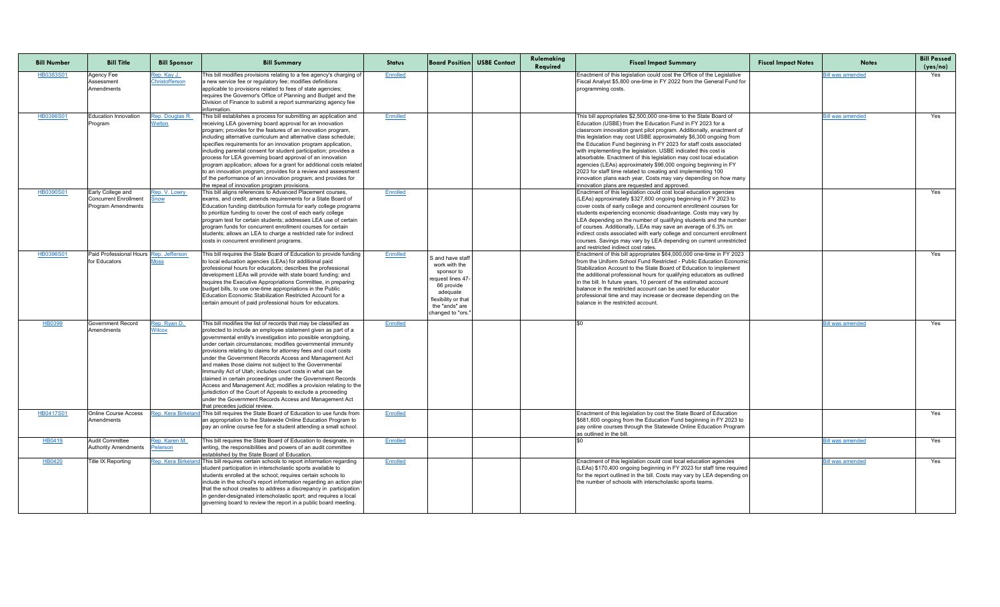| <b>Bill Number</b> | <b>Bill Title</b>                                                              | <b>Bill Sponsor</b>                  | <b>Bill Summary</b>                                                                                                                                                                                                                                                                                                                                                                                                                                                                                                                                                                                                                                                                                                                                                                                                 | <b>Status</b>   |                                                                                                                                                             | <b>Board Position USBE Contact</b> | Rulemaking<br>Required | <b>Fiscal Impact Summary</b>                                                                                                                                                                                                                                                                                                                                                                                                                                                                                                                                                                                                                                                                                                                    | <b>Fiscal Impact Notes</b> | <b>Notes</b>            | <b>Bill Passed</b><br>(yes/no) |
|--------------------|--------------------------------------------------------------------------------|--------------------------------------|---------------------------------------------------------------------------------------------------------------------------------------------------------------------------------------------------------------------------------------------------------------------------------------------------------------------------------------------------------------------------------------------------------------------------------------------------------------------------------------------------------------------------------------------------------------------------------------------------------------------------------------------------------------------------------------------------------------------------------------------------------------------------------------------------------------------|-----------------|-------------------------------------------------------------------------------------------------------------------------------------------------------------|------------------------------------|------------------------|-------------------------------------------------------------------------------------------------------------------------------------------------------------------------------------------------------------------------------------------------------------------------------------------------------------------------------------------------------------------------------------------------------------------------------------------------------------------------------------------------------------------------------------------------------------------------------------------------------------------------------------------------------------------------------------------------------------------------------------------------|----------------------------|-------------------------|--------------------------------|
| HB0383S01          | Agency Fee<br>Assessment<br>Amendments                                         | <u>Rep. Kay J.</u><br>Christofferson | This bill modifies provisions relating to a fee agency's charging of<br>a new service fee or regulatory fee; modifies definitions<br>applicable to provisions related to fees of state agencies;<br>requires the Governor's Office of Planning and Budget and the<br>Division of Finance to submit a report summarizing agency fee<br>information.                                                                                                                                                                                                                                                                                                                                                                                                                                                                  | Enrolled        |                                                                                                                                                             |                                    |                        | Enactment of this legislation could cost the Office of the Legislative<br>Fiscal Analyst \$5,800 one-time in FY 2022 from the General Fund for<br>programming costs.                                                                                                                                                                                                                                                                                                                                                                                                                                                                                                                                                                            |                            | <b>Bill was amended</b> | Yes                            |
| HB0386S01          | Education Innovation<br>Program                                                | Rep. Douglas R.<br><b>Welton</b>     | This bill establishes a process for submitting an application and<br>receiving LEA governing board approval for an innovation<br>program; provides for the features of an innovation program,<br>including alternative curriculum and alternative class schedule;<br>specifies requirements for an innovation program application,<br>including parental consent for student participation; provides a<br>process for LEA governing board approval of an innovation<br>program application; allows for a grant for additional costs related<br>to an innovation program; provides for a review and assessment<br>of the performance of an innovation program; and provides for<br>the repeal of innovation program provisions.                                                                                      | Enrolled        |                                                                                                                                                             |                                    |                        | This bill appropriates \$2,500,000 one-time to the State Board of<br>Education (USBE) from the Education Fund in FY 2023 for a<br>classroom innovation grant pilot program. Additionally, enactment of<br>this legislation may cost USBE approximately \$6,300 ongoing from<br>the Education Fund beginning in FY 2023 for staff costs associated<br>with implementing the legislation. USBE indicated this cost is<br>absorbable. Enactment of this legislation may cost local education<br>agencies (LEAs) approximately \$96,000 ongoing beginning in FY<br>2023 for staff time related to creating and implementing 100<br>Innovation plans each year. Costs may vary depending on how many<br>innovation plans are requested and approved. |                            | <b>Bill was amended</b> | Yes                            |
| HB0390S01          | Early College and<br><b>Concurrent Enrollment</b><br><b>Program Amendments</b> | Rep. V. Lowry<br>Snow                | This bill aligns references to Advanced Placement courses,<br>exams, and credit; amends requirements for a State Board of<br>Education funding distribution formula for early college programs<br>to prioritize funding to cover the cost of each early college<br>program test for certain students: addresses LEA use of certain<br>program funds for concurrent enrollment courses for certain<br>students; allows an LEA to charge a restricted rate for indirect<br>costs in concurrent enrollment programs.                                                                                                                                                                                                                                                                                                   | Enrolled        |                                                                                                                                                             |                                    |                        | Enactment of this legislation could cost local education agencies<br>(LEAs) approximately \$327,600 ongoing beginning in FY 2023 to<br>cover costs of early college and concurrent enrollment courses for<br>students experiencing economic disadvantage. Costs may vary by<br>LEA depending on the number of qualifying students and the number<br>of courses. Additionally, LEAs may save an average of 6.3% on<br>indirect costs associated with early college and concurrent enrollment<br>courses. Savings may vary by LEA depending on current unrestricted<br>land restricted indirect cost rates.                                                                                                                                       |                            |                         | Yes                            |
| HB0396S01          | Paid Professional Hours Rep. Jefferson<br>for Educators                        | <u> Moss</u>                         | This bill requires the State Board of Education to provide funding<br>to local education agencies (LEAs) for additional paid<br>professional hours for educators; describes the professional<br>development LEAs will provide with state board funding; and<br>requires the Executive Appropriations Committee, in preparing<br>budget bills, to use one-time appropriations in the Public<br>Education Economic Stabilization Restricted Account for a<br>certain amount of paid professional hours for educators.                                                                                                                                                                                                                                                                                                 | Enrolled        | S and have staff<br>work with the<br>sponsor to<br>request lines 47<br>66 provide<br>adequate<br>flexibility or that<br>the "ands" are<br>changed to "ors." |                                    |                        | Enactment of this bill appropriates \$64,000,000 one-time in FY 2023<br>from the Uniform School Fund Restricted - Public Education Economic<br>Stabilization Account to the State Board of Education to implement<br>the additional professional hours for qualifying educators as outlined<br>in the bill. In future years, 10 percent of the estimated account<br>Ibalance in the restricted account can be used for educator<br>professional time and may increase or decrease depending on the<br>balance in the restricted account.                                                                                                                                                                                                        |                            |                         | Yes                            |
| HB0399             | <b>Government Record</b><br>Amendments                                         | Rep. Ryan D.<br><b>Wilcox</b>        | This bill modifies the list of records that may be classified as<br>protected to include an employee statement given as part of a<br>governmental entity's investigation into possible wrongdoing,<br>under certain circumstances; modifies governmental immunity<br>provisions relating to claims for attorney fees and court costs<br>under the Government Records Access and Management Act<br>and makes those claims not subject to the Governmental<br>Immunity Act of Utah; includes court costs in what can be<br>claimed in certain proceedings under the Government Records<br>Access and Management Act; modifies a provision relating to the<br>jurisdiction of the Court of Appeals to exclude a proceeding<br>under the Government Records Access and Management Act<br>that precedes judicial review. | <b>Enrolled</b> |                                                                                                                                                             |                                    |                        |                                                                                                                                                                                                                                                                                                                                                                                                                                                                                                                                                                                                                                                                                                                                                 |                            | <b>Bill was amended</b> | Yes                            |
| HB0417S01          | <b>Online Course Access</b><br>Amendments                                      | Rep. Kera Birkelar                   | This bill requires the State Board of Education to use funds from<br>an appropriation to the Statewide Online Education Program to<br>pay an online course fee for a student attending a small school.                                                                                                                                                                                                                                                                                                                                                                                                                                                                                                                                                                                                              | <b>Enrolled</b> |                                                                                                                                                             |                                    |                        | Enactment of this legislation by cost the State Board of Education<br>\$681,600 ongoing from the Education Fund beginning in FY 2023 to<br>pay online courses through the Statewide Online Education Program<br>as outlined in the bill.                                                                                                                                                                                                                                                                                                                                                                                                                                                                                                        |                            |                         | Yes                            |
| HB0419             | <b>Audit Committee</b><br><b>Authority Amendments</b>                          | Rep. Karen M.<br>Peterson            | This bill requires the State Board of Education to designate, in<br>writing, the responsibilities and powers of an audit committee<br>established by the State Board of Education.                                                                                                                                                                                                                                                                                                                                                                                                                                                                                                                                                                                                                                  | Enrolled        |                                                                                                                                                             |                                    |                        |                                                                                                                                                                                                                                                                                                                                                                                                                                                                                                                                                                                                                                                                                                                                                 |                            | <b>Bill was amended</b> | Yes                            |
| HB0420             | Title IX Reporting                                                             | Rep. Kera Birkelar                   | This bill requires certain schools to report information regarding<br>student participation in interscholastic sports available to<br>students enrolled at the school; requires certain schools to<br>include in the school's report information regarding an action plan<br>that the school creates to address a discrepancy in participation<br>in gender-designated interscholastic sport; and requires a local<br>governing board to review the report in a public board meeting.                                                                                                                                                                                                                                                                                                                               | Enrolled        |                                                                                                                                                             |                                    |                        | Enactment of this legislation could cost local education agencies<br>(LEAs) \$170,400 ongoing beginning in FY 2023 for staff time required<br>for the report outlined in the bill. Costs may vary by LEA depending on<br>the number of schools with interscholastic sports teams.                                                                                                                                                                                                                                                                                                                                                                                                                                                               |                            | <b>Bill was amended</b> | Yes                            |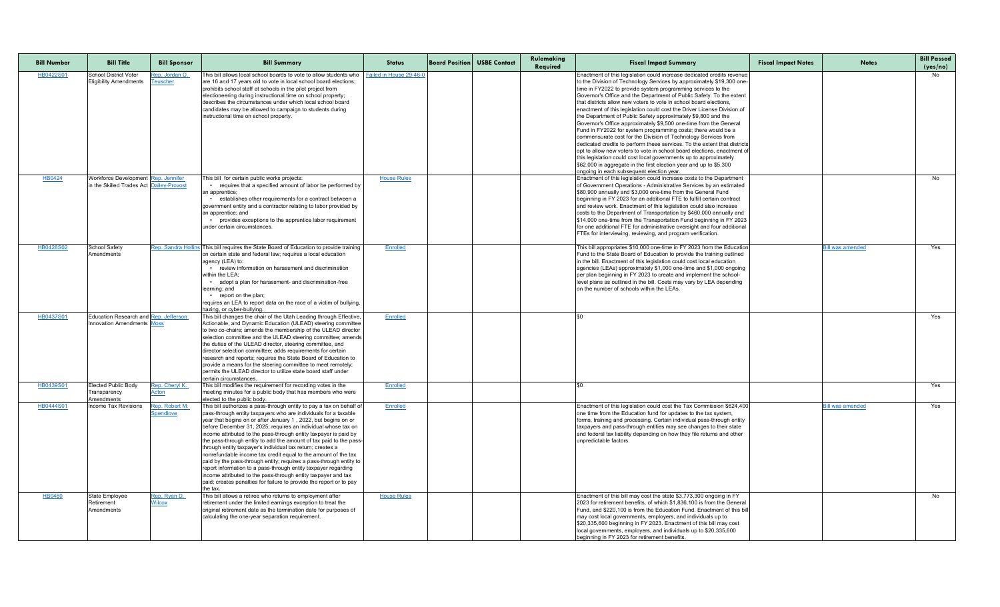| <b>Bill Number</b> | <b>Bill Title</b>                                                          | <b>Bill Sponsor</b>                       | <b>Bill Summary</b>                                                                                                                                                                                                                                                                                                                                                                                                                                                                                                                                                                                                                                                                                                                                                                                                                               | <b>Status</b>           | <b>Board Position USBE Contact</b> | Rulemaking<br>Required | <b>Fiscal Impact Summary</b>                                                                                                                                                                                                                                                                                                                                                                                                                                                                                                                                                                                                                                                                                                                                                                                                                                                                                                                                                                                                                                      | <b>Fiscal Impact Notes</b> | <b>Notes</b>            | <b>Bill Passed</b><br>(yes/no) |
|--------------------|----------------------------------------------------------------------------|-------------------------------------------|---------------------------------------------------------------------------------------------------------------------------------------------------------------------------------------------------------------------------------------------------------------------------------------------------------------------------------------------------------------------------------------------------------------------------------------------------------------------------------------------------------------------------------------------------------------------------------------------------------------------------------------------------------------------------------------------------------------------------------------------------------------------------------------------------------------------------------------------------|-------------------------|------------------------------------|------------------------|-------------------------------------------------------------------------------------------------------------------------------------------------------------------------------------------------------------------------------------------------------------------------------------------------------------------------------------------------------------------------------------------------------------------------------------------------------------------------------------------------------------------------------------------------------------------------------------------------------------------------------------------------------------------------------------------------------------------------------------------------------------------------------------------------------------------------------------------------------------------------------------------------------------------------------------------------------------------------------------------------------------------------------------------------------------------|----------------------------|-------------------------|--------------------------------|
| HB0422S01          | <b>School District Voter</b><br><b>Eligibility Amendments</b>              | <u>Rep. Jordan D.</u><br><u> Teuscher</u> | This bill allows local school boards to vote to allow students who<br>are 16 and 17 years old to vote in local school board elections;<br>prohibits school staff at schools in the pilot project from<br>electioneering during instructional time on school property;<br>Idescribes the circumstances under which local school board<br>candidates may be allowed to campaign to students during<br>instructional time on school property.                                                                                                                                                                                                                                                                                                                                                                                                        | Failed in House 29-46-0 |                                    |                        | Enactment of this legislation could increase dedicated credits revenue<br>to the Division of Technology Services by approximately \$19,300 one-<br>time in FY2022 to provide system programming services to the<br>Governor's Office and the Department of Public Safety. To the extent<br>that districts allow new voters to vote in school board elections,<br>enactment of this legislation could cost the Driver License Division of<br>the Department of Public Safety approximately \$9,800 and the<br>Governor's Office approximately \$9,500 one-time from the General<br>Fund in FY2022 for system programming costs; there would be a<br>commensurate cost for the Division of Technology Services from<br>dedicated credits to perform these services. To the extent that districts<br>opt to allow new voters to vote in school board elections, enactment of<br>this legislation could cost local governments up to approximately<br>\$62,000 in aggregate in the first election year and up to \$5,300<br>ongoing in each subsequent election year. |                            |                         | No                             |
| <b>HB0424</b>      | <b>Workforce Development</b><br>In the Skilled Trades Act C                | Rep. Jennifer<br>ailey-Provost            | This bill for certain public works projects:<br>• requires that a specified amount of labor be performed by<br>an apprentice;<br>• establishes other requirements for a contract between a<br>government entity and a contractor relating to labor provided by<br>an apprentice; and<br>• provides exceptions to the apprentice labor requirement<br>under certain circumstances.                                                                                                                                                                                                                                                                                                                                                                                                                                                                 | <b>House Rules</b>      |                                    |                        | Enactment of this legislation could increase costs to the Department<br>of Government Operations - Administrative Services by an estimated<br>\$80,900 annually and \$3,000 one-time from the General Fund<br>beginning in FY 2023 for an additional FTE to fulfill certain contract<br>and review work. Enactment of this legislation could also increase<br>costs to the Department of Transportation by \$460,000 annually and<br>\$14,000 one-time from the Transportation Fund beginning in FY 2023<br>for one additional FTE for administrative oversight and four additional<br>FTEs for interviewing, reviewing, and program verification.                                                                                                                                                                                                                                                                                                                                                                                                                |                            |                         | No                             |
| HB0428S02          | School Safety<br>Amendments                                                | Rep. Sandra Hollin                        | This bill requires the State Board of Education to provide training<br>on certain state and federal law; requires a local education<br>agency (LEA) to:<br>• review information on harassment and discrimination<br>within the LEA:<br>adopt a plan for harassment- and discrimination-free<br>learning; and<br>$\cdot$ report on the plan;<br>requires an LEA to report data on the race of a victim of bullying,<br>hazing, or cyber-bullying.                                                                                                                                                                                                                                                                                                                                                                                                  | Enrolled                |                                    |                        | This bill appropriates \$10,000 one-time in FY 2023 from the Education<br>Fund to the State Board of Education to provide the training outlined<br>in the bill. Enactment of this legislation could cost local education<br>agencies (LEAs) approximately \$1,000 one-time and \$1,000 ongoing<br>per plan beginning in FY 2023 to create and implement the school-<br>level plans as outlined in the bill. Costs may vary by LEA depending<br>on the number of schools within the LEAs.                                                                                                                                                                                                                                                                                                                                                                                                                                                                                                                                                                          |                            | Bill was amended        | Yes                            |
| HB0437S01          | <b>Education Research and Rep. Jefferson</b><br>Innovation Amendments Moss |                                           | This bill changes the chair of the Utah Leading through Effective,<br>Actionable, and Dynamic Education (ULEAD) steering committee<br>to two co-chairs; amends the membership of the ULEAD director<br>selection committee and the ULEAD steering committee; amends<br>the duties of the ULEAD director, steering committee, and<br>director selection committee; adds requirements for certain<br>research and reports; requires the State Board of Education to<br>provide a means for the steering committee to meet remotely;<br>permits the ULEAD director to utilize state board staff under<br>Icertain circumstances.                                                                                                                                                                                                                     | <b>Enrolled</b>         |                                    |                        |                                                                                                                                                                                                                                                                                                                                                                                                                                                                                                                                                                                                                                                                                                                                                                                                                                                                                                                                                                                                                                                                   |                            |                         | Yes                            |
| HB0439S01          | <b>Elected Public Body</b><br>Transparency<br>Amendments                   | Rep. Cheryl K.<br><u>Acton</u>            | This bill modifies the requirement for recording votes in the<br>meeting minutes for a public body that has members who were<br>elected to the public body.                                                                                                                                                                                                                                                                                                                                                                                                                                                                                                                                                                                                                                                                                       | <b>Enrolled</b>         |                                    |                        |                                                                                                                                                                                                                                                                                                                                                                                                                                                                                                                                                                                                                                                                                                                                                                                                                                                                                                                                                                                                                                                                   |                            |                         | Yes                            |
| <b>HB0444S01</b>   | <b>Income Tax Revisions</b>                                                | Rep. Robert M.<br><b>Spendlove</b>        | This bill authorizes a pass-through entity to pay a tax on behalf of<br>pass-through entity taxpayers who are individuals for a taxable<br>year that begins on or after January 1, 2022, but begins on or<br>before December 31, 2025; requires an individual whose tax on<br>income attributed to the pass-through entity taxpayer is paid by<br>the pass-through entity to add the amount of tax paid to the pass-<br>through entity taxpayer's individual tax return; creates a<br>nonrefundable income tax credit equal to the amount of the tax<br>paid by the pass-through entity; requires a pass-through entity to<br>report information to a pass-through entity taxpayer regarding<br>income attributed to the pass-through entity taxpayer and tax<br>paid; creates penalties for failure to provide the report or to pay<br>Ithe tax. | <b>Enrolled</b>         |                                    |                        | Enactment of this legislation could cost the Tax Commission \$624,400<br>one time from the Education fund for updates to the tax system,<br>forms, training and processing. Certain individual pass-through entity<br>taxpayers and pass-through entities may see changes to their state<br>and federal tax liability depending on how they file returns and other<br>unpredictable factors.                                                                                                                                                                                                                                                                                                                                                                                                                                                                                                                                                                                                                                                                      |                            | <b>Bill was amended</b> | Yes                            |
| <b>HB0460</b>      | State Employee<br>Retirement<br>Amendments                                 | Rep. Ryan D.<br><b>Wilcox</b>             | This bill allows a retiree who returns to employment after<br>retirement under the limited earnings exception to treat the<br>original retirement date as the termination date for purposes of<br>calculating the one-year separation requirement.                                                                                                                                                                                                                                                                                                                                                                                                                                                                                                                                                                                                | <b>House Rules</b>      |                                    |                        | Enactment of this bill may cost the state \$3,773,300 ongoing in FY<br>2023 for retirement benefits, of which \$1,836,100 is from the General<br>Fund, and \$220,100 is from the Education Fund. Enactment of this bill<br>may cost local governments, employers, and individuals up to<br>\$20,335,600 beginning in FY 2023. Enactment of this bill may cost<br>local governments, employers, and individuals up to \$20,335,600<br>beginning in FY 2023 for retirement benefits.                                                                                                                                                                                                                                                                                                                                                                                                                                                                                                                                                                                |                            |                         | No                             |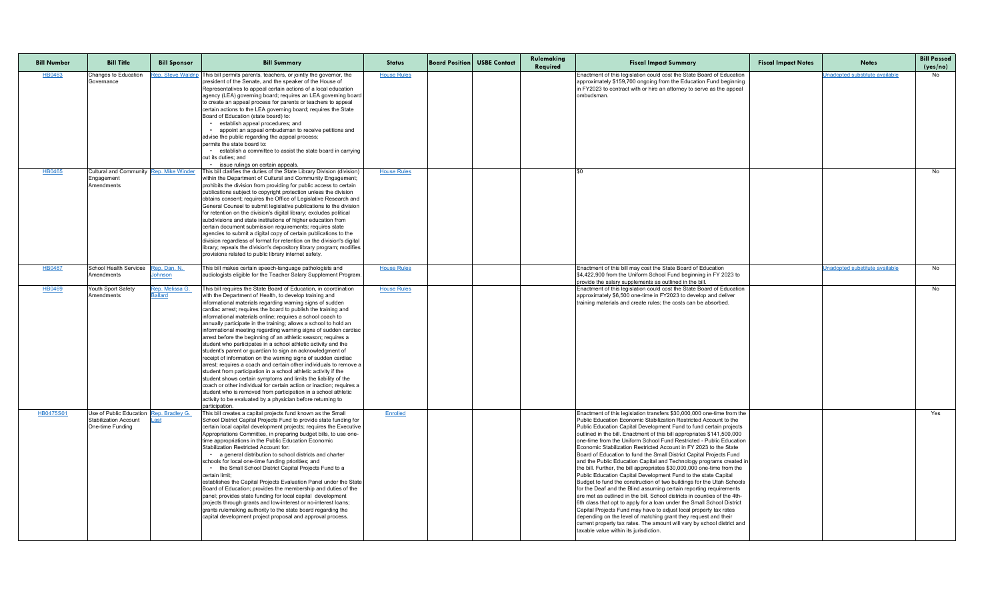| <b>Bill Number</b> | <b>Bill Title</b>                         | <b>Bill Sponsor</b> | <b>Bill Summary</b>                                                                                                                                                                             | <b>Status</b>      | <b>Board Position USBE Contact</b> | Rulemaking<br>Required | <b>Fiscal Impact Summary</b>                                                                                                                                                                                                | <b>Fiscal Impact Notes</b> | <b>Notes</b>                          | <b>Bill Passed</b><br>(yes/no) |
|--------------------|-------------------------------------------|---------------------|-------------------------------------------------------------------------------------------------------------------------------------------------------------------------------------------------|--------------------|------------------------------------|------------------------|-----------------------------------------------------------------------------------------------------------------------------------------------------------------------------------------------------------------------------|----------------------------|---------------------------------------|--------------------------------|
| HB0463             | Changes to Education<br>Governance        | Rep. Steve Waldri   | This bill permits parents, teachers, or jointly the governor, the<br>president of the Senate, and the speaker of the House of<br>Representatives to appeal certain actions of a local education | <b>House Rules</b> |                                    |                        | Enactment of this legislation could cost the State Board of Education<br>approximately \$159,700 ongoing from the Education Fund beginning<br>$\vert$ in FY2023 to contract with or hire an attorney to serve as the appeal |                            | <b>Jnadopted substitute available</b> | No                             |
|                    |                                           |                     | agency (LEA) governing board; requires an LEA governing board                                                                                                                                   |                    |                                    |                        | lombudsman.                                                                                                                                                                                                                 |                            |                                       |                                |
|                    |                                           |                     | to create an appeal process for parents or teachers to appeal<br>certain actions to the LEA governing board; requires the State                                                                 |                    |                                    |                        |                                                                                                                                                                                                                             |                            |                                       |                                |
|                    |                                           |                     | Board of Education (state board) to:                                                                                                                                                            |                    |                                    |                        |                                                                                                                                                                                                                             |                            |                                       |                                |
|                    |                                           |                     | • establish appeal procedures; and                                                                                                                                                              |                    |                                    |                        |                                                                                                                                                                                                                             |                            |                                       |                                |
|                    |                                           |                     | appoint an appeal ombudsman to receive petitions and<br>advise the public regarding the appeal process;                                                                                         |                    |                                    |                        |                                                                                                                                                                                                                             |                            |                                       |                                |
|                    |                                           |                     | permits the state board to:                                                                                                                                                                     |                    |                                    |                        |                                                                                                                                                                                                                             |                            |                                       |                                |
|                    |                                           |                     | establish a committee to assist the state board in carrying                                                                                                                                     |                    |                                    |                        |                                                                                                                                                                                                                             |                            |                                       |                                |
|                    |                                           |                     | out its duties; and<br>• issue rulings on certain appeals.                                                                                                                                      |                    |                                    |                        |                                                                                                                                                                                                                             |                            |                                       |                                |
| HB0465             | Cultural and Community Rep. Mike Winder   |                     | This bill clarifies the duties of the State Library Division (division)                                                                                                                         | <b>House Rules</b> |                                    |                        |                                                                                                                                                                                                                             |                            |                                       | No                             |
|                    | Engagement                                |                     | within the Department of Cultural and Community Engagement;                                                                                                                                     |                    |                                    |                        |                                                                                                                                                                                                                             |                            |                                       |                                |
|                    | <b>Amendments</b>                         |                     | prohibits the division from providing for public access to certain<br>publications subject to copyright protection unless the division                                                          |                    |                                    |                        |                                                                                                                                                                                                                             |                            |                                       |                                |
|                    |                                           |                     | obtains consent; requires the Office of Legislative Research and                                                                                                                                |                    |                                    |                        |                                                                                                                                                                                                                             |                            |                                       |                                |
|                    |                                           |                     | General Counsel to submit legislative publications to the division                                                                                                                              |                    |                                    |                        |                                                                                                                                                                                                                             |                            |                                       |                                |
|                    |                                           |                     | for retention on the division's digital library; excludes political<br>subdivisions and state institutions of higher education from                                                             |                    |                                    |                        |                                                                                                                                                                                                                             |                            |                                       |                                |
|                    |                                           |                     | certain document submission requirements; requires state                                                                                                                                        |                    |                                    |                        |                                                                                                                                                                                                                             |                            |                                       |                                |
|                    |                                           |                     | agencies to submit a digital copy of certain publications to the                                                                                                                                |                    |                                    |                        |                                                                                                                                                                                                                             |                            |                                       |                                |
|                    |                                           |                     | division regardless of format for retention on the division's digital<br>library; repeals the division's depository library program; modifies                                                   |                    |                                    |                        |                                                                                                                                                                                                                             |                            |                                       |                                |
|                    |                                           |                     | provisions related to public library internet safety.                                                                                                                                           |                    |                                    |                        |                                                                                                                                                                                                                             |                            |                                       |                                |
| <b>HB0467</b>      | School Health Services                    | Rep. Dan. N.        | This bill makes certain speech-language pathologists and                                                                                                                                        | <b>House Rules</b> |                                    |                        | Enactment of this bill may cost the State Board of Education                                                                                                                                                                |                            | Unadopted substitute available        | No                             |
|                    | Amendments                                | <u>ohnson</u>       | audiologists eligible for the Teacher Salary Supplement Program.                                                                                                                                |                    |                                    |                        | \$4,422,900 from the Uniform School Fund beginning in FY 2023 to                                                                                                                                                            |                            |                                       |                                |
| HB0469             | Youth Sport Safety                        | Rep. Melissa G.     | This bill requires the State Board of Education, in coordination                                                                                                                                | <b>House Rules</b> |                                    |                        | provide the salary supplements as outlined in the bill.<br>Enactment of this legislation could cost the State Board of Education                                                                                            |                            |                                       | No                             |
|                    | Amendments                                | <b>Ballard</b>      | with the Department of Health, to develop training and                                                                                                                                          |                    |                                    |                        | approximately \$6,500 one-time in FY2023 to develop and deliver                                                                                                                                                             |                            |                                       |                                |
|                    |                                           |                     | informational materials regarding warning signs of sudden                                                                                                                                       |                    |                                    |                        | training materials and create rules; the costs can be absorbed.                                                                                                                                                             |                            |                                       |                                |
|                    |                                           |                     | cardiac arrest; requires the board to publish the training and<br>informational materials online; requires a school coach to                                                                    |                    |                                    |                        |                                                                                                                                                                                                                             |                            |                                       |                                |
|                    |                                           |                     | annually participate in the training; allows a school to hold an                                                                                                                                |                    |                                    |                        |                                                                                                                                                                                                                             |                            |                                       |                                |
|                    |                                           |                     | informational meeting regarding warning signs of sudden cardiac                                                                                                                                 |                    |                                    |                        |                                                                                                                                                                                                                             |                            |                                       |                                |
|                    |                                           |                     | arrest before the beginning of an athletic season; requires a<br>student who participates in a school athletic activity and the                                                                 |                    |                                    |                        |                                                                                                                                                                                                                             |                            |                                       |                                |
|                    |                                           |                     | student's parent or guardian to sign an acknowledgment of                                                                                                                                       |                    |                                    |                        |                                                                                                                                                                                                                             |                            |                                       |                                |
|                    |                                           |                     | receipt of information on the warning signs of sudden cardiac                                                                                                                                   |                    |                                    |                        |                                                                                                                                                                                                                             |                            |                                       |                                |
|                    |                                           |                     | arrest; requires a coach and certain other individuals to remove a<br>student from participation in a school athletic activity if the                                                           |                    |                                    |                        |                                                                                                                                                                                                                             |                            |                                       |                                |
|                    |                                           |                     | student shows certain symptoms and limits the liability of the                                                                                                                                  |                    |                                    |                        |                                                                                                                                                                                                                             |                            |                                       |                                |
|                    |                                           |                     | coach or other individual for certain action or inaction; requires a                                                                                                                            |                    |                                    |                        |                                                                                                                                                                                                                             |                            |                                       |                                |
|                    |                                           |                     | student who is removed from participation in a school athletic<br>activity to be evaluated by a physician before returning to                                                                   |                    |                                    |                        |                                                                                                                                                                                                                             |                            |                                       |                                |
|                    |                                           |                     | participation                                                                                                                                                                                   |                    |                                    |                        |                                                                                                                                                                                                                             |                            |                                       |                                |
| <b>HB0475S01</b>   | Use of Public Education Rep. Bradley G.   |                     | This bill creates a capital projects fund known as the Small                                                                                                                                    | <b>Enrolled</b>    |                                    |                        | Enactment of this legislation transfers \$30,000,000 one-time from the                                                                                                                                                      |                            |                                       | Yes                            |
|                    | Stabilization Account<br>One-time Funding |                     | School District Capital Projects Fund to provide state funding for<br>certain local capital development projects; requires the Executive                                                        |                    |                                    |                        | Public Education Economic Stabilization Restricted Account to the<br>Public Education Capital Development Fund to fund certain projects                                                                                     |                            |                                       |                                |
|                    |                                           |                     | Appropriations Committee, in preparing budget bills, to use one-                                                                                                                                |                    |                                    |                        | outlined in the bill. Enactment of this bill appropriates \$141,500,000                                                                                                                                                     |                            |                                       |                                |
|                    |                                           |                     | time appropriations in the Public Education Economic                                                                                                                                            |                    |                                    |                        | Ione-time from the Uniform School Fund Restricted - Public Education                                                                                                                                                        |                            |                                       |                                |
|                    |                                           |                     | <b>Stabilization Restricted Account for:</b><br>• a general distribution to school districts and charter                                                                                        |                    |                                    |                        | Economic Stabilization Restricted Account in FY 2023 to the State<br>Board of Education to fund the Small District Capital Projects Fund                                                                                    |                            |                                       |                                |
|                    |                                           |                     | schools for local one-time funding priorities; and                                                                                                                                              |                    |                                    |                        | and the Public Education Capital and Technology programs created in                                                                                                                                                         |                            |                                       |                                |
|                    |                                           |                     | • the Small School District Capital Projects Fund to a                                                                                                                                          |                    |                                    |                        | the bill. Further, the bill appropriates \$30,000,000 one-time from the                                                                                                                                                     |                            |                                       |                                |
|                    |                                           |                     | certain limit;<br>establishes the Capital Projects Evaluation Panel under the State                                                                                                             |                    |                                    |                        | Public Education Capital Development Fund to the state Capital<br>Budget to fund the construction of two buildings for the Utah Schools                                                                                     |                            |                                       |                                |
|                    |                                           |                     | Board of Education; provides the membership and duties of the                                                                                                                                   |                    |                                    |                        | for the Deaf and the Blind assuming certain reporting requirements                                                                                                                                                          |                            |                                       |                                |
|                    |                                           |                     | panel; provides state funding for local capital development                                                                                                                                     |                    |                                    |                        | are met as outlined in the bill. School districts in counties of the 4th-                                                                                                                                                   |                            |                                       |                                |
|                    |                                           |                     | projects through grants and low-interest or no-interest loans;<br>grants rulemaking authority to the state board regarding the                                                                  |                    |                                    |                        | 6th class that opt to apply for a loan under the Small School District<br>Capital Projects Fund may have to adjust local property tax rates                                                                                 |                            |                                       |                                |
|                    |                                           |                     | capital development project proposal and approval process.                                                                                                                                      |                    |                                    |                        | depending on the level of matching grant they request and their                                                                                                                                                             |                            |                                       |                                |
|                    |                                           |                     |                                                                                                                                                                                                 |                    |                                    |                        | current property tax rates. The amount will vary by school district and                                                                                                                                                     |                            |                                       |                                |
|                    |                                           |                     |                                                                                                                                                                                                 |                    |                                    |                        | taxable value within its jurisdiction.                                                                                                                                                                                      |                            |                                       |                                |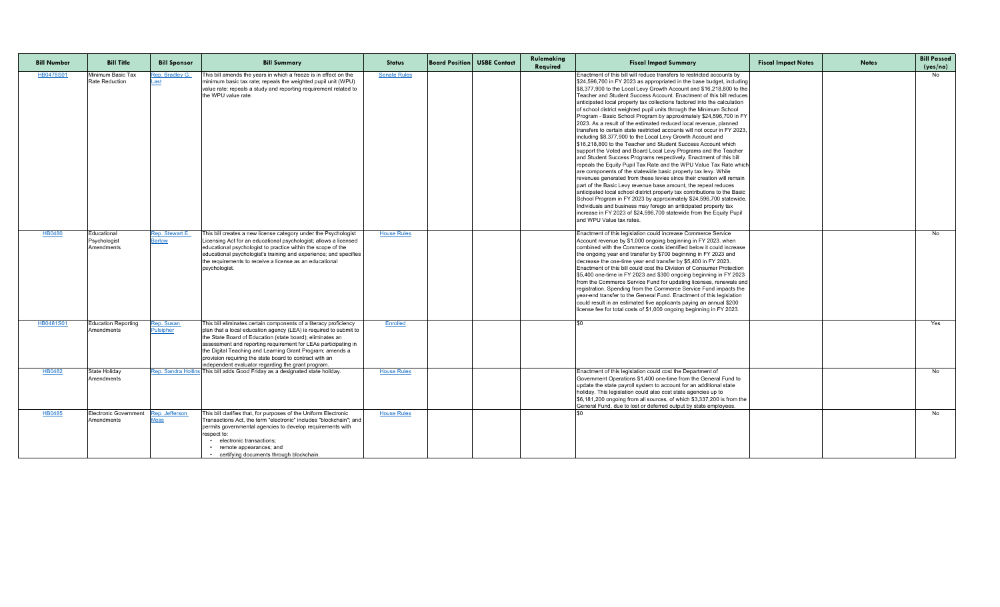| <b>Bill Number</b> | <b>Bill Title</b>                          | <b>Bill Sponsor</b>              | <b>Bill Summary</b>                                                                                                                                                                                                                                                                                                                                                                                                                                 | <b>Status</b>       | <b>Board Position USBE Contact</b> | Rulemaking<br>Required | <b>Fiscal Impact Summary</b>                                                                                                                                                                                                                                                                                                                                                                                                                                                                                                                                                                                                                                                                                                                                                                                                                                                                                                                                                                                                                                                                                                                                                                                                                                                                                                                                                                                                                                                                                                                                 | <b>Fiscal Impact Notes</b> | <b>Notes</b> | <b>Bill Passed</b><br>(yes/no) |
|--------------------|--------------------------------------------|----------------------------------|-----------------------------------------------------------------------------------------------------------------------------------------------------------------------------------------------------------------------------------------------------------------------------------------------------------------------------------------------------------------------------------------------------------------------------------------------------|---------------------|------------------------------------|------------------------|--------------------------------------------------------------------------------------------------------------------------------------------------------------------------------------------------------------------------------------------------------------------------------------------------------------------------------------------------------------------------------------------------------------------------------------------------------------------------------------------------------------------------------------------------------------------------------------------------------------------------------------------------------------------------------------------------------------------------------------------------------------------------------------------------------------------------------------------------------------------------------------------------------------------------------------------------------------------------------------------------------------------------------------------------------------------------------------------------------------------------------------------------------------------------------------------------------------------------------------------------------------------------------------------------------------------------------------------------------------------------------------------------------------------------------------------------------------------------------------------------------------------------------------------------------------|----------------------------|--------------|--------------------------------|
| <b>HB0478S01</b>   | Minimum Basic Tax<br><b>Rate Reduction</b> | Rep. Bradley G.<br>.ast          | This bill amends the years in which a freeze is in effect on the<br>minimum basic tax rate; repeals the weighted pupil unit (WPU)<br>value rate; repeals a study and reporting requirement related to<br>the WPU value rate.                                                                                                                                                                                                                        | <b>Senate Rules</b> |                                    |                        | Enactment of this bill will reduce transfers to restricted accounts by<br>\$24,596,700 in FY 2023 as appropriated in the base budget, including<br>\$8,377,900 to the Local Levy Growth Account and \$16,218,800 to the<br>Teacher and Student Success Account. Enactment of this bill reduces<br>anticipated local property tax collections factored into the calculation<br>of school district weighted pupil units through the Minimum School<br>Program - Basic School Program by approximately \$24,596,700 in FY<br>2023. As a result of the estimated reduced local revenue, planned<br>transfers to certain state restricted accounts will not occur in FY 2023.<br>including \$8,377,900 to the Local Levy Growth Account and<br>\$16,218,800 to the Teacher and Student Success Account which<br>support the Voted and Board Local Levy Programs and the Teacher<br>and Student Success Programs respectively. Enactment of this bill<br>repeals the Equity Pupil Tax Rate and the WPU Value Tax Rate which<br>are components of the statewide basic property tax levy. While<br>revenues generated from these levies since their creation will remain<br>part of the Basic Levy revenue base amount, the repeal reduces<br>anticipated local school district property tax contributions to the Basic<br>School Program in FY 2023 by approximately \$24,596,700 statewide.<br>Individuals and business may forego an anticipated property tax<br>lincrease in FY 2023 of \$24,596,700 statewide from the Equity Pupil<br>and WPU Value tax rates. |                            |              | No                             |
| HB0480             | Educational<br>Psychologist<br>Amendments  | Rep. Stewart E.<br><b>Barlow</b> | This bill creates a new license category under the Psychologist<br>Licensing Act for an educational psychologist; allows a licensed<br>educational psychologist to practice within the scope of the<br>educational psychologist's training and experience; and specifies<br>the requirements to receive a license as an educational<br>psychologist                                                                                                 | <b>House Rules</b>  |                                    |                        | Enactment of this legislation could increase Commerce Service<br>Account revenue by \$1,000 ongoing beginning in FY 2023. when<br>Icombined with the Commerce costs identified below it could increase<br>the ongoing year end transfer by \$700 beginning in FY 2023 and<br>decrease the one-time year end transfer by \$5,400 in FY 2023.<br>Enactment of this bill could cost the Division of Consumer Protection<br>\$5,400 one-time in FY 2023 and \$300 ongoing beginning in FY 2023<br>from the Commerce Service Fund for updating licenses, renewals and<br>registration. Spending from the Commerce Service Fund impacts the<br>year-end transfer to the General Fund. Enactment of this legislation<br>could result in an estimated five applicants paying an annual \$200<br>license fee for total costs of \$1,000 ongoing beginning in FY 2023.                                                                                                                                                                                                                                                                                                                                                                                                                                                                                                                                                                                                                                                                                                 |                            |              | No                             |
| HB0481S01          | <b>Education Reporting</b><br>Amendments   | Rep. Susan<br><b>Pulsipher</b>   | This bill eliminates certain components of a literacy proficiency<br>plan that a local education agency (LEA) is required to submit to<br>the State Board of Education (state board); eliminates an<br>assessment and reporting requirement for LEAs participating in<br>the Digital Teaching and Learning Grant Program; amends a<br>provision requiring the state board to contract with an<br>independent evaluator regarding the grant program. | Enrolled            |                                    |                        |                                                                                                                                                                                                                                                                                                                                                                                                                                                                                                                                                                                                                                                                                                                                                                                                                                                                                                                                                                                                                                                                                                                                                                                                                                                                                                                                                                                                                                                                                                                                                              |                            |              | Yes                            |
| <b>HB0482</b>      | <b>State Holiday</b><br>Amendments         |                                  | Rep. Sandra Hollins This bill adds Good Friday as a designated state holiday.                                                                                                                                                                                                                                                                                                                                                                       | <b>House Rules</b>  |                                    |                        | Enactment of this legislation could cost the Department of<br>Government Operations \$1,400 one-time from the General Fund to<br>update the state payroll system to account for an additional state<br>holiday. This legislation could also cost state agencies up to<br>\$6,181,200 ongoing from all sources, of which \$3,337,200 is from the<br>General Fund, due to lost or deferred output by state employees.                                                                                                                                                                                                                                                                                                                                                                                                                                                                                                                                                                                                                                                                                                                                                                                                                                                                                                                                                                                                                                                                                                                                          |                            |              | No                             |
| HB0485             | <b>Electronic Government</b><br>Amendments | Rep. Jefferson<br><u> Moss</u>   | This bill clarifies that, for purposes of the Uniform Electronic<br>Transactions Act, the term "electronic" includes "blockchain"; and<br>permits governmental agencies to develop requirements with<br>respect to:<br>electronic transactions;<br>• remote appearances; and<br>• certifying documents through blockchain.                                                                                                                          | <b>House Rules</b>  |                                    |                        |                                                                                                                                                                                                                                                                                                                                                                                                                                                                                                                                                                                                                                                                                                                                                                                                                                                                                                                                                                                                                                                                                                                                                                                                                                                                                                                                                                                                                                                                                                                                                              |                            |              | No                             |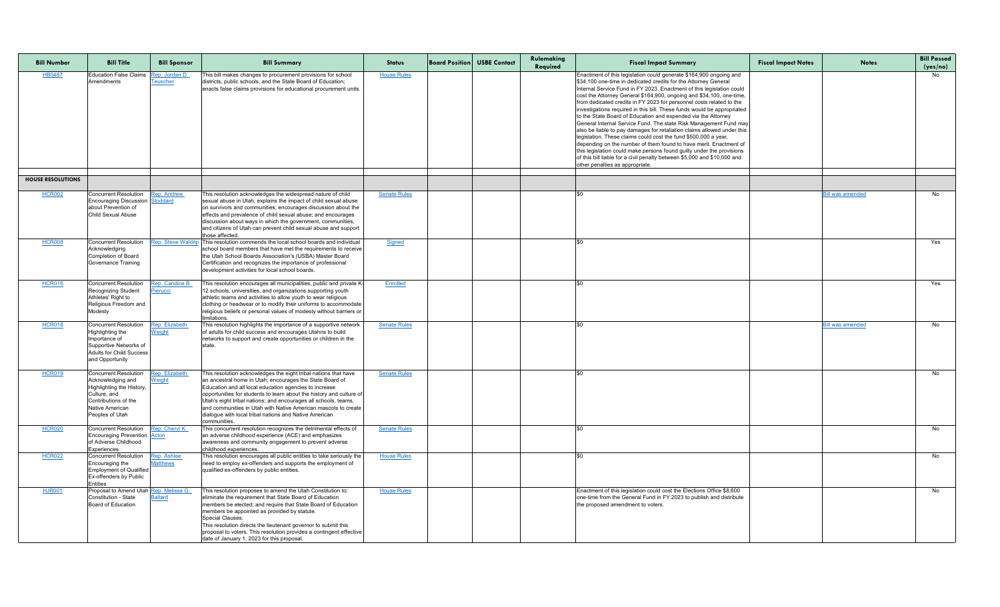| <b>Bill Number</b>       | <b>Bill Title</b>                                                                                                                                                   | <b>Bill Sponsor</b>                   | <b>Bill Summary</b>                                                                                                                                                                                                                                                                                                                                                                                                                                                          | <b>Status</b>       | <b>Board Position USBE Contact</b> | Rulemaking<br>Required | <b>Fiscal Impact Summary</b>                                                                                                                                                                                                                                                                                                                                                                                                                                                                                                                                                                                                                                                                                                                                                                                                                                                                                                                                                                  | <b>Fiscal Impact Notes</b> | <b>Notes</b>            | <b>Bill Passed</b><br>(yes/no) |
|--------------------------|---------------------------------------------------------------------------------------------------------------------------------------------------------------------|---------------------------------------|------------------------------------------------------------------------------------------------------------------------------------------------------------------------------------------------------------------------------------------------------------------------------------------------------------------------------------------------------------------------------------------------------------------------------------------------------------------------------|---------------------|------------------------------------|------------------------|-----------------------------------------------------------------------------------------------------------------------------------------------------------------------------------------------------------------------------------------------------------------------------------------------------------------------------------------------------------------------------------------------------------------------------------------------------------------------------------------------------------------------------------------------------------------------------------------------------------------------------------------------------------------------------------------------------------------------------------------------------------------------------------------------------------------------------------------------------------------------------------------------------------------------------------------------------------------------------------------------|----------------------------|-------------------------|--------------------------------|
| <b>HB0487</b>            | <b>Education False Claims</b><br>Amendments                                                                                                                         | Rep. Jordan D.<br><u>Teuscher</u>     | This bill makes changes to procurement provisions for school<br>districts, public schools, and the State Board of Education;<br>enacts false claims provisions for educational procurement units.                                                                                                                                                                                                                                                                            | <b>House Rules</b>  |                                    |                        | Enactment of this legislation could generate \$164,900 ongoing and<br>\$34,100 one-time in dedicated credits for the Attorney General<br>Internal Service Fund in FY 2023. Enactment of this legislation could<br>cost the Attorney General \$164,900, ongoing and \$34,100, one-time,<br>from dedicated credits in FY 2023 for personnel costs related to the<br>investigations required in this bill. These funds would be appropriated<br>to the State Board of Education and expended via the Attorney<br>General Internal Service Fund. The state Risk Management Fund may<br>also be liable to pay damages for retaliation claims allowed under this<br>legislation. These claims could cost the fund \$500,000 a year,<br>depending on the number of them found to have merit. Enactment of<br>this legislation could make persons found guilty under the provisions<br>of this bill liable for a civil penalty between $$5,000$ and $\$10,000$ and<br>other penalties as appropriate. |                            |                         | No                             |
| <b>HOUSE RESOLUTIONS</b> |                                                                                                                                                                     |                                       |                                                                                                                                                                                                                                                                                                                                                                                                                                                                              |                     |                                    |                        |                                                                                                                                                                                                                                                                                                                                                                                                                                                                                                                                                                                                                                                                                                                                                                                                                                                                                                                                                                                               |                            |                         |                                |
| <b>HCR002</b>            | <b>Concurrent Resolution</b><br><b>Encouraging Discussion Stoddard</b><br>about Prevention of<br><b>Child Sexual Abuse</b>                                          | <b>Rep. Andrew</b>                    | This resolution acknowledges the widespread nature of child<br>sexual abuse in Utah; explains the impact of child sexual abuse<br>on survivors and communities; encourages discussion about the<br>effects and prevalence of child sexual abuse; and encourages<br>discussion about ways in which the government, communities,<br>and citizens of Utah can prevent child sexual abuse and support<br>those affected.                                                         | <b>Senate Rules</b> |                                    |                        |                                                                                                                                                                                                                                                                                                                                                                                                                                                                                                                                                                                                                                                                                                                                                                                                                                                                                                                                                                                               |                            | <u>Bill was amended</u> | No                             |
| <b>HCR008</b>            | <b>Concurrent Resolution</b><br>Acknowledging<br><b>Completion of Board</b><br><b>Governance Training</b>                                                           | <b>Rep. Steve Waldri</b>              | This resolution commends the local school boards and individual<br>school board members that have met the requirements to receive<br>the Utah School Boards Association's (USBA) Master Board<br>Certification and recognizes the importance of professional<br>development activities for local school boards.                                                                                                                                                              | Signed              |                                    |                        | I.SO                                                                                                                                                                                                                                                                                                                                                                                                                                                                                                                                                                                                                                                                                                                                                                                                                                                                                                                                                                                          |                            |                         | Yes                            |
| <b>HCR016</b>            | <b>Concurrent Resolution</b><br>Recognizing Student<br>Athletes' Right to<br>Religious Freedom and<br>Modesty                                                       | Rep. Candice B.<br>Pierucci           | This resolution encourages all municipalities, public and private K-<br>12 schools, universities, and organizations supporting youth<br>athletic teams and activities to allow youth to wear religious<br>clothing or headwear or to modify their uniforms to accommodate  <br>religious beliefs or personal values of modesty without barriers or<br>limitations.                                                                                                           | Enrolled            |                                    |                        |                                                                                                                                                                                                                                                                                                                                                                                                                                                                                                                                                                                                                                                                                                                                                                                                                                                                                                                                                                                               |                            |                         | Yes                            |
| <b>HCR018</b>            | <b>Concurrent Resolution</b><br>Highlighting the<br>Importance of<br><b>Supportive Networks of</b><br><b>Adults for Child Success</b><br>and Opportunity            | Rep. Elizabeth<br>Weight              | This resolution highlights the importance of a supportive network<br>of adults for child success and encourages Utahns to build<br>networks to support and create opportunities or children in the<br>state.                                                                                                                                                                                                                                                                 | <b>Senate Rules</b> |                                    |                        |                                                                                                                                                                                                                                                                                                                                                                                                                                                                                                                                                                                                                                                                                                                                                                                                                                                                                                                                                                                               |                            | <b>Bill was amended</b> | No                             |
| <b>HCR019</b>            | <b>Concurrent Resolution</b><br>Acknowledging and<br>Highlighting the History,<br>Culture, and<br>Contributions of the<br><b>Native American</b><br>Peoples of Utah | Rep. Elizabeth<br>Weight              | This resolution acknowledges the eight tribal nations that have<br>an ancestral home in Utah; encourages the State Board of<br>Education and all local education agencies to increase<br>opportunities for students to learn about the history and culture of<br>Utah's eight tribal nations; and encourages all schools, teams,<br>and communities in Utah with Native American mascots to create<br>dialogue with local tribal nations and Native American<br>communities. | <b>Senate Rules</b> |                                    |                        |                                                                                                                                                                                                                                                                                                                                                                                                                                                                                                                                                                                                                                                                                                                                                                                                                                                                                                                                                                                               |                            |                         | No                             |
| <b>HCR020</b>            | <b>Concurrent Resolution</b><br><b>Encouraging Prevention Acton</b><br>of Adverse Childhood<br><b>Experiences</b>                                                   | Rep. Cheryl K.                        | This concurrent resolution recognizes the detrimental effects of<br>an adverse childhood experience (ACE) and emphasizes<br>awareness and community engagement to prevent adverse<br>childhood experiences.                                                                                                                                                                                                                                                                  | <b>Senate Rules</b> |                                    |                        |                                                                                                                                                                                                                                                                                                                                                                                                                                                                                                                                                                                                                                                                                                                                                                                                                                                                                                                                                                                               |                            |                         | No                             |
| <b>HCR022</b>            | <b>Concurrent Resolution</b><br>Encouraging the<br><b>Employment of Qualified</b><br><b>Ex-offenders by Public</b><br>Entities                                      | <b>Rep. Ashlee</b><br><b>Matthews</b> | This resolution encourages all public entities to take seriously the<br>need to employ ex-offenders and supports the employment of<br>qualified ex-offenders by public entities.                                                                                                                                                                                                                                                                                             | <b>House Rules</b>  |                                    |                        |                                                                                                                                                                                                                                                                                                                                                                                                                                                                                                                                                                                                                                                                                                                                                                                                                                                                                                                                                                                               |                            |                         | No                             |
| <b>HJR001</b>            | Proposal to Amend Utah Rep. Melissa G.<br>Constitution - State<br>Board of Education                                                                                | <b>Ballard</b>                        | This resolution proposes to amend the Utah Constitution to:<br>eliminate the requirement that State Board of Education<br>Imembers be elected; and require that State Board of Education<br>members be appointed as provided by statute.<br><b>Special Clauses:</b><br>This resolution directs the lieutenant governor to submit this<br>proposal to voters. This resolution provides a contingent effective<br>date of January 1, 2023 for this proposal.                   | <b>House Rules</b>  |                                    |                        | Enactment of this legislation could cost the Elections Office \$8,600<br>one-time from the General Fund in FY 2023 to publish and distribute<br>the proposed amendment to voters.                                                                                                                                                                                                                                                                                                                                                                                                                                                                                                                                                                                                                                                                                                                                                                                                             |                            |                         | No                             |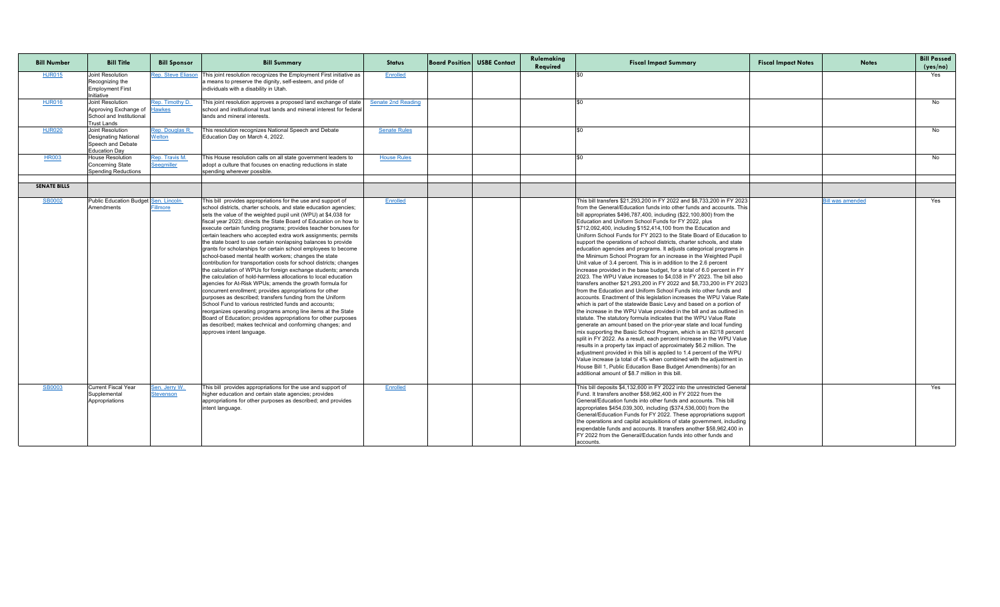| <b>Bill Number</b>  | <b>Bill Title</b>                                                                           | <b>Bill Sponsor</b>               | <b>Bill Summary</b>                                                                                                                                                                                                                                                                                                                                                                                                                                                                                                                                                                                                                                                                                                                                                                                                                                                                                                                                                                                                                                                                                                                                                                                                                                                                        | <b>Status</b>             | <b>Board Position USBE Contact</b> | Rulemaking<br>Required | <b>Fiscal Impact Summary</b>                                                                                                                                                                                                                                                                                                                                                                                                                                                                                                                                                                                                                                                                                                                                                                                                                                                                                                                                                                                                                                                                                                                                                                                                                                                                                                                                                                                                                                                                                                                                                                                                                                                                                                                                                                                                                                               | <b>Fiscal Impact Notes</b> | <b>Notes</b>            | <b>Bill Passed</b><br>(yes/no) |
|---------------------|---------------------------------------------------------------------------------------------|-----------------------------------|--------------------------------------------------------------------------------------------------------------------------------------------------------------------------------------------------------------------------------------------------------------------------------------------------------------------------------------------------------------------------------------------------------------------------------------------------------------------------------------------------------------------------------------------------------------------------------------------------------------------------------------------------------------------------------------------------------------------------------------------------------------------------------------------------------------------------------------------------------------------------------------------------------------------------------------------------------------------------------------------------------------------------------------------------------------------------------------------------------------------------------------------------------------------------------------------------------------------------------------------------------------------------------------------|---------------------------|------------------------------------|------------------------|----------------------------------------------------------------------------------------------------------------------------------------------------------------------------------------------------------------------------------------------------------------------------------------------------------------------------------------------------------------------------------------------------------------------------------------------------------------------------------------------------------------------------------------------------------------------------------------------------------------------------------------------------------------------------------------------------------------------------------------------------------------------------------------------------------------------------------------------------------------------------------------------------------------------------------------------------------------------------------------------------------------------------------------------------------------------------------------------------------------------------------------------------------------------------------------------------------------------------------------------------------------------------------------------------------------------------------------------------------------------------------------------------------------------------------------------------------------------------------------------------------------------------------------------------------------------------------------------------------------------------------------------------------------------------------------------------------------------------------------------------------------------------------------------------------------------------------------------------------------------------|----------------------------|-------------------------|--------------------------------|
| <b>HJR015</b>       | Joint Resolution<br>Recognizing the<br><b>Employment First</b><br>Initiative                | <b>Rep. Steve Eliason</b>         | This joint resolution recognizes the Employment First initiative as<br>a means to preserve the dignity, self-esteem, and pride of<br>individuals with a disability in Utah.                                                                                                                                                                                                                                                                                                                                                                                                                                                                                                                                                                                                                                                                                                                                                                                                                                                                                                                                                                                                                                                                                                                | Enrolled                  |                                    |                        |                                                                                                                                                                                                                                                                                                                                                                                                                                                                                                                                                                                                                                                                                                                                                                                                                                                                                                                                                                                                                                                                                                                                                                                                                                                                                                                                                                                                                                                                                                                                                                                                                                                                                                                                                                                                                                                                            |                            |                         | Yes                            |
| <b>HJR016</b>       | Joint Resolution<br>Approving Exchange of<br>School and Institutional<br><b>Trust Lands</b> | Rep. Timothy D.<br><b>Hawkes</b>  | This joint resolution approves a proposed land exchange of state<br>school and institutional trust lands and mineral interest for federal<br>lands and mineral interests.                                                                                                                                                                                                                                                                                                                                                                                                                                                                                                                                                                                                                                                                                                                                                                                                                                                                                                                                                                                                                                                                                                                  | <b>Senate 2nd Reading</b> |                                    |                        |                                                                                                                                                                                                                                                                                                                                                                                                                                                                                                                                                                                                                                                                                                                                                                                                                                                                                                                                                                                                                                                                                                                                                                                                                                                                                                                                                                                                                                                                                                                                                                                                                                                                                                                                                                                                                                                                            |                            |                         | No                             |
| <b>HJR020</b>       | Joint Resolution<br>Designating National<br>Speech and Debate<br><b>Education Day</b>       | Rep. Douglas R.<br>Welton         | This resolution recognizes National Speech and Debate<br>Education Day on March 4, 2022.                                                                                                                                                                                                                                                                                                                                                                                                                                                                                                                                                                                                                                                                                                                                                                                                                                                                                                                                                                                                                                                                                                                                                                                                   | <b>Senate Rules</b>       |                                    |                        |                                                                                                                                                                                                                                                                                                                                                                                                                                                                                                                                                                                                                                                                                                                                                                                                                                                                                                                                                                                                                                                                                                                                                                                                                                                                                                                                                                                                                                                                                                                                                                                                                                                                                                                                                                                                                                                                            |                            |                         | No                             |
| <b>HR003</b>        | <b>House Resolution</b><br>Concerning State<br><b>Spending Reductions</b>                   | Rep. Travis M.<br>Seegmiller      | This House resolution calls on all state government leaders to<br>adopt a culture that focuses on enacting reductions in state<br>spending wherever possible.                                                                                                                                                                                                                                                                                                                                                                                                                                                                                                                                                                                                                                                                                                                                                                                                                                                                                                                                                                                                                                                                                                                              | <b>House Rules</b>        |                                    |                        |                                                                                                                                                                                                                                                                                                                                                                                                                                                                                                                                                                                                                                                                                                                                                                                                                                                                                                                                                                                                                                                                                                                                                                                                                                                                                                                                                                                                                                                                                                                                                                                                                                                                                                                                                                                                                                                                            |                            |                         | No                             |
| <b>SENATE BILLS</b> |                                                                                             |                                   |                                                                                                                                                                                                                                                                                                                                                                                                                                                                                                                                                                                                                                                                                                                                                                                                                                                                                                                                                                                                                                                                                                                                                                                                                                                                                            |                           |                                    |                        |                                                                                                                                                                                                                                                                                                                                                                                                                                                                                                                                                                                                                                                                                                                                                                                                                                                                                                                                                                                                                                                                                                                                                                                                                                                                                                                                                                                                                                                                                                                                                                                                                                                                                                                                                                                                                                                                            |                            |                         |                                |
| <b>SB0002</b>       | Public Education Budget Sen. Lincoln<br>Amendments                                          | Fillmore                          | This bill provides appropriations for the use and support of<br>school districts, charter schools, and state education agencies;<br>sets the value of the weighted pupil unit (WPU) at \$4,038 for<br>fiscal year 2023; directs the State Board of Education on how to<br>execute certain funding programs; provides teacher bonuses for<br>certain teachers who accepted extra work assignments; permits<br>the state board to use certain nonlapsing balances to provide<br>grants for scholarships for certain school employees to become<br>school-based mental health workers; changes the state<br>contribution for transportation costs for school districts; changes<br>the calculation of WPUs for foreign exchange students; amends<br>the calculation of hold-harmless allocations to local education<br>agencies for At-Risk WPUs; amends the growth formula for<br>concurrent enrollment; provides appropriations for other<br>purposes as described; transfers funding from the Uniform<br>School Fund to various restricted funds and accounts;<br>reorganizes operating programs among line items at the State<br>Board of Education; provides appropriations for other purposes<br>as described; makes technical and conforming changes; and<br>approves intent language. | Enrolled                  |                                    |                        | This bill transfers \$21,293,200 in FY 2022 and \$8,733,200 in FY 2023<br>from the General/Education funds into other funds and accounts. This<br>bill appropriates $$496,787,400$ , including $($22,100,800)$ from the<br>Education and Uniform School Funds for FY 2022, plus<br>\$712,092,400, including \$152,414,100 from the Education and<br>Uniform School Funds for FY 2023 to the State Board of Education to<br>support the operations of school districts, charter schools, and state<br>education agencies and programs. It adjusts categorical programs in<br>the Minimum School Program for an increase in the Weighted Pupil<br>Unit value of 3.4 percent. This is in addition to the 2.6 percent<br>increase provided in the base budget, for a total of 6.0 percent in FY<br>2023. The WPU Value increases to \$4,038 in FY 2023. The bill also<br>transfers another \$21,293,200 in FY 2022 and \$8,733,200 in FY 2023<br>from the Education and Uniform School Funds into other funds and<br>accounts. Enactment of this legislation increases the WPU Value Rate<br>which is part of the statewide Basic Levy and based on a portion of<br>the increase in the WPU Value provided in the bill and as outlined in<br>statute. The statutory formula indicates that the WPU Value Rate<br>generate an amount based on the prior-year state and local funding<br>mix supporting the Basic School Program, which is an 82/18 percent<br>split in FY 2022. As a result, each percent increase in the WPU Value<br>results in a property tax impact of approximately \$6.2 million. The<br>adjustment provided in this bill is applied to 1.4 percent of the WPU<br>Value increase (a total of 4% when combined with the adjustment in<br>House Bill 1, Public Education Base Budget Amendments) for an<br>additional amount of \$8.7 million in this bill. |                            | <u>Bill was amended</u> | Yes                            |
| <b>SB0003</b>       | <b>Current Fiscal Year</b><br>Supplemental<br>Appropriations                                | Sen. Jerry W.<br><b>Stevenson</b> | This bill provides appropriations for the use and support of<br>higher education and certain state agencies; provides<br>appropriations for other purposes as described; and provides<br>intent language.                                                                                                                                                                                                                                                                                                                                                                                                                                                                                                                                                                                                                                                                                                                                                                                                                                                                                                                                                                                                                                                                                  | Enrolled                  |                                    |                        | This bill deposits \$4,132,600 in FY 2022 into the unrestricted General<br>Fund. It transfers another \$58,962,400 in FY 2022 from the<br>General/Education funds into other funds and accounts. This bill<br>appropriates \$454,039,300, including (\$374,536,000) from the<br>General/Education Funds for FY 2022. These appropriations support<br>the operations and capital acquisitions of state government, including<br>expendable funds and accounts. It transfers another \$58,962,400 in<br>FY 2022 from the General/Education funds into other funds and<br>accounts.                                                                                                                                                                                                                                                                                                                                                                                                                                                                                                                                                                                                                                                                                                                                                                                                                                                                                                                                                                                                                                                                                                                                                                                                                                                                                           |                            |                         | Yes                            |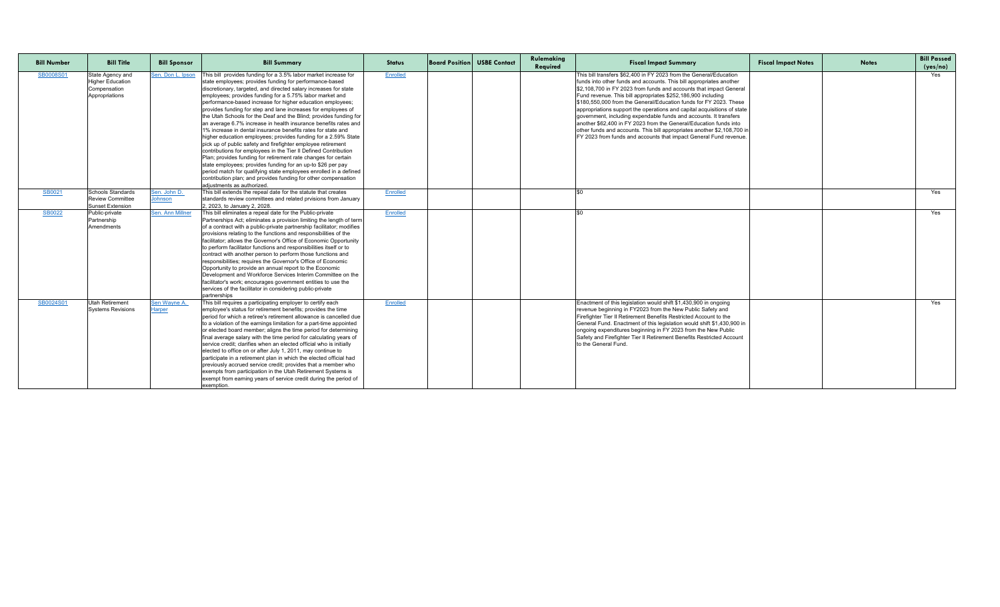| <b>Bill Number</b> | <b>Bill Title</b>                                                             | <b>Bill Sponsor</b>           | <b>Bill Summary</b>                                                                                                                                                                                                                                                                                                                                                                                                                                                                                                                                                                                                                                                                                                                                                                                                                                                                                                                                                                                                                                                            | <b>Status</b>   | <b>Board Position USBE Contact</b> | Rulemaking<br>Required | <b>Fiscal Impact Summary</b>                                                                                                                                                                                                                                                                                                                                                                                                                                                                                                                                                                                                                                                                                             | <b>Fiscal Impact Notes</b> | <b>Notes</b> | <b>Bill Passed</b><br>(yes/no) |
|--------------------|-------------------------------------------------------------------------------|-------------------------------|--------------------------------------------------------------------------------------------------------------------------------------------------------------------------------------------------------------------------------------------------------------------------------------------------------------------------------------------------------------------------------------------------------------------------------------------------------------------------------------------------------------------------------------------------------------------------------------------------------------------------------------------------------------------------------------------------------------------------------------------------------------------------------------------------------------------------------------------------------------------------------------------------------------------------------------------------------------------------------------------------------------------------------------------------------------------------------|-----------------|------------------------------------|------------------------|--------------------------------------------------------------------------------------------------------------------------------------------------------------------------------------------------------------------------------------------------------------------------------------------------------------------------------------------------------------------------------------------------------------------------------------------------------------------------------------------------------------------------------------------------------------------------------------------------------------------------------------------------------------------------------------------------------------------------|----------------------------|--------------|--------------------------------|
| SB0008S01          | State Agency and<br><b>Higher Education</b><br>Compensation<br>Appropriations | Sen. Don L. Ipson             | This bill provides funding for a 3.5% labor market increase for<br>state employees; provides funding for performance-based<br>discretionary, targeted, and directed salary increases for state<br>employees; provides funding for a 5.75% labor market and<br>performance-based increase for higher education employees;<br>provides funding for step and lane increases for employees of<br>the Utah Schools for the Deaf and the Blind; provides funding for<br>an average 6.7% increase in health insurance benefits rates and<br>1% increase in dental insurance benefits rates for state and<br>higher education employees; provides funding for a 2.59% State<br>pick up of public safety and firefighter employee retirement<br>contributions for employees in the Tier II Defined Contribution<br>Plan; provides funding for retirement rate changes for certain<br>state employees; provides funding for an up-to \$26 per pay<br>period match for qualifying state employees enrolled in a defined<br>contribution plan; and provides funding for other compensation | <b>Enrolled</b> |                                    |                        | This bill transfers \$62,400 in FY 2023 from the General/Education<br>funds into other funds and accounts. This bill appropriates another<br>\$2,108,700 in FY 2023 from funds and accounts that impact General<br>Fund revenue. This bill appropriates \$252,186,900 including<br>S180.550.000 from the General/Education funds for FY 2023. These<br>appropriations support the operations and capital acquisitions of state<br>government, including expendable funds and accounts. It transfers<br>another \$62,400 in FY 2023 from the General/Education funds into<br>other funds and accounts. This bill appropriates another \$2,108,700 in<br>FY 2023 from funds and accounts that impact General Fund revenue. |                            |              | Yes                            |
|                    |                                                                               |                               | adjustments as authorized.                                                                                                                                                                                                                                                                                                                                                                                                                                                                                                                                                                                                                                                                                                                                                                                                                                                                                                                                                                                                                                                     |                 |                                    |                        |                                                                                                                                                                                                                                                                                                                                                                                                                                                                                                                                                                                                                                                                                                                          |                            |              | Yes                            |
| SB0021             | Schools Standards<br><b>Review Committee</b><br><b>Sunset Extension</b>       | Sen. John D.<br>Johnson       | This bill extends the repeal date for the statute that creates<br>standards review committees and related prvisions from January<br>2, 2023, to January 2, 2028.                                                                                                                                                                                                                                                                                                                                                                                                                                                                                                                                                                                                                                                                                                                                                                                                                                                                                                               | Enrolled        |                                    |                        |                                                                                                                                                                                                                                                                                                                                                                                                                                                                                                                                                                                                                                                                                                                          |                            |              |                                |
| <b>SB0022</b>      | Public-private<br>Partnership<br>Amendments                                   | Sen. Ann Millner              | This bill eliminates a repeal date for the Public-private<br>Partnerships Act; eliminates a provision limiting the length of term<br>of a contract with a public-private partnership facilitator; modifies<br>provisions relating to the functions and responsibilities of the<br>facilitator; allows the Governor's Office of Economic Opportunity<br>to perform facilitator functions and responsibilities itself or to<br>contract with another person to perform those functions and<br>responsibilities; requires the Governor's Office of Economic<br>Opportunity to provide an annual report to the Economic<br>Development and Workforce Services Interim Committee on the<br>facilitator's work; encourages government entities to use the<br>services of the facilitator in considering public-private<br>partnerships                                                                                                                                                                                                                                               | Enrolled        |                                    |                        |                                                                                                                                                                                                                                                                                                                                                                                                                                                                                                                                                                                                                                                                                                                          |                            |              | Yes                            |
| SB0024S01          | <b>Utah Retirement</b><br><b>Systems Revisions</b>                            | Sen Wayne A.<br><b>Harper</b> | This bill requires a participating employer to certify each<br>employee's status for retirement benefits; provides the time<br>period for which a retiree's retirement allowance is cancelled due<br>to a violation of the earnings limitation for a part-time appointed<br>or elected board member; aligns the time period for determining<br>final average salary with the time period for calculating years of<br>service credit; clarifies when an elected official who is initially<br>elected to office on or after July 1, 2011, may continue to<br>participate in a retirement plan in which the elected official had<br>previously accrued service credit; provides that a member who<br>exempts from participation in the Utah Retirement Systems is<br>exempt from earning years of service credit during the period of<br>exemption.                                                                                                                                                                                                                               | Enrolled        |                                    |                        | Enactment of this legislation would shift \$1,430,900 in ongoing<br>revenue beginning in FY2023 from the New Public Safety and<br>Firefighter Tier II Retirement Benefits Restricted Account to the<br>General Fund. Enactment of this legislation would shift \$1,430,900 in<br>ongoing expenditures beginning in FY 2023 from the New Public<br>Safety and Firefighter Tier II Retirement Benefits Restricted Account<br>to the General Fund.                                                                                                                                                                                                                                                                          |                            |              | Yes                            |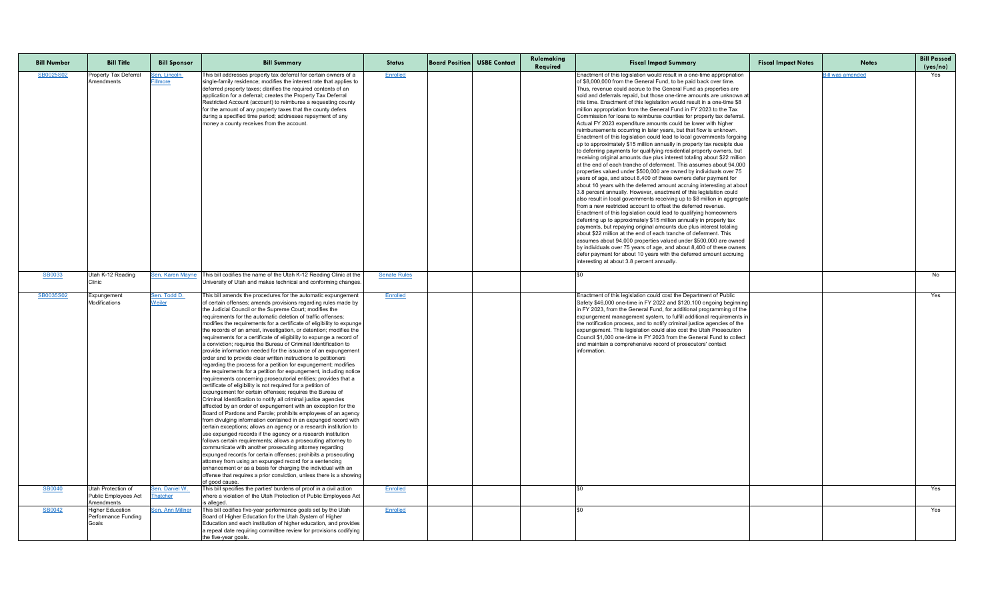| <b>Bill Number</b> | <b>Bill Title</b>                                        | <b>Bill Sponsor</b>                      | <b>Bill Summary</b>                                                                                                                                                                                                                                                                                                                                                                                                                                                                                                                                                                                                                                                                                                                                                                                                                                                                                                                                                                                                                                                                                                                                                                                                                                                                                                                                                                                                                                                                                                                                                                                                                                                                                                                                                                                                                                                     | <b>Status</b>       | <b>Board Position USBE Contact</b> | Rulemaking<br>Required | <b>Fiscal Impact Summary</b>                                                                                                                                                                                                                                                                                                                                                                                                                                                                                                                                                                                                                                                                                                                                                                                                                                                                                                                                                                                                                                                                                                                                                                                                                                                                                                                                                                                                                                                                                                                                                                                                                                                                                                                                                                                                                                                                                                                                                                                                      | <b>Fiscal Impact Notes</b> | <b>Notes</b>            | <b>Bill Passed</b><br>(yes/no) |
|--------------------|----------------------------------------------------------|------------------------------------------|-------------------------------------------------------------------------------------------------------------------------------------------------------------------------------------------------------------------------------------------------------------------------------------------------------------------------------------------------------------------------------------------------------------------------------------------------------------------------------------------------------------------------------------------------------------------------------------------------------------------------------------------------------------------------------------------------------------------------------------------------------------------------------------------------------------------------------------------------------------------------------------------------------------------------------------------------------------------------------------------------------------------------------------------------------------------------------------------------------------------------------------------------------------------------------------------------------------------------------------------------------------------------------------------------------------------------------------------------------------------------------------------------------------------------------------------------------------------------------------------------------------------------------------------------------------------------------------------------------------------------------------------------------------------------------------------------------------------------------------------------------------------------------------------------------------------------------------------------------------------------|---------------------|------------------------------------|------------------------|-----------------------------------------------------------------------------------------------------------------------------------------------------------------------------------------------------------------------------------------------------------------------------------------------------------------------------------------------------------------------------------------------------------------------------------------------------------------------------------------------------------------------------------------------------------------------------------------------------------------------------------------------------------------------------------------------------------------------------------------------------------------------------------------------------------------------------------------------------------------------------------------------------------------------------------------------------------------------------------------------------------------------------------------------------------------------------------------------------------------------------------------------------------------------------------------------------------------------------------------------------------------------------------------------------------------------------------------------------------------------------------------------------------------------------------------------------------------------------------------------------------------------------------------------------------------------------------------------------------------------------------------------------------------------------------------------------------------------------------------------------------------------------------------------------------------------------------------------------------------------------------------------------------------------------------------------------------------------------------------------------------------------------------|----------------------------|-------------------------|--------------------------------|
| SB0025S02          | <b>Property Tax Deferral</b><br>Amendments               | <u>Sen. Lincoln</u><br><b>Fillmore</b>   | This bill addresses property tax deferral for certain owners of a<br>single-family residence; modifies the interest rate that applies to<br>deferred property taxes; clarifies the required contents of an<br>application for a deferral; creates the Property Tax Deferral<br>Restricted Account (account) to reimburse a requesting county<br>for the amount of any property taxes that the county defers<br>during a specified time period; addresses repayment of any<br>money a county receives from the account.                                                                                                                                                                                                                                                                                                                                                                                                                                                                                                                                                                                                                                                                                                                                                                                                                                                                                                                                                                                                                                                                                                                                                                                                                                                                                                                                                  | Enrolled            |                                    |                        | Enactment of this legislation would result in a one-time appropriation<br>of \$8,000,000 from the General Fund, to be paid back over time.<br>Thus, revenue could accrue to the General Fund as properties are<br>sold and deferrals repaid, but those one-time amounts are unknown at<br>this time. Enactment of this legislation would result in a one-time \$8<br>million appropriation from the General Fund in FY 2023 to the Tax<br>Commission for loans to reimburse counties for property tax deferral.<br>Actual FY 2023 expenditure amounts could be lower with higher<br>reimbursements occurring in later years, but that flow is unknown.<br>Enactment of this legislation could lead to local governments forgoing<br>up to approximately \$15 million annually in property tax receipts due<br>to deferring payments for qualifying residential property owners, but<br>receiving original amounts due plus interest totaling about \$22 million<br>at the end of each tranche of deferment. This assumes about 94,000<br>properties valued under \$500,000 are owned by individuals over 75<br>years of age, and about 8,400 of these owners defer payment for<br>about 10 years with the deferred amount accruing interesting at about<br>3.8 percent annually. However, enactment of this legislation could<br>also result in local governments receiving up to \$8 million in aggregate<br>from a new restricted account to offset the deferred revenue.<br>Enactment of this legislation could lead to qualifying homeowners<br>deferring up to approximately \$15 million annually in property tax<br>payments, but repaying original amounts due plus interest totaling<br>about \$22 million at the end of each tranche of deferment. This<br>assumes about 94,000 properties valued under \$500,000 are owned<br>by individuals over 75 years of age, and about 8,400 of these owners<br>defer payment for about 10 years with the deferred amount accruing<br>interesting at about 3.8 percent annually. |                            | <b>Bill was amended</b> | Yes                            |
| <b>SB0033</b>      | Utah K-12 Reading<br>Clinic                              |                                          | Sen. Karen Mayne   This bill codifies the name of the Utah K-12 Reading Clinic at the<br>University of Utah and makes technical and conforming changes.                                                                                                                                                                                                                                                                                                                                                                                                                                                                                                                                                                                                                                                                                                                                                                                                                                                                                                                                                                                                                                                                                                                                                                                                                                                                                                                                                                                                                                                                                                                                                                                                                                                                                                                 | <b>Senate Rules</b> |                                    |                        |                                                                                                                                                                                                                                                                                                                                                                                                                                                                                                                                                                                                                                                                                                                                                                                                                                                                                                                                                                                                                                                                                                                                                                                                                                                                                                                                                                                                                                                                                                                                                                                                                                                                                                                                                                                                                                                                                                                                                                                                                                   |                            |                         | No                             |
| SB0035S02          | Expungement<br>Modifications                             | <u>Sen. Todd D. </u><br>Weiler           | This bill amends the procedures for the automatic expungement<br>of certain offenses; amends provisions regarding rules made by<br>the Judicial Council or the Supreme Court; modifies the<br>requirements for the automatic deletion of traffic offenses;<br>modifies the requirements for a certificate of eligibility to expunge<br>the records of an arrest, investigation, or detention; modifies the<br>requirements for a certificate of eligibility to expunge a record of<br>a conviction; requires the Bureau of Criminal Identification to<br>provide information needed for the issuance of an expungement<br>order and to provide clear written instructions to petitioners<br>regarding the process for a petition for expungement; modifies<br>the requirements for a petition for expungement, including notice $\, \,$<br>requirements concerning prosecutorial entities; provides that a<br>certificate of eligibility is not required for a petition of<br>expungement for certain offenses; requires the Bureau of<br>Criminal Identification to notify all criminal justice agencies<br>affected by an order of expungement with an exception for the<br>Board of Pardons and Parole; prohibits employees of an agency<br>from divulging information contained in an expunged record with<br>certain exceptions; allows an agency or a research institution to<br>use expunged records if the agency or a research institution<br>follows certain requirements; allows a prosecuting attorney to<br>communicate with another prosecuting attorney regarding<br>expunged records for certain offenses; prohibits a prosecuting<br>attorney from using an expunged record for a sentencing<br>enhancement or as a basis for charging the individual with an<br>offense that requires a prior conviction, unless there is a showing<br>of good cause. | Enrolled            |                                    |                        | Enactment of this legislation could cost the Department of Public<br>Safety \$46,000 one-time in FY 2022 and \$120,100 ongoing beginning<br>In FY 2023, from the General Fund, for additional programming of the<br>expungement management system, to fulfill additional requirements in<br>the notification process, and to notify criminal justice agencies of the<br>expungement. This legislation could also cost the Utah Prosecution<br>Council \$1,000 one-time in FY 2023 from the General Fund to collect<br>and maintain a comprehensive record of prosecutors' contact<br>information.                                                                                                                                                                                                                                                                                                                                                                                                                                                                                                                                                                                                                                                                                                                                                                                                                                                                                                                                                                                                                                                                                                                                                                                                                                                                                                                                                                                                                                 |                            |                         | Yes                            |
| <b>SB0040</b>      | Utah Protection of<br>Public Employees Act<br>Amendments | <u>Sen. Daniel W.</u><br><b>Thatcher</b> | This bill specifies the parties' burdens of proof in a civil action<br>where a violation of the Utah Protection of Public Employees Act<br>is alleged.                                                                                                                                                                                                                                                                                                                                                                                                                                                                                                                                                                                                                                                                                                                                                                                                                                                                                                                                                                                                                                                                                                                                                                                                                                                                                                                                                                                                                                                                                                                                                                                                                                                                                                                  | Enrolled            |                                    |                        |                                                                                                                                                                                                                                                                                                                                                                                                                                                                                                                                                                                                                                                                                                                                                                                                                                                                                                                                                                                                                                                                                                                                                                                                                                                                                                                                                                                                                                                                                                                                                                                                                                                                                                                                                                                                                                                                                                                                                                                                                                   |                            |                         | Yes                            |
| <b>SB0042</b>      | <b>Higher Education</b><br>Performance Funding<br>Goals  | Sen. Ann Millner                         | This bill codifies five-year performance goals set by the Utah<br>Board of Higher Education for the Utah System of Higher<br>Education and each institution of higher education, and provides<br>a repeal date requiring committee review for provisions codifying<br>the five-year goals.                                                                                                                                                                                                                                                                                                                                                                                                                                                                                                                                                                                                                                                                                                                                                                                                                                                                                                                                                                                                                                                                                                                                                                                                                                                                                                                                                                                                                                                                                                                                                                              | Enrolled            |                                    |                        |                                                                                                                                                                                                                                                                                                                                                                                                                                                                                                                                                                                                                                                                                                                                                                                                                                                                                                                                                                                                                                                                                                                                                                                                                                                                                                                                                                                                                                                                                                                                                                                                                                                                                                                                                                                                                                                                                                                                                                                                                                   |                            |                         | Yes                            |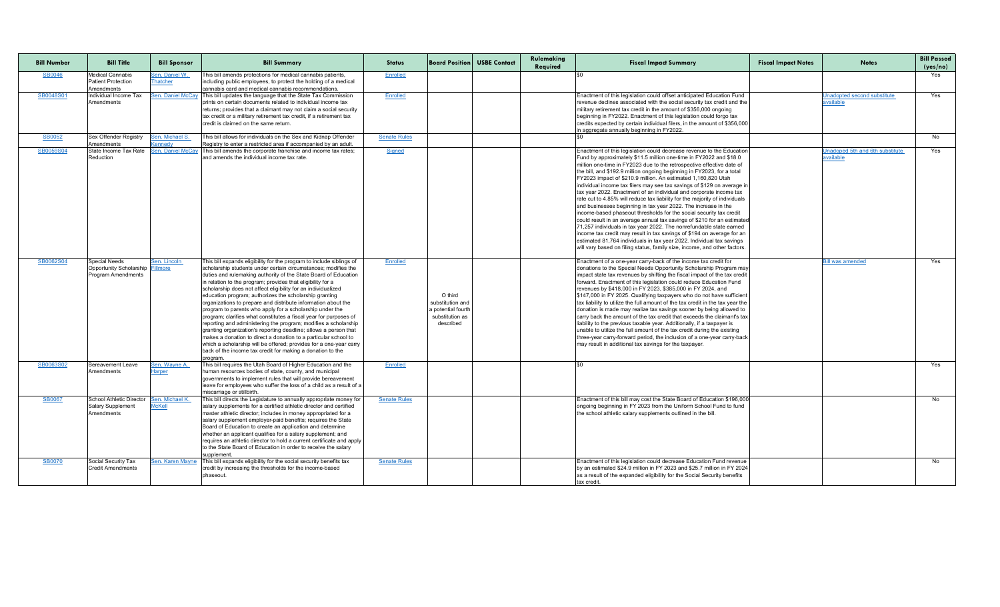| <b>Bill Number</b> | <b>Bill Title</b>                                                                     | <b>Bill Sponsor</b>                      | <b>Bill Summary</b>                                                                                                                                                                                                                                                                                                                                                                                                                                                                                                                                                                                                                                                                                                                                                                                                                                                                                                                                             | <b>Status</b>       |                                                                                   | <b>Board Position USBE Contact</b> | Rulemaking<br>Required | <b>Fiscal Impact Summary</b>                                                                                                                                                                                                                                                                                                                                                                                                                                                                                                                                                                                                                                                                                                                                                                                                                                                                                                                                                                                                                                                                                              | <b>Fiscal Impact Notes</b> | <b>Notes</b>                                               | <b>Bill Passed</b><br>(yes/no) |
|--------------------|---------------------------------------------------------------------------------------|------------------------------------------|-----------------------------------------------------------------------------------------------------------------------------------------------------------------------------------------------------------------------------------------------------------------------------------------------------------------------------------------------------------------------------------------------------------------------------------------------------------------------------------------------------------------------------------------------------------------------------------------------------------------------------------------------------------------------------------------------------------------------------------------------------------------------------------------------------------------------------------------------------------------------------------------------------------------------------------------------------------------|---------------------|-----------------------------------------------------------------------------------|------------------------------------|------------------------|---------------------------------------------------------------------------------------------------------------------------------------------------------------------------------------------------------------------------------------------------------------------------------------------------------------------------------------------------------------------------------------------------------------------------------------------------------------------------------------------------------------------------------------------------------------------------------------------------------------------------------------------------------------------------------------------------------------------------------------------------------------------------------------------------------------------------------------------------------------------------------------------------------------------------------------------------------------------------------------------------------------------------------------------------------------------------------------------------------------------------|----------------------------|------------------------------------------------------------|--------------------------------|
| <b>SB0046</b>      | <b>Medical Cannabis</b><br><b>Patient Protection</b><br><b>Amendments</b>             | Sen. Daniel W.<br>Thatcher               | This bill amends protections for medical cannabis patients,<br>including public employees, to protect the holding of a medical<br>cannabis card and medical cannabis recommendations.                                                                                                                                                                                                                                                                                                                                                                                                                                                                                                                                                                                                                                                                                                                                                                           | Enrolled            |                                                                                   |                                    |                        |                                                                                                                                                                                                                                                                                                                                                                                                                                                                                                                                                                                                                                                                                                                                                                                                                                                                                                                                                                                                                                                                                                                           |                            |                                                            | Yes                            |
| SB0048S01          | Individual Income Tax<br>Amendments                                                   |                                          | Sen. Daniel McCay This bill updates the language that the State Tax Commission<br>prints on certain documents related to individual income tax<br>returns; provides that a claimant may not claim a social security<br>tax credit or a military retirement tax credit, if a retirement tax<br>credit is claimed on the same return.                                                                                                                                                                                                                                                                                                                                                                                                                                                                                                                                                                                                                             | Enrolled            |                                                                                   |                                    |                        | Enactment of this legislation could offset anticipated Education Fund<br>revenue declines associated with the social security tax credit and the<br>military retirement tax credit in the amount of \$356,000 ongoing<br>beginning in FY2022. Enactment of this legislation could forgo tax<br>credits expected by certain individual filers, in the amount of \$356,000<br>in aggregate annually beginning in FY2022.                                                                                                                                                                                                                                                                                                                                                                                                                                                                                                                                                                                                                                                                                                    |                            | <b>Jnadopted second substitute</b><br><u>available</u>     | Yes                            |
| <b>SB0052</b>      | <b>Sex Offender Registry</b><br>Amendments                                            | <u>Sen. Michael S.</u><br><b>Kennedy</b> | This bill allows for individuals on the Sex and Kidnap Offender<br>Registry to enter a restricted area if accompanied by an adult.                                                                                                                                                                                                                                                                                                                                                                                                                                                                                                                                                                                                                                                                                                                                                                                                                              | <b>Senate Rules</b> |                                                                                   |                                    |                        |                                                                                                                                                                                                                                                                                                                                                                                                                                                                                                                                                                                                                                                                                                                                                                                                                                                                                                                                                                                                                                                                                                                           |                            |                                                            | No                             |
| SB0059S04          | State Income Tax Rate<br>Reduction                                                    | Sen. Daniel McCa                         | This bill amends the corporate franchise and income tax rates;<br>and amends the individual income tax rate.                                                                                                                                                                                                                                                                                                                                                                                                                                                                                                                                                                                                                                                                                                                                                                                                                                                    | <b>Signed</b>       |                                                                                   |                                    |                        | Enactment of this legislation could decrease revenue to the Education<br>Fund by approximately \$11.5 million one-time in FY2022 and \$18.0<br>million one-time in FY2023 due to the retrospective effective date of<br>the bill, and \$192.9 million ongoing beginning in FY2023, for a total<br>FY2023 impact of \$210.9 million. An estimated 1,160,820 Utah<br>individual income tax filers may see tax savings of \$129 on average in<br>tax year 2022. Enactment of an individual and corporate income tax<br>rate cut to 4.85% will reduce tax liability for the majority of individuals<br>and businesses beginning in tax year 2022. The increase in the<br>income-based phaseout thresholds for the social security tax credit<br>could result in an average annual tax savings of \$210 for an estimated<br>71,257 individuals in tax year 2022. The nonrefundable state earned<br>income tax credit may result in tax savings of \$194 on average for an<br>estimated 81,764 individuals in tax year 2022. Individual tax savings<br>will vary based on filing status, family size, income, and other factors |                            | <b>Jnadoped 5th and 6th substitute</b><br><u>available</u> | Yes                            |
| SB0062S04          | <b>Special Needs</b><br>Opportunity Scholarship Fillmore<br><b>Program Amendments</b> | Sen. Lincoln                             | This bill expands eligibility for the program to include siblings of<br>scholarship students under certain circumstances; modifies the<br>duties and rulemaking authority of the State Board of Education<br>in relation to the program; provides that eligibility for a<br>scholarship does not affect eligibility for an individualized<br>education program; authorizes the scholarship granting<br>organizations to prepare and distribute information about the<br>program to parents who apply for a scholarship under the<br>program; clarifies what constitutes a fiscal year for purposes of<br>reporting and administering the program; modifies a scholarship<br>granting organization's reporting deadline; allows a person that<br>makes a donation to direct a donation to a particular school to<br>which a scholarship will be offered; provides for a one-year carry<br>back of the income tax credit for making a donation to the<br>program. | <b>Enrolled</b>     | O third<br>substitution and<br>a potential fourth<br>substitution as<br>described |                                    |                        | Enactment of a one-year carry-back of the income tax credit for<br>donations to the Special Needs Opportunity Scholarship Program may<br>impact state tax revenues by shifting the fiscal impact of the tax credit<br>forward. Enactment of this legislation could reduce Education Fund<br>revenues by \$418,000 in FY 2023, \$385,000 in FY 2024, and<br>\$147,000 in FY 2025. Qualifying taxpayers who do not have sufficient<br>tax liability to utilize the full amount of the tax credit in the tax year the<br>donation is made may realize tax savings sooner by being allowed to<br>carry back the amount of the tax credit that exceeds the claimant's tax<br>liability to the previous taxable year. Additionally, if a taxpayer is<br>unable to utilize the full amount of the tax credit during the existing<br>three-year carry-forward period, the inclusion of a one-year carry-back<br>may result in additional tax savings for the taxpayer.                                                                                                                                                            |                            | Bill was amended                                           | Yes                            |
| SB0063S02          | <b>Bereavement Leave</b><br>Amendments                                                | Sen. Wayne A.<br><u>Harper</u>           | This bill requires the Utah Board of Higher Education and the<br>human resources bodies of state, county, and municipal<br>governments to implement rules that will provide bereavement<br>leave for employees who suffer the loss of a child as a result of a<br>miscarriage or stillbirth.                                                                                                                                                                                                                                                                                                                                                                                                                                                                                                                                                                                                                                                                    | Enrolled            |                                                                                   |                                    |                        |                                                                                                                                                                                                                                                                                                                                                                                                                                                                                                                                                                                                                                                                                                                                                                                                                                                                                                                                                                                                                                                                                                                           |                            |                                                            | Yes                            |
| <b>SB0067</b>      | <b>School Athletic Director</b><br>Salary Supplement<br>Amendments                    | Sen. Michael K.<br><b>McKell</b>         | This bill directs the Legislature to annually appropriate money for<br>salary supplements for a certified athletic director and certified<br>master athletic director; includes in money appropriated for a<br>salary supplement employer-paid benefits; requires the State<br>Board of Education to create an application and determine<br>whether an applicant qualifies for a salary supplement; and<br>requires an athletic director to hold a current certificate and apply<br>to the State Board of Education in order to receive the salary<br>supplement                                                                                                                                                                                                                                                                                                                                                                                                | <b>Senate Rules</b> |                                                                                   |                                    |                        | Enactment of this bill may cost the State Board of Education \$196,000<br>ongoing beginning in FY 2023 from the Uniform School Fund to fund<br>the school athletic salary supplements outlined in the bill.                                                                                                                                                                                                                                                                                                                                                                                                                                                                                                                                                                                                                                                                                                                                                                                                                                                                                                               |                            |                                                            | No                             |
| <b>SB0070</b>      | <b>Social Security Tax</b><br><b>Credit Amendments</b>                                | Sen. Karen Mayne                         | This bill expands eligibility for the social security benefits tax<br>credit by increasing the thresholds for the income-based<br>phaseout.                                                                                                                                                                                                                                                                                                                                                                                                                                                                                                                                                                                                                                                                                                                                                                                                                     | <b>Senate Rules</b> |                                                                                   |                                    |                        | Enactment of this legislation could decrease Education Fund revenue<br>by an estimated \$24.9 million in FY 2023 and \$25.7 million in FY 2024<br>as a result of the expanded eligibility for the Social Security benefits<br>tax credit.                                                                                                                                                                                                                                                                                                                                                                                                                                                                                                                                                                                                                                                                                                                                                                                                                                                                                 |                            |                                                            | No                             |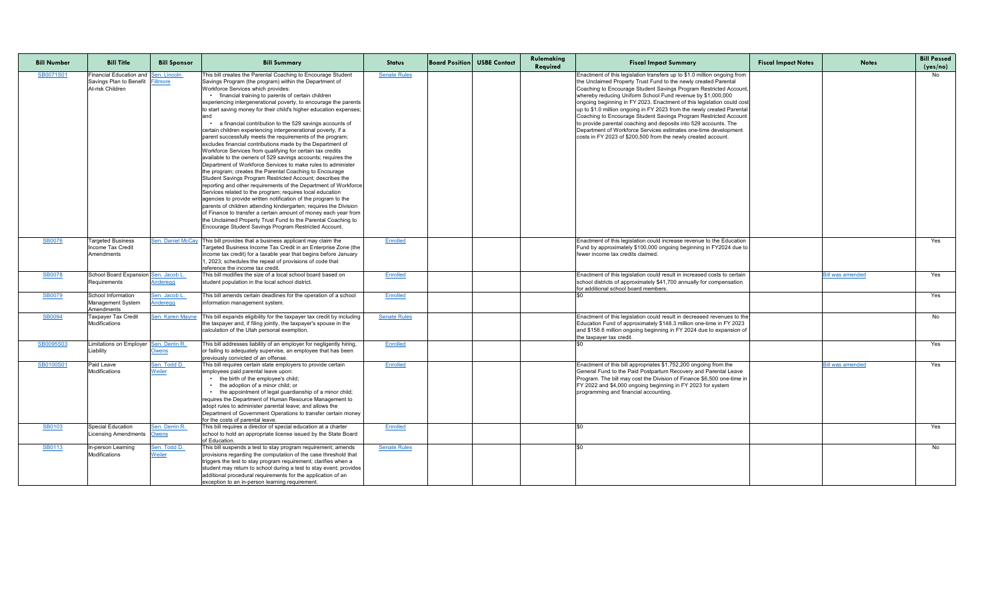| <b>Bill Number</b> | <b>Bill Title</b>                                                                   | <b>Bill Sponsor</b>             | <b>Bill Summary</b>                                                                                                                                                                                                                                                                                                                                                                                                                                                                                                                                                                                                                                                                                                                                                                                                                                                                                                                                                                                                                                                                                                                                                                                                                                                                                                                                                                                                | <b>Status</b>       | <b>Board Position USBE Contact</b> | Rulemaking<br>Required | <b>Fiscal Impact Summary</b>                                                                                                                                                                                                                                                                                                                                                                                                                                                                                                                                                                                                                                                                                    | <b>Fiscal Impact Notes</b> | <b>Notes</b>            | <b>Bill Passed</b><br>(yes/no) |
|--------------------|-------------------------------------------------------------------------------------|---------------------------------|--------------------------------------------------------------------------------------------------------------------------------------------------------------------------------------------------------------------------------------------------------------------------------------------------------------------------------------------------------------------------------------------------------------------------------------------------------------------------------------------------------------------------------------------------------------------------------------------------------------------------------------------------------------------------------------------------------------------------------------------------------------------------------------------------------------------------------------------------------------------------------------------------------------------------------------------------------------------------------------------------------------------------------------------------------------------------------------------------------------------------------------------------------------------------------------------------------------------------------------------------------------------------------------------------------------------------------------------------------------------------------------------------------------------|---------------------|------------------------------------|------------------------|-----------------------------------------------------------------------------------------------------------------------------------------------------------------------------------------------------------------------------------------------------------------------------------------------------------------------------------------------------------------------------------------------------------------------------------------------------------------------------------------------------------------------------------------------------------------------------------------------------------------------------------------------------------------------------------------------------------------|----------------------------|-------------------------|--------------------------------|
| SB0071S01          | Financial Education and Sen. Lincoln<br>Savings Plan to Benefit<br>At-risk Children | <b>Fillmore</b>                 | This bill creates the Parental Coaching to Encourage Student<br>Savings Program (the program) within the Department of<br>Workforce Services which provides:<br>• financial training to parents of certain children<br>experiencing intergenerational poverty, to encourage the parents<br>to start saving money for their child's higher education expenses;<br>• a financial contribution to the 529 savings accounts of<br>certain children experiencing intergenerational poverty, if a<br>parent successfully meets the requirements of the program;<br>excludes financial contributions made by the Department of<br>Workforce Services from qualifying for certain tax credits<br>available to the owners of 529 savings accounts; requires the<br>Department of Workforce Services to make rules to administer<br>the program; creates the Parental Coaching to Encourage<br>Student Savings Program Restricted Account; describes the<br>reporting and other requirements of the Department of Workforce<br>Services related to the program; requires local education<br>agencies to provide written notification of the program to the<br>parents of children attending kindergarten; requires the Division<br>of Finance to transfer a certain amount of money each year from<br>the Unclaimed Property Trust Fund to the Parental Coaching to<br>Encourage Student Savings Program Restricted Account. | <b>Senate Rules</b> |                                    |                        | Enactment of this legislation transfers up to \$1.0 million ongoing from<br>the Unclaimed Property Trust Fund to the newly created Parental<br>Coaching to Encourage Student Savings Program Restricted Account,<br>whereby reducing Uniform School Fund revenue by \$1,000,000<br>ongoing beginning in FY 2023. Enactment of this legislation could cost<br>up to \$1.0 million ongoing in FY 2023 from the newly created Parental<br>Coaching to Encourage Student Savings Program Restricted Account<br>to provide parental coaching and deposits into 529 accounts. The<br>Department of Workforce Services estimates one-time development<br>costs in FY 2023 of \$200,500 from the newly created account. |                            |                         | No.                            |
| <b>SB0076</b>      | <b>Targeted Business</b><br>Income Tax Credit<br>Amendments                         |                                 | Sen. Daniel McCay This bill provides that a business applicant may claim the<br>Targeted Business Income Tax Credit in an Enterprise Zone (the<br>income tax credit) for a taxable year that begins before January<br>, 2023; schedules the repeal of provisions of code that<br>Ireference the income tax credit.                                                                                                                                                                                                                                                                                                                                                                                                                                                                                                                                                                                                                                                                                                                                                                                                                                                                                                                                                                                                                                                                                                 | Enrolled            |                                    |                        | Enactment of this legislation could increase revenue to the Education<br>Fund by approximately \$100,000 ongoing beginning in FY2024 due to<br>fewer income tax credits claimed.                                                                                                                                                                                                                                                                                                                                                                                                                                                                                                                                |                            |                         | Yes                            |
| <b>SB0078</b>      | School Board Expansion Sen. Jacob L.<br>Requirements                                | <b>Anderegg</b>                 | This bill modifies the size of a local school board based on<br>student population in the local school district.                                                                                                                                                                                                                                                                                                                                                                                                                                                                                                                                                                                                                                                                                                                                                                                                                                                                                                                                                                                                                                                                                                                                                                                                                                                                                                   | <b>Enrolled</b>     |                                    |                        | Enactment of this legislation could result in increased costs to certain<br>school districts of approximately \$41,700 annually for compensation<br>for additional school board members.                                                                                                                                                                                                                                                                                                                                                                                                                                                                                                                        |                            | <u>Bill was amended</u> | Yes                            |
| <b>SB0079</b>      | School Information<br><b>Management System</b><br>Amendments                        | Sen. Jacob L<br><b>Anderegg</b> | This bill amends certain deadlines for the operation of a school<br>Information management system.                                                                                                                                                                                                                                                                                                                                                                                                                                                                                                                                                                                                                                                                                                                                                                                                                                                                                                                                                                                                                                                                                                                                                                                                                                                                                                                 | Enrolled            |                                    |                        |                                                                                                                                                                                                                                                                                                                                                                                                                                                                                                                                                                                                                                                                                                                 |                            |                         | Yes                            |
| <b>SB0094</b>      | Taxpayer Tax Credit<br>Modifications                                                | Sen. Karen Mayne                | This bill expands eligibility for the taxpayer tax credit by including<br>the taxpayer and, if filing jointly, the taxpayer's spouse in the<br>calculation of the Utah personal exemption.                                                                                                                                                                                                                                                                                                                                                                                                                                                                                                                                                                                                                                                                                                                                                                                                                                                                                                                                                                                                                                                                                                                                                                                                                         | <b>Senate Rules</b> |                                    |                        | Enactment of this legislation could result in decreased revenues to the<br>Education Fund of approximately \$148.3 million one-time in FY 2023<br>and \$156.6 million ongoing beginning in FY 2024 due to expansion of<br>the taxpayer tax credit.                                                                                                                                                                                                                                                                                                                                                                                                                                                              |                            |                         | No                             |
| SB0095S03          | Limitations on Employer <u> Sen. Derrin R.</u><br>Liability                         | <b>Owens</b>                    | This bill addresses liability of an employer for negligently hiring,<br>or failing to adequately supervise, an employee that has been<br>previously convicted of an offense.                                                                                                                                                                                                                                                                                                                                                                                                                                                                                                                                                                                                                                                                                                                                                                                                                                                                                                                                                                                                                                                                                                                                                                                                                                       | Enrolled            |                                    |                        |                                                                                                                                                                                                                                                                                                                                                                                                                                                                                                                                                                                                                                                                                                                 |                            |                         | Yes                            |
| SB0100S01          | Paid Leave<br><b>Modifications</b>                                                  | Sen. Todd D.<br>Weiler          | This bill requires certain state employers to provide certain<br>employees paid parental leave upon:<br>the birth of the employee's child;<br>the adoption of a minor child; or<br>the appointment of legal guardianship of a minor child;<br>requires the Department of Human Resource Management to<br>adopt rules to administer parental leave; and allows the<br>Department of Government Operations to transfer certain money<br>for the costs of parental leave.                                                                                                                                                                                                                                                                                                                                                                                                                                                                                                                                                                                                                                                                                                                                                                                                                                                                                                                                             | Enrolled            |                                    |                        | Enactment of this bill appropriates \$1,752,200 ongoing from the<br>General Fund to the Paid Postpartum Recovery and Parental Leave<br>Program. The bill may cost the Division of Finance \$6,500 one-time in<br>FY 2022 and \$4,000 ongoing beginning in FY 2023 for system<br>programming and financial accounting.                                                                                                                                                                                                                                                                                                                                                                                           |                            | ill was amended         | Yes                            |
| <b>SB0103</b>      | <b>Special Education</b><br>Licensing Amendments Owens                              | Sen. Derrin R.                  | This bill requires a director of special education at a charter<br>school to hold an appropriate license issued by the State Board<br>of Education.                                                                                                                                                                                                                                                                                                                                                                                                                                                                                                                                                                                                                                                                                                                                                                                                                                                                                                                                                                                                                                                                                                                                                                                                                                                                | Enrolled            |                                    |                        |                                                                                                                                                                                                                                                                                                                                                                                                                                                                                                                                                                                                                                                                                                                 |                            |                         | Yes                            |
| <b>SB0113</b>      | In-person Learning<br><b>Modifications</b>                                          | Sen. Todd D.<br><b>Weiler</b>   | This bill suspends a test to stay program requirement; amends<br>provisions regarding the computation of the case threshold that<br>triggers the test to stay program requirement; clarifies when a<br>student may return to school during a test to stay event; provides<br>additional procedural requirements for the application of an<br>exception to an in-person learning requirement.                                                                                                                                                                                                                                                                                                                                                                                                                                                                                                                                                                                                                                                                                                                                                                                                                                                                                                                                                                                                                       | <b>Senate Rules</b> |                                    |                        |                                                                                                                                                                                                                                                                                                                                                                                                                                                                                                                                                                                                                                                                                                                 |                            |                         | No                             |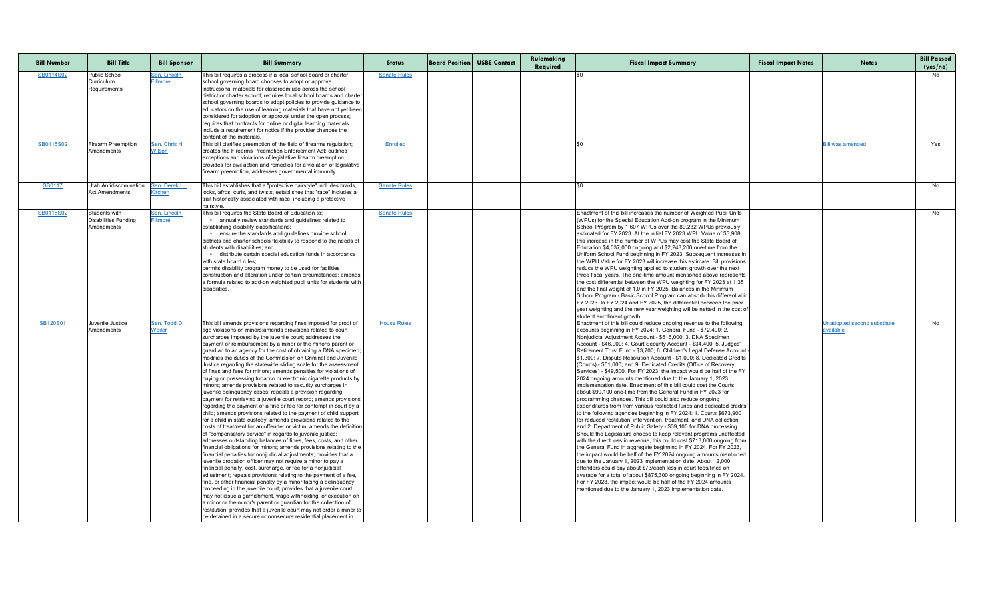| <b>Bill Number</b> | <b>Bill Title</b>                                       | <b>Bill Sponsor</b>             | <b>Bill Summary</b>                                                                                                                                                                                                                                                                                                                                                                                                                                                                                                                                                                                                                                                                                                                                                                                                                                                                                                                                                                                                                                                                                                                                                                                                                                                                                                                                                                                                                                                                                                                                                                                                                                                                                                                                                                                                                                                                                                                                                                                 | <b>Status</b>       | <b>Board Position USBE Contact</b> | Rulemaking<br>Required | <b>Fiscal Impact Summary</b>                                                                                                                                                                                                                                                                                                                                                                                                                                                                                                                                                                                                                                                                                                                                                                                                                                                                                                                                                                                                                                                                                                                                                                                                                                                                                                                                                                                                                                                                                                                                                                                                                                                                                                                                              | <b>Fiscal Impact Notes</b> | <b>Notes</b>                                           | <b>Bill Passed</b><br>(yes/no) |
|--------------------|---------------------------------------------------------|---------------------------------|-----------------------------------------------------------------------------------------------------------------------------------------------------------------------------------------------------------------------------------------------------------------------------------------------------------------------------------------------------------------------------------------------------------------------------------------------------------------------------------------------------------------------------------------------------------------------------------------------------------------------------------------------------------------------------------------------------------------------------------------------------------------------------------------------------------------------------------------------------------------------------------------------------------------------------------------------------------------------------------------------------------------------------------------------------------------------------------------------------------------------------------------------------------------------------------------------------------------------------------------------------------------------------------------------------------------------------------------------------------------------------------------------------------------------------------------------------------------------------------------------------------------------------------------------------------------------------------------------------------------------------------------------------------------------------------------------------------------------------------------------------------------------------------------------------------------------------------------------------------------------------------------------------------------------------------------------------------------------------------------------------|---------------------|------------------------------------|------------------------|---------------------------------------------------------------------------------------------------------------------------------------------------------------------------------------------------------------------------------------------------------------------------------------------------------------------------------------------------------------------------------------------------------------------------------------------------------------------------------------------------------------------------------------------------------------------------------------------------------------------------------------------------------------------------------------------------------------------------------------------------------------------------------------------------------------------------------------------------------------------------------------------------------------------------------------------------------------------------------------------------------------------------------------------------------------------------------------------------------------------------------------------------------------------------------------------------------------------------------------------------------------------------------------------------------------------------------------------------------------------------------------------------------------------------------------------------------------------------------------------------------------------------------------------------------------------------------------------------------------------------------------------------------------------------------------------------------------------------------------------------------------------------|----------------------------|--------------------------------------------------------|--------------------------------|
| SB0114S02          | <b>Public School</b><br>Curriculum<br>Requirements      | <u>Sen. Lincoln</u><br>Fillmore | This bill requires a process if a local school board or charter<br>school governing board chooses to adopt or approve<br>instructional materials for classroom use across the school<br>district or charter school; requires local school boards and charter<br>school governing boards to adopt policies to provide guidance to<br>educators on the use of learning materials that have not yet been<br>considered for adoption or approval under the open process;<br>requires that contracts for online or digital learning materials<br>include a requirement for notice if the provider changes the<br>content of the materials.                                                                                                                                                                                                                                                                                                                                                                                                                                                                                                                                                                                                                                                                                                                                                                                                                                                                                                                                                                                                                                                                                                                                                                                                                                                                                                                                                               | <b>Senate Rules</b> |                                    |                        |                                                                                                                                                                                                                                                                                                                                                                                                                                                                                                                                                                                                                                                                                                                                                                                                                                                                                                                                                                                                                                                                                                                                                                                                                                                                                                                                                                                                                                                                                                                                                                                                                                                                                                                                                                           |                            |                                                        | No                             |
| SB0115S02          | <b>Firearm Preemption</b><br>Amendments                 | <u>Sen. Chris H.</u><br>Wilson  | This bill clarifies preemption of the field of firearms regulation;<br>creates the Firearms Preemption Enforcement Act; outlines<br>exceptions and violations of legislative firearm preemption;<br>provides for civil action and remedies for a violation of legislative<br>firearm preemption; addresses governmental immunity.                                                                                                                                                                                                                                                                                                                                                                                                                                                                                                                                                                                                                                                                                                                                                                                                                                                                                                                                                                                                                                                                                                                                                                                                                                                                                                                                                                                                                                                                                                                                                                                                                                                                   | <b>Enrolled</b>     |                                    |                        |                                                                                                                                                                                                                                                                                                                                                                                                                                                                                                                                                                                                                                                                                                                                                                                                                                                                                                                                                                                                                                                                                                                                                                                                                                                                                                                                                                                                                                                                                                                                                                                                                                                                                                                                                                           |                            | <b>Bill was amended</b>                                | Yes                            |
| <b>SB0117</b>      | <b>Utah Antidiscrimination</b><br><b>Act Amendments</b> | <u>Sen. Derek L</u><br>Kitchen  | This bill establishes that a "protective hairstyle" includes braids,<br>locks, afros, curls, and twists; establishes that "race" includes a<br>trait historically associated with race, including a protective<br>hairstyle.                                                                                                                                                                                                                                                                                                                                                                                                                                                                                                                                                                                                                                                                                                                                                                                                                                                                                                                                                                                                                                                                                                                                                                                                                                                                                                                                                                                                                                                                                                                                                                                                                                                                                                                                                                        | <b>Senate Rules</b> |                                    |                        |                                                                                                                                                                                                                                                                                                                                                                                                                                                                                                                                                                                                                                                                                                                                                                                                                                                                                                                                                                                                                                                                                                                                                                                                                                                                                                                                                                                                                                                                                                                                                                                                                                                                                                                                                                           |                            |                                                        | No l                           |
| SB0118S02          | Students with<br>Disabilities Funding<br>Amendments     | Sen. Lincoln<br><b>Fillmore</b> | This bill requires the State Board of Education to:<br>• annually review standards and guidelines related to<br>establishing disability classifications;<br>• ensure the standards and guidelines provide school<br>districts and charter schools flexibility to respond to the needs of<br>students with disabilities; and<br>distribute certain special education funds in accordance<br>with state board rules;<br>permits disability program money to be used for facilities<br>construction and alteration under certain circumstances; amends<br>a formula related to add-on weighted pupil units for students with<br>disabilities.                                                                                                                                                                                                                                                                                                                                                                                                                                                                                                                                                                                                                                                                                                                                                                                                                                                                                                                                                                                                                                                                                                                                                                                                                                                                                                                                                          | <b>Senate Rules</b> |                                    |                        | Enactment of this bill increases the number of Weighted Pupil Units<br>(WPUs) for the Special Education Add-on program in the Minimum<br>School Program by 1,607 WPUs over the 89,232 WPUs previously<br>estimated for FY 2023. At the initial FY 2023 WPU Value of \$3,908<br>this increase in the number of WPUs may cost the State Board of<br>Education \$4,037,000 ongoing and \$2,243,200 one-time from the<br>Uniform School Fund beginning in FY 2023. Subsequent increases in<br>the WPU Value for FY 2023 will increase this estimate. Bill provisions<br>reduce the WPU weighting applied to student growth over the next<br>three fiscal years. The one-time amount mentioned above represents<br>the cost differential between the WPU weighting for FY 2023 at 1.35<br>and the final weight of 1.0 in FY 2025. Balances in the Minimum<br>School Program - Basic School Program can absorb this differential in<br>FY 2023. In FY 2024 and FY 2025, the differential between the prior<br>year weighting and the new year weighting will be netted in the cost o<br>student enrollment growth.                                                                                                                                                                                                                                                                                                                                                                                                                                                                                                                                                                                                                                                              |                            |                                                        | No                             |
| SB120S01           | Juvenile Justice<br>Amendments                          | Sen. Todd D.<br>Weiler          | This bill amends provisions regarding fines imposed for proof of<br>age violations on minors; amends provisions related to court<br>surcharges imposed by the juvenile court; addresses the<br>payment or reimbursement by a minor or the minor's parent or<br>guardian to an agency for the cost of obtaining a DNA specimen;<br>modifies the duties of the Commission on Criminal and Juvenile<br>Justice regarding the statewide sliding scale for the assessment<br>of fines and fees for minors; amends penalties for violations of<br>buying or possessing tobacco or electronic cigarette products by<br>minors; amends provisions related to security surcharges in<br>juvenile delinquency cases; repeals a provision regarding<br>payment for retrieving a juvenile court record; amends provisions<br>regarding the payment of a fine or fee for contempt in court by a<br>child; amends provisions related to the payment of child support<br>for a child in state custody; amends provisions related to the<br>costs of treatment for an offender or victim; amends the definition<br>of "compensatory service" in regards to juvenile justice;<br>addresses outstanding balances of fines, fees, costs, and other<br>financial obligations for minors; amends provisions relating to the<br>financial penalties for nonjudicial adjustments; provides that a<br>juvenile probation officer may not require a minor to pay a<br>financial penalty, cost, surcharge, or fee for a nonjudicial<br>adjustment; repeals provisions relating to the payment of a fee,<br>fine, or other financial penalty by a minor facing a delinquency<br>proceeding in the juvenile court; provides that a juvenile court<br>may not issue a garnishment, wage withholding, or execution on<br>a minor or the minor's parent or guardian for the collection of<br>restitution; provides that a juvenile court may not order a minor to<br>be detained in a secure or nonsecure residential placement in | <b>House Rules</b>  |                                    |                        | Enactment of this bill could reduce ongoing revenue to the following<br>accounts beginning in FY 2024: 1. General Fund - \$72,400; 2.<br>Nonjudicial Adjustment Account - \$616,000; 3. DNA Specimen<br>Account - \$46,000; 4. Court Security Account - \$34,400; 5. Judges'<br>Retirement Trust Fund - \$3,700; 6. Children's Legal Defense Account<br>\$1,300; 7. Dispute Resolution Account - \$1,000; 8. Dedicated Credits<br>(Courts) - \$51,000; and 9. Dedicated Credits (Office of Recovery<br>Services) - \$49,500. For FY 2023, the impact would be half of the FY<br>2024 ongoing amounts mentioned due to the January 1, 2023<br>implementation date. Enactment of this bill could cost the Courts<br>about \$90,100 one-time from the General Fund in FY 2023 for<br>programming changes. This bill could also reduce ongoing<br>expenditures from from various restricted funds and dedicated credits<br>to the following agencies beginning in FY 2024: 1. Courts \$673,900<br>for reduced restitution, intervention, treatment, and DNA collection;<br>and 2. Department of Public Safety - \$39,100 for DNA processing<br>Should the Legislature choose to keep relevant programs unaffected<br>with the direct loss in revenue, this could cost \$713,000 ongoing from<br>the General Fund in aggregate beginning in FY 2024. For FY 2023,<br>the impact would be half of the FY 2024 ongoing amounts mentioned<br>due to the January 1, 2023 implementation date. About 12,000<br>offenders could pay about \$73/each less in court fees/fines on<br>average for a total of about \$875,300 ongoing beginning in FY 2024.<br>For FY 2023, the impact would be half of the FY 2024 amounts<br>mentioned due to the January 1, 2023 implementation date. |                            | <b>Jnadopted second substitute</b><br><u>available</u> | No.                            |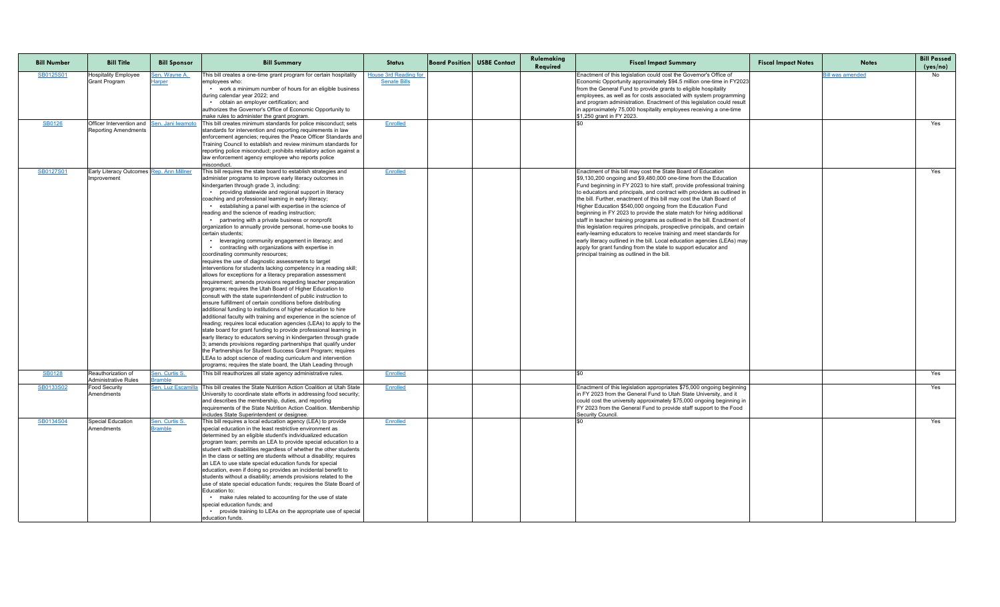| <b>Bill Number</b> | <b>Bill Title</b>                                                         | <b>Bill Sponsor</b>                   | <b>Bill Summary</b>                                                                                                                                                                                                                                                                                                                                                                                                                                                                                                                                                                                                                                                                                                                                                                                                                                                                                                                                                                                                                                                                                                                                                                                                                                                                                                                                                                                                                                                                                                                                                                                                                                                                                                                                                                     | <b>Status</b>                                       | <b>Board Position USBE Contact</b> | Rulemaking<br>Required | <b>Fiscal Impact Summary</b>                                                                                                                                                                                                                                                                                                                                                                                                                                                                                                                                                                                                                                                                                                                                                                                                                                                                                                     | <b>Fiscal Impact Notes</b> | <b>Notes</b>            | <b>Bill Passed</b><br>(yes/no) |
|--------------------|---------------------------------------------------------------------------|---------------------------------------|-----------------------------------------------------------------------------------------------------------------------------------------------------------------------------------------------------------------------------------------------------------------------------------------------------------------------------------------------------------------------------------------------------------------------------------------------------------------------------------------------------------------------------------------------------------------------------------------------------------------------------------------------------------------------------------------------------------------------------------------------------------------------------------------------------------------------------------------------------------------------------------------------------------------------------------------------------------------------------------------------------------------------------------------------------------------------------------------------------------------------------------------------------------------------------------------------------------------------------------------------------------------------------------------------------------------------------------------------------------------------------------------------------------------------------------------------------------------------------------------------------------------------------------------------------------------------------------------------------------------------------------------------------------------------------------------------------------------------------------------------------------------------------------------|-----------------------------------------------------|------------------------------------|------------------------|----------------------------------------------------------------------------------------------------------------------------------------------------------------------------------------------------------------------------------------------------------------------------------------------------------------------------------------------------------------------------------------------------------------------------------------------------------------------------------------------------------------------------------------------------------------------------------------------------------------------------------------------------------------------------------------------------------------------------------------------------------------------------------------------------------------------------------------------------------------------------------------------------------------------------------|----------------------------|-------------------------|--------------------------------|
| SB0125S01          | <b>Hospitality Employee</b><br><b>Grant Program</b>                       | <u>Sen. Wayne A.</u><br><b>Harper</b> | This bill creates a one-time grant program for certain hospitality<br>employees who:<br>work a minimum number of hours for an eligible business<br>during calendar year 2022; and<br>• obtain an employer certification; and<br>authorizes the Governor's Office of Economic Opportunity to<br>make rules to administer the grant program.                                                                                                                                                                                                                                                                                                                                                                                                                                                                                                                                                                                                                                                                                                                                                                                                                                                                                                                                                                                                                                                                                                                                                                                                                                                                                                                                                                                                                                              | <b>House 3rd Reading for</b><br><b>Senate Bills</b> |                                    |                        | Enactment of this legislation could cost the Governor's Office of<br>Economic Opportunity approximately \$94.5 million one-time in FY2023<br>from the General Fund to provide grants to eligible hospitality<br>employees, as well as for costs associated with system programming<br>and program administration. Enactment of this legislation could result<br>in approximately 75,000 hospitality employees receiving a one-time<br>\$1,250 grant in FY 2023.                                                                                                                                                                                                                                                                                                                                                                                                                                                                  |                            | <u>Bill was amended</u> | No.                            |
| <b>SB0126</b>      | Officer Intervention and Sen. Jani Iwamote<br><b>Reporting Amendments</b> |                                       | This bill creates minimum standards for police misconduct; sets<br>standards for intervention and reporting requirements in law<br>enforcement agencies; requires the Peace Officer Standards and<br>Training Council to establish and review minimum standards for<br>reporting police misconduct; prohibits retaliatory action against a<br>law enforcement agency employee who reports police<br>misconduct.                                                                                                                                                                                                                                                                                                                                                                                                                                                                                                                                                                                                                                                                                                                                                                                                                                                                                                                                                                                                                                                                                                                                                                                                                                                                                                                                                                         | Enrolled                                            |                                    |                        |                                                                                                                                                                                                                                                                                                                                                                                                                                                                                                                                                                                                                                                                                                                                                                                                                                                                                                                                  |                            |                         | Yes                            |
| SB0127S01          | Early Literacy Outcomes Rep. Ann Millner<br>Improvement                   |                                       | This bill requires the state board to establish strategies and<br>administer programs to improve early literacy outcomes in<br>kindergarten through grade 3, including:<br>• providing statewide and regional support in literacy<br>coaching and professional learning in early literacy;<br>• establishing a panel with expertise in the science of<br>reading and the science of reading instruction;<br>partnering with a private business or nonprofit<br>organization to annually provide personal, home-use books to<br>certain students;<br>• leveraging community engagement in literacy; and<br>• contracting with organizations with expertise in<br>coordinating community resources;<br>requires the use of diagnostic assessments to target<br>interventions for students lacking competency in a reading skill;<br>$ $ allows for exceptions for a literacy preparation assessment<br>requirement; amends provisions regarding teacher preparation<br>programs; requires the Utah Board of Higher Education to<br>consult with the state superintendent of public instruction to<br>ensure fulfillment of certain conditions before distributing<br>additional funding to institutions of higher education to hire<br>additional faculty with training and experience in the science of<br>reading; requires local education agencies (LEAs) to apply to the<br>state board for grant funding to provide professional learning in<br>early literacy to educators serving in kindergarten through grade<br>3; amends provisions regarding partnerships that qualify under<br>the Partnerships for Student Success Grant Program; requires<br>LEAs to adopt science of reading curriculum and intervention<br>programs; requires the state board, the Utah Leading through | Enrolled                                            |                                    |                        | Enactment of this bill may cost the State Board of Education<br>\$9,130,200 ongoing and \$9,480,000 one-time from the Education<br>Fund beginning in FY 2023 to hire staff, provide professional training<br>to educators and principals, and contract with providers as outlined in<br>the bill. Further, enactment of this bill may cost the Utah Board of<br>Higher Education \$540,000 ongoing from the Education Fund<br>beginning in FY 2023 to provide the state match for hiring additional<br>staff in teacher training programs as outlined in the bill. Enactment of<br>this legislation requires principals, prospective principals, and certain<br>early-learning educators to receive training and meet standards for<br>early literacy outlined in the bill. Local education agencies (LEAs) may<br>apply for grant funding from the state to support educator and<br>principal training as outlined in the bill. |                            |                         | Yes                            |
| <b>SB0128</b>      | Reauthorization of<br>Administrative Rules                                | Sen. Curtis S.<br><b>Bramble</b>      | This bill reauthorizes all state agency administrative rules.                                                                                                                                                                                                                                                                                                                                                                                                                                                                                                                                                                                                                                                                                                                                                                                                                                                                                                                                                                                                                                                                                                                                                                                                                                                                                                                                                                                                                                                                                                                                                                                                                                                                                                                           | <b>Enrolled</b>                                     |                                    |                        |                                                                                                                                                                                                                                                                                                                                                                                                                                                                                                                                                                                                                                                                                                                                                                                                                                                                                                                                  |                            |                         | Yes                            |
| SB0133S02          | <b>Food Security</b><br>Amendments                                        | Sen. Luz Escamilla                    | This bill creates the State Nutrition Action Coalition at Utah State<br>University to coordinate state efforts in addressing food security;<br>and describes the membership, duties, and reporting<br>requirements of the State Nutrition Action Coalition. Membership<br>includes State Superintendent or designee.                                                                                                                                                                                                                                                                                                                                                                                                                                                                                                                                                                                                                                                                                                                                                                                                                                                                                                                                                                                                                                                                                                                                                                                                                                                                                                                                                                                                                                                                    | Enrolled                                            |                                    |                        | Enactment of this legislation appropriates \$75,000 ongoing beginning<br>In FY 2023 from the General Fund to Utah State University, and it<br>could cost the university approximately \$75,000 ongoing beginning in<br>FY 2023 from the General Fund to provide staff support to the Food<br>Security Council.                                                                                                                                                                                                                                                                                                                                                                                                                                                                                                                                                                                                                   |                            |                         | Yes                            |
| SB0134S04          | Special Education<br>Amendments                                           | Sen. Curtis S.<br><b>Bramble</b>      | This bill requires a local education agency (LEA) to provide<br>special education in the least restrictive environment as<br>determined by an eligible student's individualized education<br>program team; permits an LEA to provide special education to a<br>student with disabilities regardless of whether the other students<br>in the class or setting are students without a disability; requires<br>an LEA to use state special education funds for special<br>education, even if doing so provides an incidental benefit to<br>students without a disability; amends provisions related to the<br>use of state special education funds; requires the State Board of<br>Education to:<br>• make rules related to accounting for the use of state<br>special education funds; and<br>• provide training to LEAs on the appropriate use of special<br>education funds.                                                                                                                                                                                                                                                                                                                                                                                                                                                                                                                                                                                                                                                                                                                                                                                                                                                                                                            | Enrolled                                            |                                    |                        |                                                                                                                                                                                                                                                                                                                                                                                                                                                                                                                                                                                                                                                                                                                                                                                                                                                                                                                                  |                            |                         | Yes                            |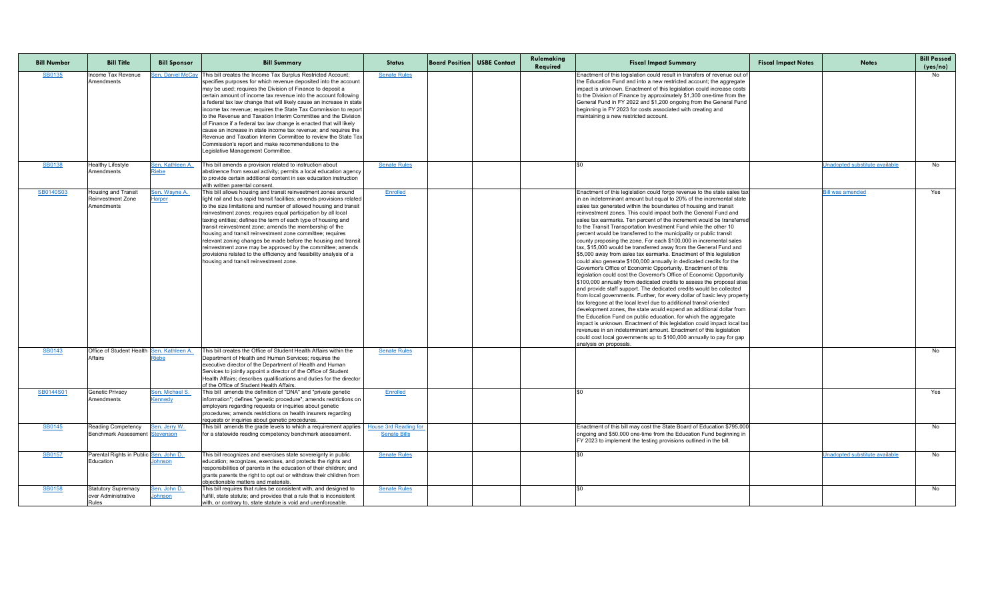| <b>Bill Number</b> | <b>Bill Title</b>                                                    | <b>Bill Sponsor</b>              | <b>Bill Summary</b>                                                                                                                                                                                                                                                                                                                                                                                                                                                                                                                                                                                                                                                                                                                                                                  | <b>Status</b>       | <b>Board Position USBE Contact</b> | Rulemaking<br>Required | <b>Fiscal Impact Summary</b>                                                                                                                                                                                                                                                                                                                                                                                                                                                                                                                                                                                                                                                                                                                                                                                                                                                                                                                                                                                                                                                                                                                                                                                                                                                                                                                                                                                                                                                                                                                                                                                                                | <b>Fiscal Impact Notes</b> | <b>Notes</b>                          | <b>Bill Passed</b><br>(yes/no) |
|--------------------|----------------------------------------------------------------------|----------------------------------|--------------------------------------------------------------------------------------------------------------------------------------------------------------------------------------------------------------------------------------------------------------------------------------------------------------------------------------------------------------------------------------------------------------------------------------------------------------------------------------------------------------------------------------------------------------------------------------------------------------------------------------------------------------------------------------------------------------------------------------------------------------------------------------|---------------------|------------------------------------|------------------------|---------------------------------------------------------------------------------------------------------------------------------------------------------------------------------------------------------------------------------------------------------------------------------------------------------------------------------------------------------------------------------------------------------------------------------------------------------------------------------------------------------------------------------------------------------------------------------------------------------------------------------------------------------------------------------------------------------------------------------------------------------------------------------------------------------------------------------------------------------------------------------------------------------------------------------------------------------------------------------------------------------------------------------------------------------------------------------------------------------------------------------------------------------------------------------------------------------------------------------------------------------------------------------------------------------------------------------------------------------------------------------------------------------------------------------------------------------------------------------------------------------------------------------------------------------------------------------------------------------------------------------------------|----------------------------|---------------------------------------|--------------------------------|
| SB0135             | Income Tax Revenue<br>Amendments                                     | Sen. Daniel McCay                | This bill creates the Income Tax Surplus Restricted Account;<br>specifies purposes for which revenue deposited into the account<br>may be used; requires the Division of Finance to deposit a<br>certain amount of income tax revenue into the account following<br>a federal tax law change that will likely cause an increase in state<br>income tax revenue; requires the State Tax Commission to report<br>to the Revenue and Taxation Interim Committee and the Division<br>of Finance if a federal tax law change is enacted that will likely<br>cause an increase in state income tax revenue; and requires the<br>Revenue and Taxation Interim Committee to review the State Tax<br>Commission's report and make recommendations to the<br>Legislative Management Committee. | <b>Senate Rules</b> |                                    |                        | Enactment of this legislation could result in transfers of revenue out of<br>the Education Fund and into a new restricted account; the aggregate<br>impact is unknown. Enactment of this legislation could increase costs<br>to the Division of Finance by approximately \$1,300 one-time from the<br>General Fund in FY 2022 and \$1,200 ongoing from the General Fund<br>beginning in FY 2023 for costs associated with creating and<br>maintaining a new restricted account.                                                                                                                                                                                                                                                                                                                                                                                                                                                                                                                                                                                                                                                                                                                                                                                                                                                                                                                                                                                                                                                                                                                                                             |                            |                                       | No                             |
| SB0138             | <b>Healthy Lifestyle</b><br>Amendments                               | Sen. Kathleen A.<br><u>Riebe</u> | This bill amends a provision related to instruction about<br>abstinence from sexual activity; permits a local education agency<br>to provide certain additional content in sex education instruction<br>with written parental consent.                                                                                                                                                                                                                                                                                                                                                                                                                                                                                                                                               | <b>Senate Rules</b> |                                    |                        |                                                                                                                                                                                                                                                                                                                                                                                                                                                                                                                                                                                                                                                                                                                                                                                                                                                                                                                                                                                                                                                                                                                                                                                                                                                                                                                                                                                                                                                                                                                                                                                                                                             |                            | Unadopted substitute available        | No                             |
| SB0140S03          | <b>Housing and Transit</b><br><b>Reinvestment Zone</b><br>Amendments | Sen. Wayne A.<br><b>Harper</b>   | This bill allows housing and transit reinvestment zones around<br>light rail and bus rapid transit facilities; amends provisions related<br>to the size limitations and number of allowed housing and transit<br>reinvestment zones; requires equal participation by all local<br>taxing entities; defines the term of each type of housing and<br>transit reinvestment zone; amends the membership of the<br>housing and transit reinvestment zone committee; requires<br>relevant zoning changes be made before the housing and transit<br>reinvestment zone may be approved by the committee; amends<br>provisions related to the efficiency and feasibility analysis of a<br>housing and transit reinvestment zone.                                                              | Enrolled            |                                    |                        | Enactment of this legislation could forgo revenue to the state sales tax<br>in an indeterminant amount but equal to 20% of the incremental state<br>sales tax generated within the boundaries of housing and transit<br>reinvestment zones. This could impact both the General Fund and<br>sales tax earmarks. Ten percent of the increment would be transferred<br>to the Transit Transportation Investment Fund while the other 10<br>percent would be transferred to the municipality or public transit<br>county proposing the zone. For each \$100,000 in incremental sales<br>tax, \$15,000 would be transferred away from the General Fund and<br>\$5,000 away from sales tax earmarks. Enactment of this legislation<br>could also generate \$100,000 annually in dedicated credits for the<br>Governor's Office of Economic Opportunity. Enactment of this<br>legislation could cost the Governor's Office of Economic Opportunity<br>\$100,000 annually from dedicated credits to assess the proposal sites<br>and provide staff support. The dedicated credits would be collected<br>from local governments. Further, for every dollar of basic levy property<br>tax foregone at the local level due to additional transit oriented<br>development zones, the state would expend an additional dollar from<br>the Education Fund on public education, for which the aggregate<br>impact is unknown. Enactment of this legislation could impact local tax<br>revenues in an indeterminant amount. Enactment of this legislation<br>could cost local governments up to \$100,000 annually to pay for gap<br>analysis on proposals. |                            | <u>Bill was amended</u>               | Yes                            |
| <b>SB0143</b>      | Office of Student Health Sen. Kathleen A.<br><b>Affairs</b>          | <u>Riebe</u>                     | This bill creates the Office of Student Health Affairs within the<br>Department of Health and Human Services; requires the<br>executive director of the Department of Health and Human<br>Services to jointly appoint a director of the Office of Student<br>Health Affairs; describes qualifications and duties for the director<br>of the Office of Student Health Affairs.                                                                                                                                                                                                                                                                                                                                                                                                        | <b>Senate Rules</b> |                                    |                        |                                                                                                                                                                                                                                                                                                                                                                                                                                                                                                                                                                                                                                                                                                                                                                                                                                                                                                                                                                                                                                                                                                                                                                                                                                                                                                                                                                                                                                                                                                                                                                                                                                             |                            |                                       | No                             |
| SB0144S01          | <b>Genetic Privacy</b><br><b>Amendments</b>                          | Sen. Michael S.<br>Kennedy       | This bill amends the definition of "DNA" and "private genetic<br> information"; defines "genetic procedure"; amends restrictions on  <br>employers regarding requests or inquiries about genetic<br>procedures; amends restrictions on health insurers regarding<br>requests or inquiries about genetic procedures.                                                                                                                                                                                                                                                                                                                                                                                                                                                                  | Enrolled            |                                    |                        |                                                                                                                                                                                                                                                                                                                                                                                                                                                                                                                                                                                                                                                                                                                                                                                                                                                                                                                                                                                                                                                                                                                                                                                                                                                                                                                                                                                                                                                                                                                                                                                                                                             |                            |                                       | Yes                            |
| <b>SB0145</b>      | <b>Reading Competency</b><br><b>Benchmark Assessment Stevenson</b>   | Sen. Jerry W.                    | This bill amends the grade levels to which a requirement applies   House 3rd Reading for<br>for a statewide reading competency benchmark assessment.                                                                                                                                                                                                                                                                                                                                                                                                                                                                                                                                                                                                                                 | <b>Senate Bills</b> |                                    |                        | Enactment of this bill may cost the State Board of Education \$795,000<br>ongoing and \$50,000 one-time from the Education Fund beginning in<br>FY 2023 to implement the testing provisions outlined in the bill.                                                                                                                                                                                                                                                                                                                                                                                                                                                                                                                                                                                                                                                                                                                                                                                                                                                                                                                                                                                                                                                                                                                                                                                                                                                                                                                                                                                                                           |                            |                                       | No                             |
| <b>SB0157</b>      | Parental Rights in Public Sen. John D.<br>Education                  | <u>lohnson</u>                   | This bill recognizes and exercises state sovereignty in public<br>education; recognizes, exercises, and protects the rights and<br>responsibilities of parents in the education of their children; and<br>grants parents the right to opt out or withdraw their children from<br>obiectionable matters and materials.                                                                                                                                                                                                                                                                                                                                                                                                                                                                | <b>Senate Rules</b> |                                    |                        |                                                                                                                                                                                                                                                                                                                                                                                                                                                                                                                                                                                                                                                                                                                                                                                                                                                                                                                                                                                                                                                                                                                                                                                                                                                                                                                                                                                                                                                                                                                                                                                                                                             |                            | <b>Jnadopted substitute available</b> | No                             |
| <b>SB0158</b>      | <b>Statutory Supremacy</b><br>lover Administrative<br>Rules          | Sen. John D.<br>Johnson          | This bill requires that rules be consistent with, and designed to<br>fulfill, state statute; and provides that a rule that is inconsistent<br>with, or contrary to, state statute is void and unenforceable.                                                                                                                                                                                                                                                                                                                                                                                                                                                                                                                                                                         | <b>Senate Rules</b> |                                    |                        |                                                                                                                                                                                                                                                                                                                                                                                                                                                                                                                                                                                                                                                                                                                                                                                                                                                                                                                                                                                                                                                                                                                                                                                                                                                                                                                                                                                                                                                                                                                                                                                                                                             |                            |                                       | No                             |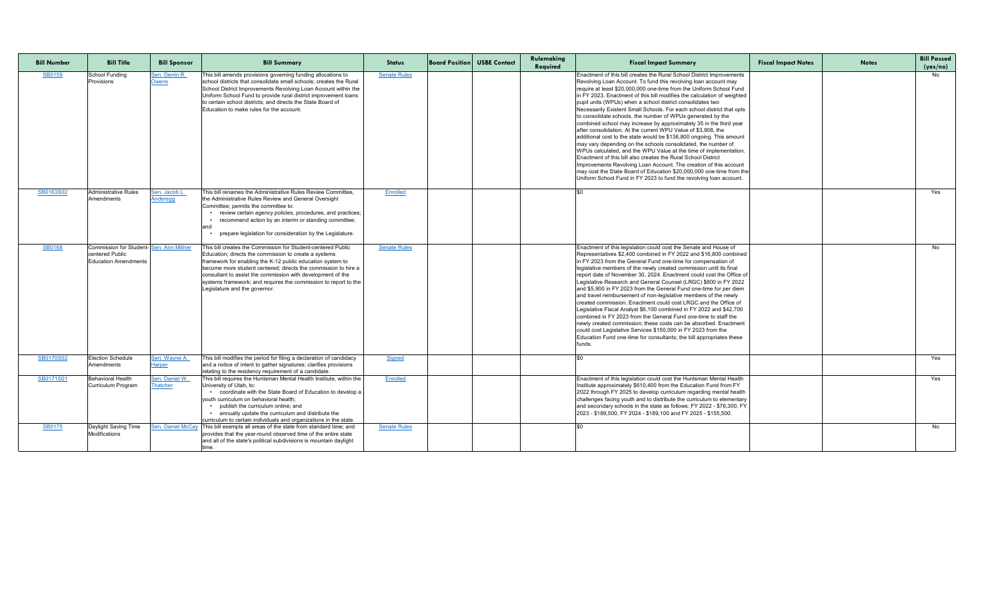| <b>Bill Number</b> | <b>Bill Title</b>                                                                         | <b>Bill Sponsor</b>                     | <b>Bill Summary</b>                                                                                                                                                                                                                                                                                                                                                                                                      | <b>Status</b>       | <b>Board Position USBE Contact</b> | Rulemaking<br>Required | <b>Fiscal Impact Summary</b>                                                                                                                                                                                                                                                                                                                                                                                                                                                                                                                                                                                                                                                                                                                                                                                                                                                                                                                                                                                                                                                                                                               | <b>Fiscal Impact Notes</b> | <b>Notes</b> | <b>Bill Passed</b><br>(yes/no) |
|--------------------|-------------------------------------------------------------------------------------------|-----------------------------------------|--------------------------------------------------------------------------------------------------------------------------------------------------------------------------------------------------------------------------------------------------------------------------------------------------------------------------------------------------------------------------------------------------------------------------|---------------------|------------------------------------|------------------------|--------------------------------------------------------------------------------------------------------------------------------------------------------------------------------------------------------------------------------------------------------------------------------------------------------------------------------------------------------------------------------------------------------------------------------------------------------------------------------------------------------------------------------------------------------------------------------------------------------------------------------------------------------------------------------------------------------------------------------------------------------------------------------------------------------------------------------------------------------------------------------------------------------------------------------------------------------------------------------------------------------------------------------------------------------------------------------------------------------------------------------------------|----------------------------|--------------|--------------------------------|
| <b>SB0159</b>      | School Funding<br><b>Provisions</b>                                                       | Sen. Derrin R.<br><b>Owens</b>          | This bill amends provisions governing funding allocations to<br>school districts that consolidate small schools; creates the Rural<br>School District Improvements Revolving Loan Account within the<br>Uniform School Fund to provide rural district improvement loans<br>to certain school districts; and directs the State Board of<br>Education to make rules for the account.                                       | <b>Senate Rules</b> |                                    |                        | Enactment of this bill creates the Rural School District Improvements<br>Revolving Loan Account. To fund this revolving loan account may<br>require at least \$20,000,000 one-time from the Uniform School Fund<br>in FY 2023. Enactment of this bill modifies the calculation of weighted<br>pupil units (WPUs) when a school district consolidates two<br>Necessarily Existent Small Schools. For each school district that opts<br>to consolidate schools, the number of WPUs generated by the<br>combined school may increase by approximately 35 in the third year<br>after consolidation. At the current WPU Value of \$3,908, the<br>additional cost to the state would be \$136,800 ongoing. This amount<br>may vary depending on the schools consolidated, the number of<br>WPUs calculated, and the WPU Value at the time of implementation.<br>Enactment of this bill also creates the Rural School District<br>Improvements Revolving Loan Account. The creation of this account<br>may cost the State Board of Education \$20,000,000 one-time from the<br>Uniform School Fund in FY 2023 to fund the revolving loan account. |                            |              | No.                            |
| SB0163S02          | Administrative Rules<br><b>Amendments</b>                                                 | <u>Sen. Jacob L.</u><br><b>Anderegg</b> | This bill renames the Administrative Rules Review Committee,<br>the Administrative Rules Review and General Oversight<br>Committee; permits the committee to:<br>• review certain agency policies, procedures, and practices;<br>recommend action by an interim or standing committee;<br>prepare legislation for consideration by the Legislature.                                                                      | Enrolled            |                                    |                        |                                                                                                                                                                                                                                                                                                                                                                                                                                                                                                                                                                                                                                                                                                                                                                                                                                                                                                                                                                                                                                                                                                                                            |                            |              | Yes                            |
| <b>SB0168</b>      | Commission for Student-Sen. Ann Millner<br>centered Public<br><b>Education Amendments</b> |                                         | This bill creates the Commission for Student-centered Public<br>Education; directs the commission to create a systems<br>framework for enabling the K-12 public education system to<br>become more student centered; directs the commission to hire a<br>consultant to assist the commission with development of the<br>systems framework; and requires the commission to report to the<br>Legislature and the governor. | <b>Senate Rules</b> |                                    |                        | Enactment of this legislation could cost the Senate and House of<br>Representatives \$2,400 combined in FY 2022 and \$16,800 combined<br>In FY 2023 from the General Fund one-time for compensation of<br>legislative members of the newly created commission until its final<br>report date of November 30, 2024. Enactment could cost the Office of<br>Legislative Research and General Counsel (LRGC) \$800 in FY 2022<br>and \$5,900 in FY 2023 from the General Fund one-time for per diem<br>and travel reimbursement of non-legislative members of the newly<br>created commission. Enactment could cost LRGC and the Office of<br>Legislative Fiscal Analyst \$6,100 combined in FY 2022 and \$42,700<br>combined in FY 2023 from the General Fund one-time to staff the<br>newly created commission; these costs can be absorbed. Enactment<br>could cost Legislative Services \$150,000 in FY 2023 from the<br>Education Fund one-time for consultants; the bill appropriates these<br>funds.                                                                                                                                    |                            |              | No                             |
| SB0170S02          | <b>Election Schedule</b><br>Amendments                                                    | Sen. Wayne A.<br><u>Harper</u>          | This bill modifies the period for filing a declaration of candidacy<br>and a notice of intent to gather signatures; clarifies provisions<br>relating to the residency requirement of a candidate.                                                                                                                                                                                                                        | <b>Signed</b>       |                                    |                        |                                                                                                                                                                                                                                                                                                                                                                                                                                                                                                                                                                                                                                                                                                                                                                                                                                                                                                                                                                                                                                                                                                                                            |                            |              | Yes                            |
| SB0171S01          | <b>Behavioral Health</b><br>Curriculum Program                                            | Sen. Daniel W.<br><b>Thatcher</b>       | This bill requires the Huntsman Mental Health Institute, within the<br>University of Utah, to:<br>• coordinate with the State Board of Education to develop a<br>youth curriculum on behavioral health;<br>• publish the curriculum online; and<br>• annually update the curriculum and distribute the<br>curriculum to certain individuals and organizations in the state.                                              | Enrolled            |                                    |                        | Enactment of this legislation could cost the Huntsman Mental Health<br>Institute approximately \$610,400 from the Education Fund from FY<br>2022 through FY 2025 to develop curriculum regarding mental health<br>challenges facing youth and to distribute the curriculum to elementary<br>and secondary schools in the state as follows: FY 2022 - \$76,300, FY<br>2023 - \$189,500, FY 2024 - \$189,100 and FY 2025 - \$155,500                                                                                                                                                                                                                                                                                                                                                                                                                                                                                                                                                                                                                                                                                                         |                            |              | Yes                            |
| <b>SB0175</b>      | Daylight Saving Time<br>Modifications                                                     | Sen. Daniel McCay                       | This bill exempts all areas of the state from standard time; and<br>provides that the year-round observed time of the entire state<br>and all of the state's political subdivisions is mountain daylight                                                                                                                                                                                                                 | <b>Senate Rules</b> |                                    |                        |                                                                                                                                                                                                                                                                                                                                                                                                                                                                                                                                                                                                                                                                                                                                                                                                                                                                                                                                                                                                                                                                                                                                            |                            |              | No                             |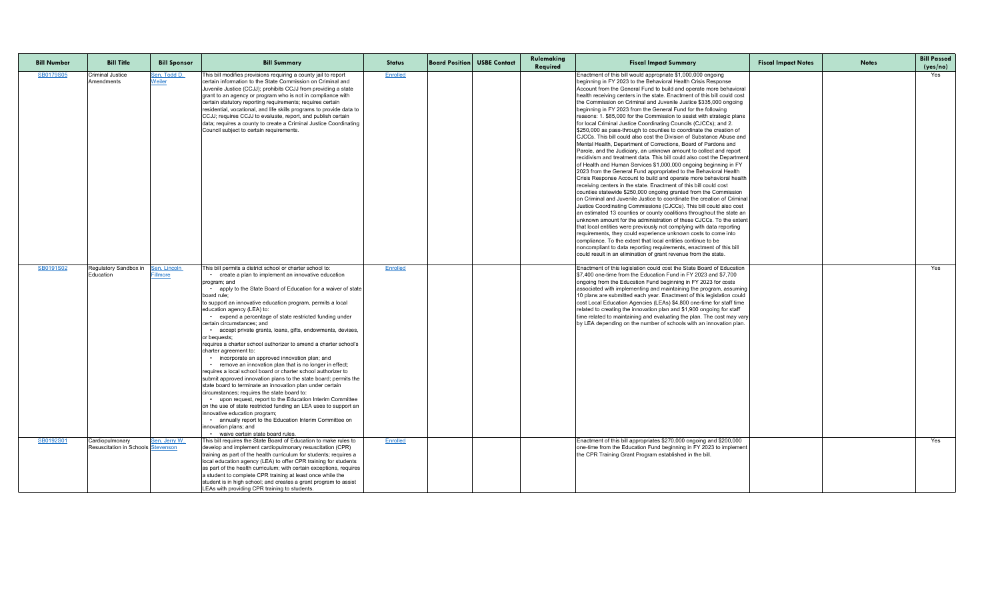| <b>Bill Number</b> | <b>Bill Title</b>                                       | <b>Bill Sponsor</b>             | <b>Bill Summary</b>                                                                                                                                                                                                                                                                                                                                                                                                                                                                                                                                                                                                                                                                                                                                                                                                                                                                                                                                                                                                                                                                                                                                                                                                                        | <b>Status</b> | <b>Board Position USBE Contact</b> | Rulemaking<br>Required | <b>Fiscal Impact Summary</b>                                                                                                                                                                                                                                                                                                                                                                                                                                                                                                                                                                                                                                                                                                                                                                                                                                                                                                                                                                                                                                                                                                                                                                                                                                                                                                                                                                                                                                                                                                                                                                                                                                                                                                                                                                                                                                                                                                                        | <b>Fiscal Impact Notes</b> | <b>Notes</b> | <b>Bill Passed</b><br>(yes/no) |
|--------------------|---------------------------------------------------------|---------------------------------|--------------------------------------------------------------------------------------------------------------------------------------------------------------------------------------------------------------------------------------------------------------------------------------------------------------------------------------------------------------------------------------------------------------------------------------------------------------------------------------------------------------------------------------------------------------------------------------------------------------------------------------------------------------------------------------------------------------------------------------------------------------------------------------------------------------------------------------------------------------------------------------------------------------------------------------------------------------------------------------------------------------------------------------------------------------------------------------------------------------------------------------------------------------------------------------------------------------------------------------------|---------------|------------------------------------|------------------------|-----------------------------------------------------------------------------------------------------------------------------------------------------------------------------------------------------------------------------------------------------------------------------------------------------------------------------------------------------------------------------------------------------------------------------------------------------------------------------------------------------------------------------------------------------------------------------------------------------------------------------------------------------------------------------------------------------------------------------------------------------------------------------------------------------------------------------------------------------------------------------------------------------------------------------------------------------------------------------------------------------------------------------------------------------------------------------------------------------------------------------------------------------------------------------------------------------------------------------------------------------------------------------------------------------------------------------------------------------------------------------------------------------------------------------------------------------------------------------------------------------------------------------------------------------------------------------------------------------------------------------------------------------------------------------------------------------------------------------------------------------------------------------------------------------------------------------------------------------------------------------------------------------------------------------------------------------|----------------------------|--------------|--------------------------------|
| SB0179S05          | <b>Criminal Justice</b><br>Amendments                   | Sen. Todd D.<br>Weiler          | This bill modifies provisions requiring a county jail to report<br>certain information to the State Commission on Criminal and<br>Juvenile Justice (CCJJ); prohibits CCJJ from providing a state<br>grant to an agency or program who is not in compliance with<br>certain statutory reporting requirements; requires certain<br>residential, vocational, and life skills programs to provide data to<br>CCJJ; requires CCJJ to evaluate, report, and publish certain<br>data; requires a county to create a Criminal Justice Coordinating<br>Council subject to certain requirements.                                                                                                                                                                                                                                                                                                                                                                                                                                                                                                                                                                                                                                                     | Enrolled      |                                    |                        | Enactment of this bill would appropriate \$1,000,000 ongoing<br>beginning in FY 2023 to the Behavioral Health Crisis Response<br>Account from the General Fund to build and operate more behavioral<br>health receiving centers in the state. Enactment of this bill could cost<br>the Commission on Criminal and Juvenile Justice \$335,000 ongoing<br>beginning in FY 2023 from the General Fund for the following<br>reasons: 1. \$85,000 for the Commission to assist with strategic plans<br>for local Criminal Justice Coordinating Councils (CJCCs); and 2.<br>\$250,000 as pass-through to counties to coordinate the creation of<br>CJCCs. This bill could also cost the Division of Substance Abuse and<br>Mental Health, Department of Corrections, Board of Pardons and<br>Parole, and the Judiciary, an unknown amount to collect and report<br>recidivism and treatment data. This bill could also cost the Department<br>of Health and Human Services \$1,000,000 ongoing beginning in FY<br>2023 from the General Fund appropriated to the Behavioral Health<br>Crisis Response Account to build and operate more behavioral health<br>receiving centers in the state. Enactment of this bill could cost<br>counties statewide \$250,000 ongoing granted from the Commission<br>on Criminal and Juvenile Justice to coordinate the creation of Criminal<br>Justice Coordinating Commissions (CJCCs). This bill could also cost<br>an estimated 13 counties or county coalitions throughout the state an<br>unknown amount for the administration of these CJCCs. To the extent<br>that local entities were previously not complying with data reporting<br>requirements, they could experience unknown costs to come into<br>compliance. To the extent that local entities continue to be<br>noncompliant to data reporting requirements, enactment of this bill<br>could result in an elimination of grant revenue from the state. |                            |              | Yes                            |
| SB0191S02          | Regulatory Sandbox in<br>Education                      | Sen. Lincoln<br><u>Fillmore</u> | This bill permits a district school or charter school to:<br>• create a plan to implement an innovative education<br>program; and<br>apply to the State Board of Education for a waiver of state<br>board rule;<br>to support an innovative education program, permits a local<br>education agency (LEA) to:<br>• expend a percentage of state restricted funding under<br>certain circumstances; and<br>accept private grants, loans, gifts, endowments, devises,<br>or bequests;<br>requires a charter school authorizer to amend a charter school's<br>charter agreement to:<br>• incorporate an approved innovation plan; and<br>• remove an innovation plan that is no longer in effect;<br>requires a local school board or charter school authorizer to<br>submit approved innovation plans to the state board; permits the<br>state board to terminate an innovation plan under certain<br>circumstances; requires the state board to:<br>• upon request, report to the Education Interim Committee<br>on the use of state restricted funding an LEA uses to support an<br>Innovative education program;<br>• annually report to the Education Interim Committee on<br>innovation plans; and<br>• waive certain state board rules. | Enrolled      |                                    |                        | Enactment of this legislation could cost the State Board of Education<br>\$7,400 one-time from the Education Fund in FY 2023 and \$7,700<br>ongoing from the Education Fund beginning in FY 2023 for costs<br>associated with implementing and maintaining the program, assuming<br>10 plans are submitted each year. Enactment of this legislation could<br>cost Local Education Agencies (LEAs) \$4,800 one-time for staff time<br>related to creating the innovation plan and \$1,900 ongoing for staff<br>time related to maintaining and evaluating the plan. The cost may vary<br>by LEA depending on the number of schools with an innovation plan.                                                                                                                                                                                                                                                                                                                                                                                                                                                                                                                                                                                                                                                                                                                                                                                                                                                                                                                                                                                                                                                                                                                                                                                                                                                                                          |                            |              | Yes                            |
| SB0192S01          | Cardiopulmonary<br>Resuscitation in Schools   Stevenson | Sen. Jerry W.                   | This bill requires the State Board of Education to make rules to<br>develop and implement cardiopulmonary resuscitation (CPR)<br>training as part of the health curriculum for students; requires a<br>local education agency (LEA) to offer CPR training for students<br>as part of the health curriculum; with certain exceptions, requires<br>a student to complete CPR training at least once while the<br>student is in high school; and creates a grant program to assist<br>LEAs with providing CPR training to students.                                                                                                                                                                                                                                                                                                                                                                                                                                                                                                                                                                                                                                                                                                           | Enrolled      |                                    |                        | Enactment of this bill appropriates \$270,000 ongoing and \$200,000<br>one-time from the Education Fund beginning in FY 2023 to implement<br>the CPR Training Grant Program established in the bill                                                                                                                                                                                                                                                                                                                                                                                                                                                                                                                                                                                                                                                                                                                                                                                                                                                                                                                                                                                                                                                                                                                                                                                                                                                                                                                                                                                                                                                                                                                                                                                                                                                                                                                                                 |                            |              | Yes                            |

| <b>Bill Passed</b> |
|--------------------|
| (yes/no)<br>Yes    |
|                    |
|                    |
|                    |
|                    |
|                    |
|                    |
|                    |
|                    |
|                    |
|                    |
|                    |
|                    |
|                    |
| Yes                |
|                    |
|                    |
|                    |
|                    |
|                    |
|                    |
|                    |
|                    |
|                    |
|                    |
|                    |
|                    |
| $\overline{Yes}$   |
|                    |
|                    |
|                    |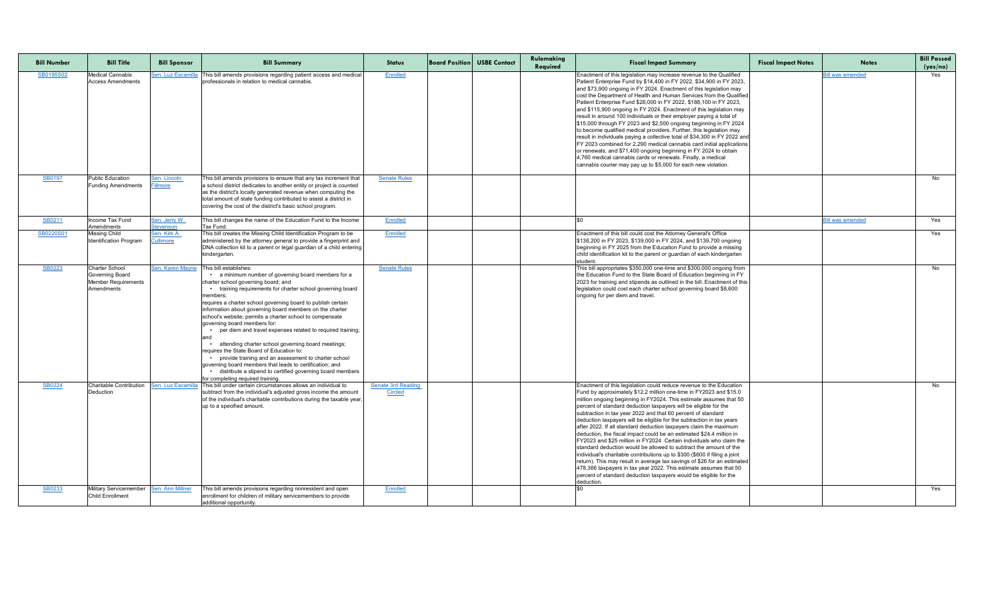| <b>Bill Number</b> | <b>Bill Title</b>                                                                    | <b>Bill Sponsor</b>              | <b>Bill Summary</b>                                                                                                                                                                                                                                                                                                                                                                                                                                                                                                                                                                                                                                                                                                                                                                                               | <b>Status</b>                               | <b>Board Position USBE Contact</b> | Rulemaking<br>Required | <b>Fiscal Impact Summary</b>                                                                                                                                                                                                                                                                                                                                                                                                                                                                                                                                                                                                                                                                                                                                                                                                                                                                                                                                                                                                             | <b>Fiscal Impact Notes</b> | <b>Notes</b>            | <b>Bill Passed</b><br>(yes/no) |
|--------------------|--------------------------------------------------------------------------------------|----------------------------------|-------------------------------------------------------------------------------------------------------------------------------------------------------------------------------------------------------------------------------------------------------------------------------------------------------------------------------------------------------------------------------------------------------------------------------------------------------------------------------------------------------------------------------------------------------------------------------------------------------------------------------------------------------------------------------------------------------------------------------------------------------------------------------------------------------------------|---------------------------------------------|------------------------------------|------------------------|------------------------------------------------------------------------------------------------------------------------------------------------------------------------------------------------------------------------------------------------------------------------------------------------------------------------------------------------------------------------------------------------------------------------------------------------------------------------------------------------------------------------------------------------------------------------------------------------------------------------------------------------------------------------------------------------------------------------------------------------------------------------------------------------------------------------------------------------------------------------------------------------------------------------------------------------------------------------------------------------------------------------------------------|----------------------------|-------------------------|--------------------------------|
| SB0195S02          | <b>Medical Cannabis</b><br><b>Access Amendments</b>                                  | <u> Sen. Luz Escamilla</u>       | This bill amends provisions regarding patient access and medical<br>professionals in relation to medical cannabis.                                                                                                                                                                                                                                                                                                                                                                                                                                                                                                                                                                                                                                                                                                | Enrolled                                    |                                    |                        | Enactment of this legislation may increase revenue to the Qualified<br>Patient Enterprise Fund by \$14,400 in FY 2022, \$34,900 in FY 2023,<br>and \$73,900 ongoing in FY 2024. Enactment of this legislation may<br>cost the Department of Health and Human Services from the Qualified<br>Patient Enterprise Fund \$28,000 in FY 2022, \$188,100 in FY 2023,<br>and \$115,900 ongoing in FY 2024. Enactment of this legislation may<br>result in around 100 individuals or their employer paying a total of<br>\$15,000 through FY 2023 and \$2,500 ongoing beginning in FY 2024<br>to become qualified medical providers. Further, this legislation may<br>result in individuals paying a collective total of \$34,300 in FY 2022 and<br>FY 2023 combined for 2,290 medical cannabis card initial applications<br>or renewals, and \$71,400 ongoing beginning in FY 2024 to obtain<br>4,760 medical cannabis cards or renewals. Finally, a medical<br>cannabis courier may pay up to \$5,000 for each new violation.                  |                            | <b>Bill was amended</b> | Yes                            |
| <b>SB0197</b>      | <b>Public Education</b><br><b>Funding Amendments</b>                                 | Sen. Lincoln<br>Fillmore         | This bill amends provisions to ensure that any tax increment that<br>a school district dedicates to another entity or project is counted<br>as the district's locally generated revenue when computing the<br>total amount of state funding contributed to assist a district in<br>covering the cost of the district's basic school program.                                                                                                                                                                                                                                                                                                                                                                                                                                                                      | <b>Senate Rules</b>                         |                                    |                        |                                                                                                                                                                                                                                                                                                                                                                                                                                                                                                                                                                                                                                                                                                                                                                                                                                                                                                                                                                                                                                          |                            |                         | No                             |
| SB0211             | Income Tax Fund<br>Amendments                                                        | Sen. Jerry W.<br>Stevenson       | This bill changes the name of the Education Fund to the Income<br>Tax Fund.                                                                                                                                                                                                                                                                                                                                                                                                                                                                                                                                                                                                                                                                                                                                       | Enrolled                                    |                                    |                        |                                                                                                                                                                                                                                                                                                                                                                                                                                                                                                                                                                                                                                                                                                                                                                                                                                                                                                                                                                                                                                          |                            | <b>Bill was amended</b> | Yes                            |
| SB0220S01          | <b>Missing Child</b><br><b>Identification Program</b>                                | Sen. Kirk A.<br><b>Cullimore</b> | This bill creates the Missing Child Identification Program to be<br>administered by the attorney general to provide a fingerprint and<br>DNA collection kit to a parent or legal guardian of a child entering<br>kindergarten.                                                                                                                                                                                                                                                                                                                                                                                                                                                                                                                                                                                    | Enrolled                                    |                                    |                        | Enactment of this bill could cost the Attorney General's Office<br>\$138,200 in FY 2023, \$139,000 in FY 2024, and \$139,700 ongoing<br>beginning in FY 2025 from the Education Fund to provide a missing<br>child identification kit to the parent or guardian of each kindergarten<br>student                                                                                                                                                                                                                                                                                                                                                                                                                                                                                                                                                                                                                                                                                                                                          |                            |                         | Yes                            |
| SB0223             | <b>Charter School</b><br>Governing Board<br><b>Member Requirements</b><br>Amendments | Sen. Karen Mayne                 | This bill establishes:<br>• a minimum number of governing board members for a<br>charter school governing board; and<br>• training requirements for charter school governing board<br>members:<br>requires a charter school governing board to publish certain<br>information about governing board members on the charter<br>school's website; permits a charter school to compensate<br>governing board members for:<br>per diem and travel expenses related to required training;<br>attending charter school governing board meetings;<br>requires the State Board of Education to:<br>• provide training and an assessment to charter school<br>governing board members that leads to certification; and<br>• distribute a stipend to certified governing board members<br>for completing required training. | <b>Senate Rules</b>                         |                                    |                        | This bill appropriates \$350,000 one-time and \$300,000 ongoing from<br>the Education Fund to the State Board of Education beginning in FY<br>2023 for training and stipends as outlined in the bill. Enactment of this<br>legislation could cost each charter school governing board \$8,600<br>ongoing for per diem and travel.                                                                                                                                                                                                                                                                                                                                                                                                                                                                                                                                                                                                                                                                                                        |                            |                         | No                             |
| <b>SB0224</b>      | Charitable Contribution<br>Deduction                                                 | Sen. Luz Escamilla               | This bill under certain circumstances allows an individual to<br>subtract from the individual's adjusted gross income the amount<br>of the individual's charitable contributions during the taxable year,<br>up to a specified amount.                                                                                                                                                                                                                                                                                                                                                                                                                                                                                                                                                                            | <b>Senate 3rd Reading</b><br><b>Circled</b> |                                    |                        | Enactment of this legislation could reduce revenue to the Education<br>Fund by approximately \$12.2 million one-time in FY2023 and \$15.0<br>million ongoing beginning in FY2024. This estimate assumes that 50<br>percent of standard deduction taxpayers will be eligible for the<br>subtraction in tax year 2022 and that 60 percent of standard<br>deduction taxpayers will be eligible for the subtraction in tax years<br>after 2022. If all standard deduction taxpayers claim the maximum<br>deduction, the fiscal impact could be an estimated \$24.4 million in<br>FY2023 and \$25 million in FY2024. Certain individuals who claim the<br>standard deduction would be allowed to subtract the amount of the<br>individual's charitable contributions up to \$300 (\$600 if filing a joint<br>return). This may result in average tax savings of \$26 for an estimated<br>478,366 taxpayers in tax year 2022. This estimate assumes that 50<br>percent of standard deduction taxpayers would be eligible for the<br>deduction. |                            |                         | No                             |
| SB0233             | Military Servicemember Sen. Ann Millner<br><b>Child Enrollment</b>                   |                                  | This bill amends provisions regarding nonresident and open<br>enrollment for children of military servicemembers to provide<br>additional opportunity.                                                                                                                                                                                                                                                                                                                                                                                                                                                                                                                                                                                                                                                            | Enrolled                                    |                                    |                        |                                                                                                                                                                                                                                                                                                                                                                                                                                                                                                                                                                                                                                                                                                                                                                                                                                                                                                                                                                                                                                          |                            |                         | Yes                            |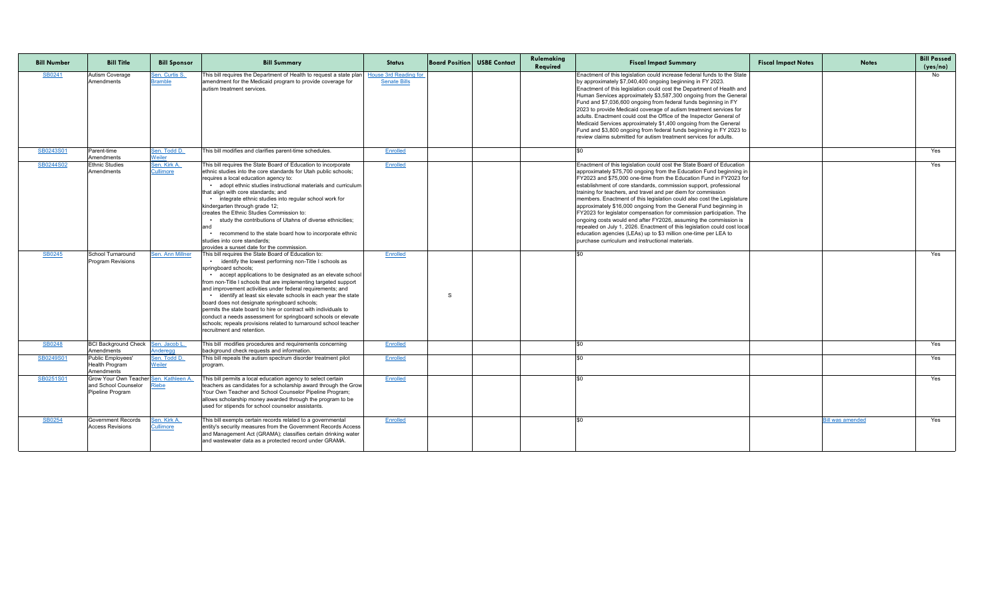| <b>Bill Number</b>  | <b>Bill Title</b>                                                                                | <b>Bill Sponsor</b>                           | <b>Bill Summary</b>                                                                                                                                                                                                                                                                                                                                                                                                                                                                                                                                                                                                                                                                                                                                                                                                                                                                                                                                                                                                                                                                                                                                                                                                                                                                                       | <b>Status</b>                                       | <b>Board Position USBE Contact</b> | Rulemaking<br>Required | <b>Fiscal Impact Summary</b>                                                                                                                                                                                                                                                                                                                                                                                                                                                                                                                                                                                                                                                                                                                                                                                                                           | <b>Fiscal Impact Notes</b> | <b>Notes</b>            | <b>Bill Passed</b><br>(yes/no) |
|---------------------|--------------------------------------------------------------------------------------------------|-----------------------------------------------|-----------------------------------------------------------------------------------------------------------------------------------------------------------------------------------------------------------------------------------------------------------------------------------------------------------------------------------------------------------------------------------------------------------------------------------------------------------------------------------------------------------------------------------------------------------------------------------------------------------------------------------------------------------------------------------------------------------------------------------------------------------------------------------------------------------------------------------------------------------------------------------------------------------------------------------------------------------------------------------------------------------------------------------------------------------------------------------------------------------------------------------------------------------------------------------------------------------------------------------------------------------------------------------------------------------|-----------------------------------------------------|------------------------------------|------------------------|--------------------------------------------------------------------------------------------------------------------------------------------------------------------------------------------------------------------------------------------------------------------------------------------------------------------------------------------------------------------------------------------------------------------------------------------------------------------------------------------------------------------------------------------------------------------------------------------------------------------------------------------------------------------------------------------------------------------------------------------------------------------------------------------------------------------------------------------------------|----------------------------|-------------------------|--------------------------------|
| SB0241              | <b>Autism Coverage</b><br>Amendments                                                             | <u>Sen. Curtis S.</u><br><b>Bramble</b>       | This bill requires the Department of Health to request a state plan<br>amendment for the Medicaid program to provide coverage for<br>autism treatment services.                                                                                                                                                                                                                                                                                                                                                                                                                                                                                                                                                                                                                                                                                                                                                                                                                                                                                                                                                                                                                                                                                                                                           | <b>House 3rd Reading for</b><br><b>Senate Bills</b> |                                    |                        | Enactment of this legislation could increase federal funds to the State<br>by approximately \$7,040,400 ongoing beginning in FY 2023.<br>Enactment of this legislation could cost the Department of Health and<br>Human Services approximately \$3,587,300 ongoing from the General<br>Fund and \$7,036,600 ongoing from federal funds beginning in FY<br>2023 to provide Medicaid coverage of autism treatment services for<br>adults. Enactment could cost the Office of the Inspector General of<br>Medicaid Services approximately \$1,400 ongoing from the General<br>Fund and \$3,800 ongoing from federal funds beginning in FY 2023 to<br>review claims submitted for autism treatment services for adults.                                                                                                                                    |                            |                         | No.                            |
| SB0243S01           | Parent-time<br>Amendments                                                                        | Sen. Todd D.<br>Weiler                        | This bill modifies and clarifies parent-time schedules.                                                                                                                                                                                                                                                                                                                                                                                                                                                                                                                                                                                                                                                                                                                                                                                                                                                                                                                                                                                                                                                                                                                                                                                                                                                   | Enrolled                                            |                                    |                        |                                                                                                                                                                                                                                                                                                                                                                                                                                                                                                                                                                                                                                                                                                                                                                                                                                                        |                            |                         | Yes                            |
| SB0244S02<br>SB0245 | <b>Ethnic Studies</b><br>Amendments<br>School Turnaround<br><b>Program Revisions</b>             | Sen. Kirk A.<br>Cullimore<br>Sen. Ann Millner | This bill requires the State Board of Education to incorporate<br>ethnic studies into the core standards for Utah public schools;<br>requires a local education agency to:<br>• adopt ethnic studies instructional materials and curriculum<br>that align with core standards; and<br>• integrate ethnic studies into regular school work for<br>kindergarten through grade 12;<br>creates the Ethnic Studies Commission to:<br>study the contributions of Utahns of diverse ethnicities;<br>and<br>recommend to the state board how to incorporate ethnic<br>studies into core standards;<br>provides a sunset date for the commission.<br>This bill requires the State Board of Education to:<br>identify the lowest performing non-Title I schools as<br>springboard schools;<br>accept applications to be designated as an elevate school<br>from non-Title I schools that are implementing targeted support<br>and improvement activities under federal requirements; and<br>• identify at least six elevate schools in each year the state<br>board does not designate springboard schools;<br>permits the state board to hire or contract with individuals to<br>conduct a needs assessment for springboard schools or elevate<br>schools; repeals provisions related to turnaround school teacher | Enrolled<br><b>Enrolled</b>                         | S                                  |                        | Enactment of this legislation could cost the State Board of Education<br>approximately \$75,700 ongoing from the Education Fund beginning in<br>FY2023 and \$75,000 one-time from the Education Fund in FY2023 for<br>establishment of core standards, commission support, professional<br>training for teachers, and travel and per diem for commission<br>members. Enactment of this legislation could also cost the Legislature<br>approximately \$16,000 ongoing from the General Fund beginning in<br>FY2023 for legislator compensation for commission participation. The<br>ongoing costs would end after FY2026, assuming the commission is<br>repealed on July 1, 2026. Enactment of this legislation could cost local<br>education agencies (LEAs) up to \$3 million one-time per LEA to<br>purchase curriculum and instructional materials. |                            |                         | Yes<br>Yes                     |
| SB0248              | BCI Background Check   Sen. Jacob L.                                                             |                                               | recruitment and retention.<br>This bill modifies procedures and requirements concerning                                                                                                                                                                                                                                                                                                                                                                                                                                                                                                                                                                                                                                                                                                                                                                                                                                                                                                                                                                                                                                                                                                                                                                                                                   | Enrolled                                            |                                    |                        |                                                                                                                                                                                                                                                                                                                                                                                                                                                                                                                                                                                                                                                                                                                                                                                                                                                        |                            |                         | Yes                            |
| SB0249S01           | Amendments<br>Public Employees'<br><b>Health Program</b>                                         | Anderegg<br>Sen. Todd D.<br><b>Weiler</b>     | background check requests and information.<br>This bill repeals the autism spectrum disorder treatment pilot<br>program.                                                                                                                                                                                                                                                                                                                                                                                                                                                                                                                                                                                                                                                                                                                                                                                                                                                                                                                                                                                                                                                                                                                                                                                  | Enrolled                                            |                                    |                        |                                                                                                                                                                                                                                                                                                                                                                                                                                                                                                                                                                                                                                                                                                                                                                                                                                                        |                            |                         | Yes                            |
| SB0251S01           | Amendments<br>Grow Your Own Teacher Sen. Kathleen A.<br>and School Counselor<br>Pipeline Program | Riebe                                         | This bill permits a local education agency to select certain<br>teachers as candidates for a scholarship award through the Grow<br>Your Own Teacher and School Counselor Pipeline Program;<br>allows scholarship money awarded through the program to be<br>used for stipends for school counselor assistants.                                                                                                                                                                                                                                                                                                                                                                                                                                                                                                                                                                                                                                                                                                                                                                                                                                                                                                                                                                                            | Enrolled                                            |                                    |                        |                                                                                                                                                                                                                                                                                                                                                                                                                                                                                                                                                                                                                                                                                                                                                                                                                                                        |                            |                         | Yes                            |
| <b>SB0254</b>       | <b>Government Records</b><br><b>Access Revisions</b>                                             | <u>Sen. Kirk A.</u><br><b>Cullimore</b>       | This bill exempts certain records related to a governmental<br>entity's security measures from the Government Records Access  <br>and Management Act (GRAMA); classifies certain drinking water<br>and wastewater data as a protected record under GRAMA.                                                                                                                                                                                                                                                                                                                                                                                                                                                                                                                                                                                                                                                                                                                                                                                                                                                                                                                                                                                                                                                 | Enrolled                                            |                                    |                        |                                                                                                                                                                                                                                                                                                                                                                                                                                                                                                                                                                                                                                                                                                                                                                                                                                                        |                            | <u>Bill was amended</u> | Yes                            |